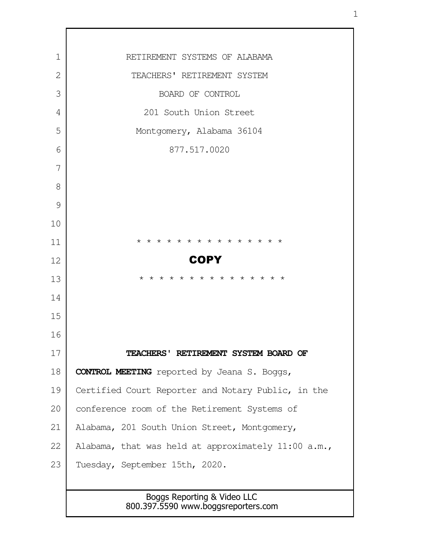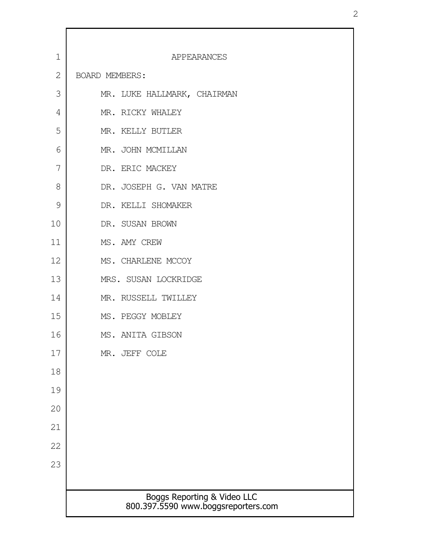| $\mathbf 1$  | APPEARANCES                                                        |
|--------------|--------------------------------------------------------------------|
| $\mathbf{2}$ | BOARD MEMBERS:                                                     |
| 3            | MR. LUKE HALLMARK, CHAIRMAN                                        |
| 4            | MR. RICKY WHALEY                                                   |
| 5            | MR. KELLY BUTLER                                                   |
| 6            | MR. JOHN MCMILLAN                                                  |
| 7            | DR. ERIC MACKEY                                                    |
| 8            | DR. JOSEPH G. VAN MATRE                                            |
| 9            | DR. KELLI SHOMAKER                                                 |
| 10           | DR. SUSAN BROWN                                                    |
| 11           | MS. AMY CREW                                                       |
| 12           | MS. CHARLENE MCCOY                                                 |
| 13           | MRS. SUSAN LOCKRIDGE                                               |
| 14           | MR. RUSSELL TWILLEY                                                |
| 15           | MS. PEGGY MOBLEY                                                   |
| 16           | MS. ANITA GIBSON                                                   |
| 17           | MR. JEFF COLE                                                      |
| 18           |                                                                    |
| 19           |                                                                    |
| 20           |                                                                    |
| 21           |                                                                    |
| 22           |                                                                    |
| 23           |                                                                    |
|              |                                                                    |
|              | Boggs Reporting & Video LLC<br>800.397.5590 www.boggsreporters.com |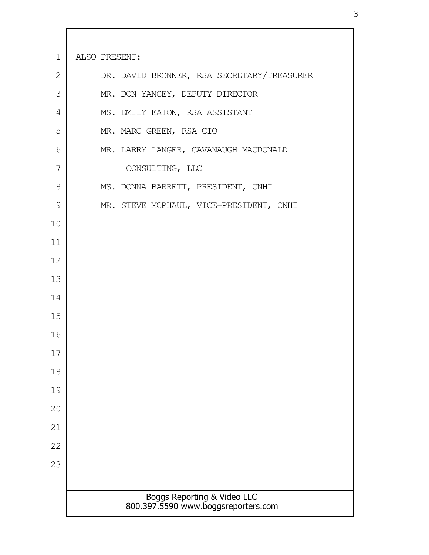Boggs Reporting & Video LLC 800.397.5590 www.boggsreporters.com ALSO PRESENT: DR. DAVID BRONNER, RSA SECRETARY/TREASURER MR. DON YANCEY, DEPUTY DIRECTOR MS. EMILY EATON, RSA ASSISTANT MR. MARC GREEN, RSA CIO MR. LARRY LANGER, CAVANAUGH MACDONALD CONSULTING, LLC MS. DONNA BARRETT, PRESIDENT, CNHI MR. STEVE MCPHAUL, VICE-PRESIDENT, CNHI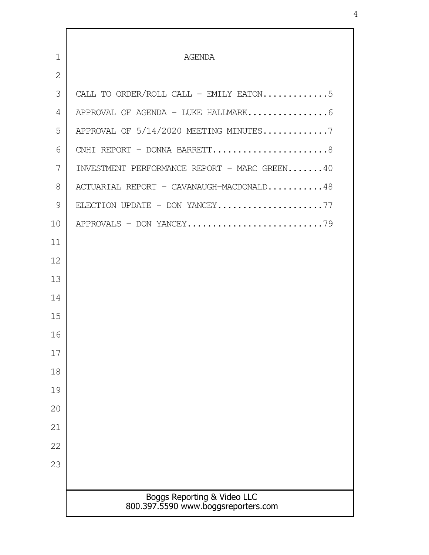| $\mathbf{1}$   | <b>AGENDA</b>                                                      |
|----------------|--------------------------------------------------------------------|
| $\overline{2}$ |                                                                    |
| 3              | CALL TO ORDER/ROLL CALL - EMILY EATON5                             |
| 4              |                                                                    |
| 5              | APPROVAL OF 5/14/2020 MEETING MINUTES7                             |
| 6              | CNHI REPORT - DONNA BARRETT8                                       |
| 7              | INVESTMENT PERFORMANCE REPORT - MARC GREEN40                       |
| 8              | ACTUARIAL REPORT - CAVANAUGH-MACDONALD48                           |
| 9              | ELECTION UPDATE - DON YANCEY77                                     |
| 10             |                                                                    |
| 11             |                                                                    |
| 12             |                                                                    |
| 13             |                                                                    |
| 14             |                                                                    |
| 15             |                                                                    |
| 16             |                                                                    |
| 17             |                                                                    |
| 18             |                                                                    |
| 19             |                                                                    |
| 20             |                                                                    |
| 21             |                                                                    |
| 22             |                                                                    |
| 23             |                                                                    |
|                |                                                                    |
|                | Boggs Reporting & Video LLC<br>800.397.5590 www.boggsreporters.com |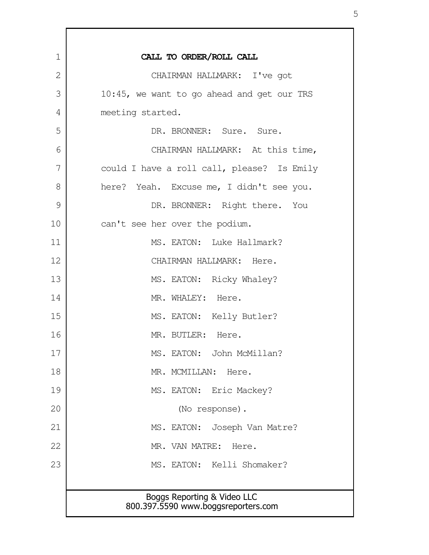| $\mathbf 1$ | CALL TO ORDER/ROLL CALL                                            |
|-------------|--------------------------------------------------------------------|
| 2           | CHAIRMAN HALLMARK: I've got                                        |
| 3           | 10:45, we want to go ahead and get our TRS                         |
| 4           | meeting started.                                                   |
| 5           | DR. BRONNER: Sure. Sure.                                           |
| 6           | CHAIRMAN HALLMARK: At this time,                                   |
| 7           | could I have a roll call, please? Is Emily                         |
| 8           | here? Yeah. Excuse me, I didn't see you.                           |
| 9           | DR. BRONNER: Right there. You                                      |
| 10          | can't see her over the podium.                                     |
| 11          | MS. EATON: Luke Hallmark?                                          |
| 12          | CHAIRMAN HALLMARK: Here.                                           |
| 13          | MS. EATON: Ricky Whaley?                                           |
| 14          | MR. WHALEY: Here.                                                  |
| 15          | MS. EATON: Kelly Butler?                                           |
| 16          | MR. BUTLER: Here.                                                  |
| 17          | MS. EATON: John McMillan?                                          |
| 18          | MR. MCMILLAN: Here.                                                |
| 19          | MS. EATON: Eric Mackey?                                            |
| 20          | (No response).                                                     |
| 21          | MS. EATON: Joseph Van Matre?                                       |
| 22          | MR. VAN MATRE:<br>Here.                                            |
| 23          | MS. EATON: Kelli Shomaker?                                         |
|             |                                                                    |
|             | Boggs Reporting & Video LLC<br>800.397.5590 www.boggsreporters.com |
|             |                                                                    |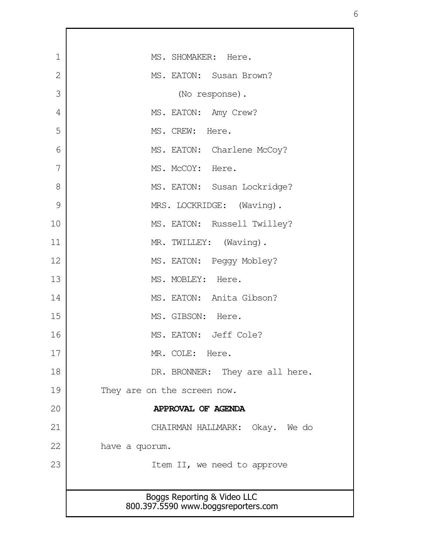| $\mathbf 1$    | MS. SHOMAKER: Here.                                                |
|----------------|--------------------------------------------------------------------|
| $\overline{2}$ | MS. EATON: Susan Brown?                                            |
| 3              | (No response).                                                     |
| 4              | MS. EATON: Amy Crew?                                               |
| 5              | MS. CREW: Here.                                                    |
| 6              | MS. EATON: Charlene McCoy?                                         |
| 7              | MS. McCOY: Here.                                                   |
| 8              | MS. EATON: Susan Lockridge?                                        |
| 9              | MRS. LOCKRIDGE: (Waving).                                          |
| 10             | MS. EATON: Russell Twilley?                                        |
| 11             | MR. TWILLEY: (Waving).                                             |
| 12             | MS. EATON: Peggy Mobley?                                           |
| 13             | MS. MOBLEY: Here.                                                  |
| 14             | MS. EATON: Anita Gibson?                                           |
| 15             | MS. GIBSON: Here.                                                  |
| 16             | MS. EATON: Jeff Cole?                                              |
| 17             | MR. COLE: Here.                                                    |
| 18             | DR. BRONNER: They are all here.                                    |
| 19             | They are on the screen now.                                        |
| 20             | APPROVAL OF AGENDA                                                 |
| 21             | CHAIRMAN HALLMARK: Okay. We do                                     |
| 22             | have a quorum.                                                     |
| 23             | Item II, we need to approve                                        |
|                |                                                                    |
|                | Boggs Reporting & Video LLC<br>800.397.5590 www.boggsreporters.com |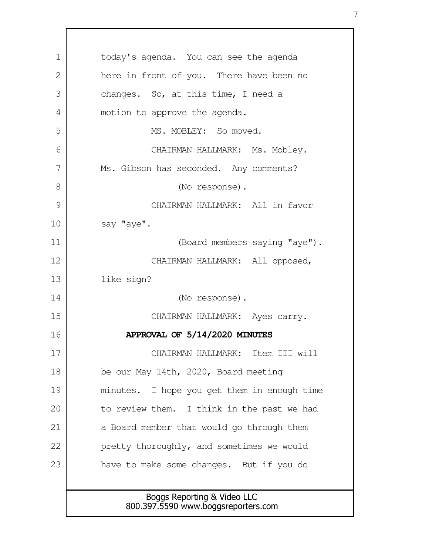| 1  | today's agenda. You can see the agenda      |
|----|---------------------------------------------|
| 2  | here in front of you. There have been no    |
| 3  | changes. So, at this time, I need a         |
| 4  | motion to approve the agenda.               |
| 5  | MS. MOBLEY: So moved.                       |
| 6  | CHAIRMAN HALLMARK: Ms. Mobley.              |
| 7  | Ms. Gibson has seconded. Any comments?      |
| 8  | (No response).                              |
| 9  | CHAIRMAN HALLMARK: All in favor             |
| 10 | say "aye".                                  |
| 11 | (Board members saying "aye").               |
| 12 | CHAIRMAN HALLMARK: All opposed,             |
| 13 | like sign?                                  |
| 14 | (No response).                              |
| 15 | CHAIRMAN HALLMARK: Ayes carry.              |
| 16 | APPROVAL OF 5/14/2020 MINUTES               |
| 17 | CHAIRMAN HALLMARK: Item III will            |
| 18 | be our May 14th, 2020, Board meeting        |
| 19 | minutes. I hope you get them in enough time |
| 20 | to review them. I think in the past we had  |
| 21 | a Board member that would go through them   |
| 22 | pretty thoroughly, and sometimes we would   |
| 23 | have to make some changes. But if you do    |
|    |                                             |
|    | Boggs Reporting & Video LLC                 |
|    | 800.397.5590 www.boggsreporters.com         |

 $\mathsf{l}$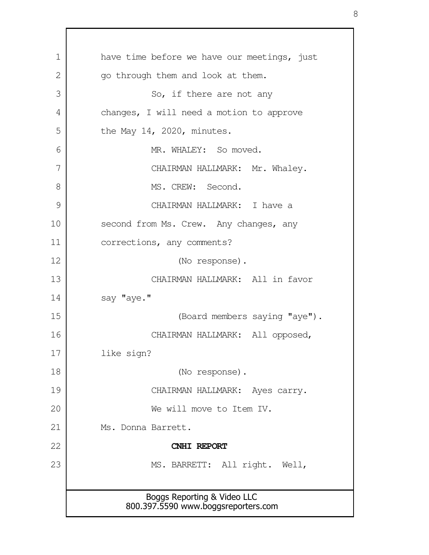Boggs Reporting & Video LLC 800.397.5590 www.boggsreporters.com have time before we have our meetings, just go through them and look at them. So, if there are not any changes, I will need a motion to approve the May 14, 2020, minutes. MR. WHALEY: So moved. CHAIRMAN HALLMARK: Mr. Whaley. MS. CREW: Second. CHAIRMAN HALLMARK: I have a second from Ms. Crew. Any changes, any corrections, any comments? (No response). CHAIRMAN HALLMARK: All in favor say "aye." (Board members saying "aye"). CHAIRMAN HALLMARK: All opposed, like sign? (No response). CHAIRMAN HALLMARK: Ayes carry. We will move to Item IV. Ms. Donna Barrett. **CNHI REPORT** MS. BARRETT: All right. Well, 1 2 3 4 5 6 7 8 9 10 11 12 13 14 15 16 17 18 19 20 21 22 23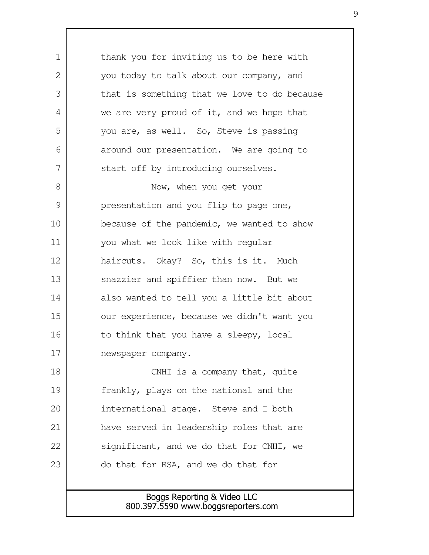Boggs Reporting & Video LLC 800.397.5590 www.boggsreporters.com thank you for inviting us to be here with you today to talk about our company, and that is something that we love to do because we are very proud of it, and we hope that you are, as well. So, Steve is passing around our presentation. We are going to start off by introducing ourselves. Now, when you get your presentation and you flip to page one, because of the pandemic, we wanted to show you what we look like with regular haircuts. Okay? So, this is it. Much snazzier and spiffier than now. But we also wanted to tell you a little bit about our experience, because we didn't want you to think that you have a sleepy, local newspaper company. CNHI is a company that, quite frankly, plays on the national and the international stage. Steve and I both have served in leadership roles that are significant, and we do that for CNHI, we do that for RSA, and we do that for 1  $\mathcal{L}$  3 4 5 6 7 8 9 10 11 12 13 14 15 16 17 18 19 20 21 22 23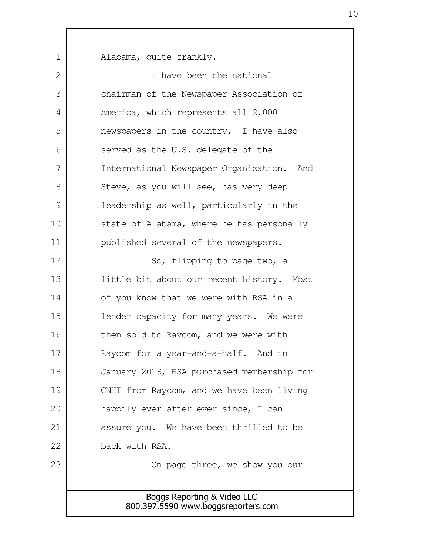Boggs Reporting & Video LLC 800.397.5590 www.boggsreporters.com Alabama, quite frankly. I have been the national chairman of the Newspaper Association of America, which represents all 2,000 newspapers in the country. I have also served as the U.S. delegate of the International Newspaper Organization. And Steve, as you will see, has very deep leadership as well, particularly in the state of Alabama, where he has personally published several of the newspapers. So, flipping to page two, a little bit about our recent history. Most of you know that we were with RSA in a lender capacity for many years. We were then sold to Raycom, and we were with Raycom for a year-and-a-half. And in January 2019, RSA purchased membership for CNHI from Raycom, and we have been living happily ever after ever since, I can assure you. We have been thrilled to be back with RSA. On page three, we show you our 1  $\mathcal{L}$  3 4 5 6 7 8 9 10 11 12 13 14 15 16 17 18 19 20 21 22 23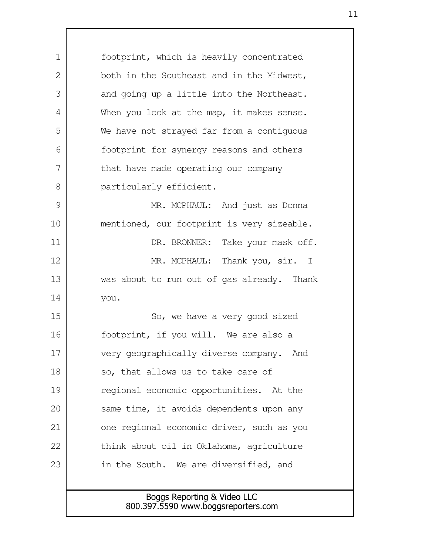footprint, which is heavily concentrated both in the Southeast and in the Midwest, and going up a little into the Northeast. When you look at the map, it makes sense. We have not strayed far from a contiguous footprint for synergy reasons and others that have made operating our company particularly efficient. MR. MCPHAUL: And just as Donna mentioned, our footprint is very sizeable. DR. BRONNER: Take your mask off. MR. MCPHAUL: Thank you, sir. I was about to run out of gas already. Thank you. So, we have a very good sized footprint, if you will. We are also a very geographically diverse company. And so, that allows us to take care of regional economic opportunities. At the same time, it avoids dependents upon any one regional economic driver, such as you think about oil in Oklahoma, agriculture in the South. We are diversified, and 1  $\mathcal{L}$  3 4 5 6 7 8 9 10 11 12 13 14 15 16 17 18 19 20 21 22 23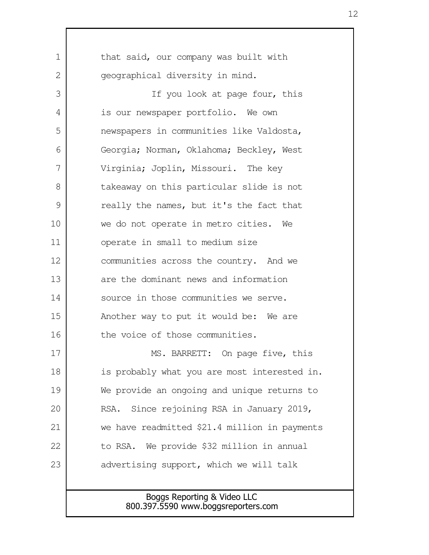| $\mathbf 1$ | that said, our company was built with         |
|-------------|-----------------------------------------------|
| 2           | geographical diversity in mind.               |
| 3           | If you look at page four, this                |
| 4           | is our newspaper portfolio. We own            |
| 5           | newspapers in communities like Valdosta,      |
| 6           | Georgia; Norman, Oklahoma; Beckley, West      |
| 7           | Virginia; Joplin, Missouri. The key           |
| 8           | takeaway on this particular slide is not      |
| 9           | really the names, but it's the fact that      |
| 10          | we do not operate in metro cities. We         |
| 11          | operate in small to medium size               |
| 12          | communities across the country. And we        |
| 13          | are the dominant news and information         |
| 14          | source in those communities we serve.         |
| 15          | Another way to put it would be: We are        |
| 16          | the voice of those communities.               |
| 17          | BARRETT: On page five, this<br>MS.            |
| 18          | is probably what you are most interested in.  |
| 19          | We provide an ongoing and unique returns to   |
| 20          | Since rejoining RSA in January 2019,<br>RSA.  |
| 21          | we have readmitted \$21.4 million in payments |
| 22          | to RSA. We provide \$32 million in annual     |
| 23          | advertising support, which we will talk       |
|             |                                               |
|             | Boggs Reporting & Video LLC                   |
|             | 800.397.5590 www.boggsreporters.com           |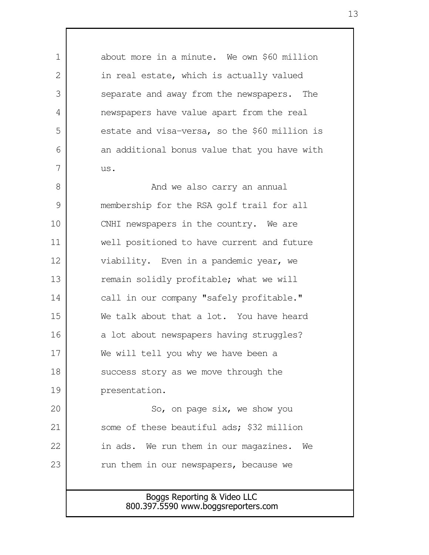Boggs Reporting & Video LLC 800.397.5590 www.boggsreporters.com about more in a minute. We own \$60 million in real estate, which is actually valued separate and away from the newspapers. The newspapers have value apart from the real estate and visa-versa, so the \$60 million is an additional bonus value that you have with us. And we also carry an annual membership for the RSA golf trail for all CNHI newspapers in the country. We are well positioned to have current and future viability. Even in a pandemic year, we remain solidly profitable; what we will call in our company "safely profitable." We talk about that a lot. You have heard a lot about newspapers having struggles? We will tell you why we have been a success story as we move through the presentation. So, on page six, we show you some of these beautiful ads; \$32 million in ads. We run them in our magazines. We run them in our newspapers, because we 1  $\mathcal{L}$  3 4 5 6 7 8 9 10 11 12 13 14 15 16 17 18 19 20 21 22 23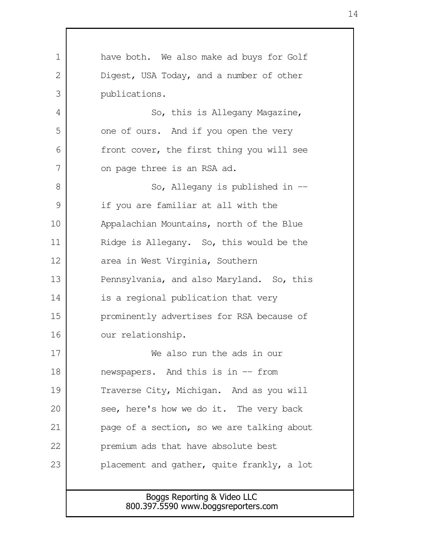Boggs Reporting & Video LLC 800.397.5590 www.boggsreporters.com have both. We also make ad buys for Golf Digest, USA Today, and a number of other publications. So, this is Allegany Magazine, one of ours. And if you open the very front cover, the first thing you will see on page three is an RSA ad. So, Allegany is published in - if you are familiar at all with the Appalachian Mountains, north of the Blue Ridge is Allegany. So, this would be the area in West Virginia, Southern Pennsylvania, and also Maryland. So, this is a regional publication that very prominently advertises for RSA because of our relationship. We also run the ads in our newspapers. And this is in -- from Traverse City, Michigan. And as you will see, here's how we do it. The very back page of a section, so we are talking about premium ads that have absolute best placement and gather, quite frankly, a lot 1 2 3 4 5 6 7 8 9 10 11 12 13 14 15 16 17 18 19 20 21 22 23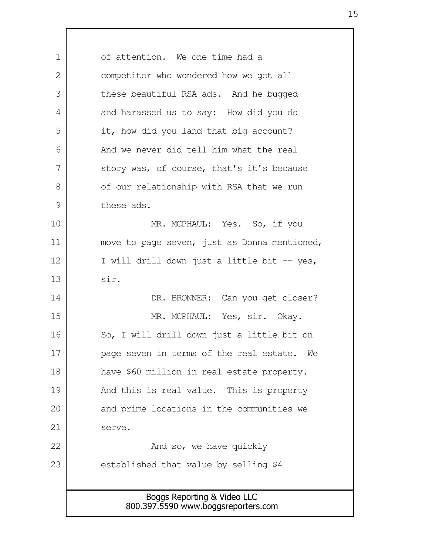Boggs Reporting & Video LLC 800.397.5590 www.boggsreporters.com of attention. We one time had a competitor who wondered how we got all these beautiful RSA ads. And he bugged and harassed us to say: How did you do it, how did you land that big account? And we never did tell him what the real story was, of course, that's it's because of our relationship with RSA that we run these ads. MR. MCPHAUL: Yes. So, if you move to page seven, just as Donna mentioned, I will drill down just a little bit -- yes, sir. DR. BRONNER: Can you get closer? MR. MCPHAUL: Yes, sir. Okay. So, I will drill down just a little bit on page seven in terms of the real estate. We have \$60 million in real estate property. And this is real value. This is property and prime locations in the communities we serve. And so, we have quickly established that value by selling \$4 1  $\mathcal{L}$  3 4 5 6 7 8 9 10 11 12 13 14 15 16 17 18 19 20 21 22 23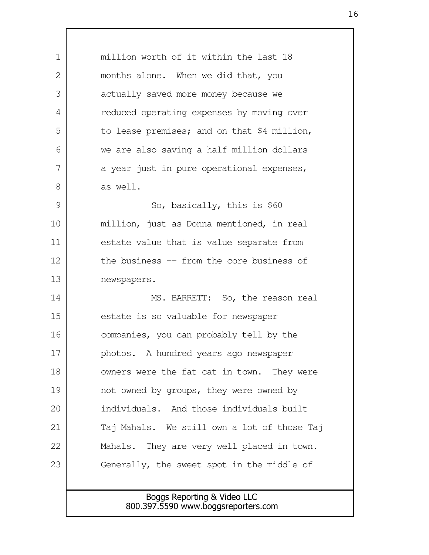Boggs Reporting & Video LLC 800.397.5590 www.boggsreporters.com million worth of it within the last 18 months alone. When we did that, you actually saved more money because we reduced operating expenses by moving over to lease premises; and on that \$4 million, we are also saving a half million dollars a year just in pure operational expenses, as well. So, basically, this is \$60 million, just as Donna mentioned, in real estate value that is value separate from the business -- from the core business of newspapers. MS. BARRETT: So, the reason real estate is so valuable for newspaper companies, you can probably tell by the photos. A hundred years ago newspaper owners were the fat cat in town. They were not owned by groups, they were owned by individuals. And those individuals built Taj Mahals. We still own a lot of those Taj Mahals. They are very well placed in town. Generally, the sweet spot in the middle of 1  $\mathcal{L}$  3 4 5 6 7 8 9 10 11 12 13 14 15 16 17 18 19 20 21 22 23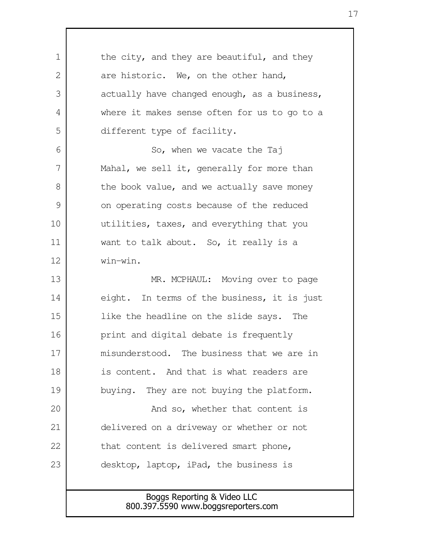Boggs Reporting & Video LLC 800.397.5590 www.boggsreporters.com the city, and they are beautiful, and they are historic. We, on the other hand, actually have changed enough, as a business, where it makes sense often for us to go to a different type of facility. So, when we vacate the Taj Mahal, we sell it, generally for more than the book value, and we actually save money on operating costs because of the reduced utilities, taxes, and everything that you want to talk about. So, it really is a win-win. MR. MCPHAUL: Moving over to page eight. In terms of the business, it is just like the headline on the slide says. The print and digital debate is frequently misunderstood. The business that we are in is content. And that is what readers are buying. They are not buying the platform. And so, whether that content is delivered on a driveway or whether or not that content is delivered smart phone, desktop, laptop, iPad, the business is 1  $\mathcal{L}$  3 4 5 6 7 8 9 10 11 12 13 14 15 16 17 18 19 20 21 22 23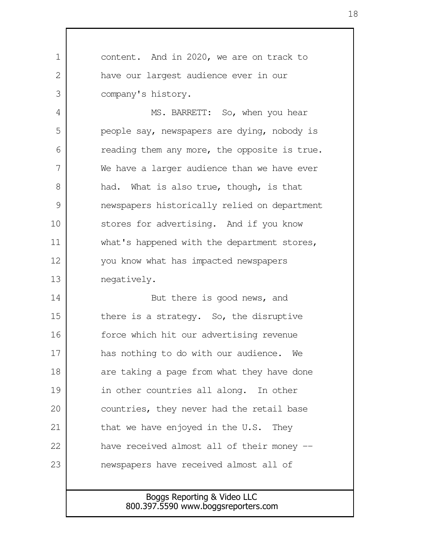content. And in 2020, we are on track to have our largest audience ever in our company's history. MS. BARRETT: So, when you hear people say, newspapers are dying, nobody is reading them any more, the opposite is true. We have a larger audience than we have ever had. What is also true, though, is that newspapers historically relied on department stores for advertising. And if you know what's happened with the department stores, you know what has impacted newspapers negatively. But there is good news, and there is a strategy. So, the disruptive force which hit our advertising revenue has nothing to do with our audience. We are taking a page from what they have done in other countries all along. In other countries, they never had the retail base that we have enjoyed in the U.S. They have received almost all of their money -newspapers have received almost all of 1  $\mathcal{L}$  3 4 5 6 7 8 9 10 11 12 13 14 15 16 17 18 19 20 21 22 23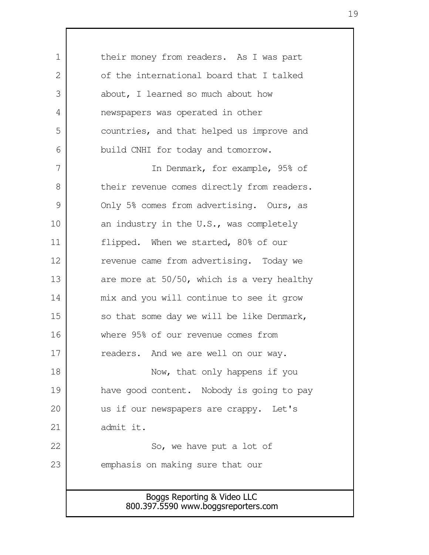| 1             | their money from readers. As I was part                            |
|---------------|--------------------------------------------------------------------|
| 2             | of the international board that I talked                           |
| 3             | about, I learned so much about how                                 |
| 4             | newspapers was operated in other                                   |
| 5             | countries, and that helped us improve and                          |
| 6             | build CNHI for today and tomorrow.                                 |
| 7             | In Denmark, for example, 95% of                                    |
| 8             | their revenue comes directly from readers.                         |
| $\mathcal{G}$ | Only 5% comes from advertising. Ours, as                           |
| 10            | an industry in the U.S., was completely                            |
| 11            | flipped. When we started, 80% of our                               |
| 12            | revenue came from advertising. Today we                            |
| 13            | are more at $50/50$ , which is a very healthy                      |
| 14            | mix and you will continue to see it grow                           |
| 15            | so that some day we will be like Denmark,                          |
| 16            | where 95% of our revenue comes from                                |
| 17            | readers. And we are well on our way.                               |
| 18            | Now, that only happens if you                                      |
| 19            | have good content. Nobody is going to pay                          |
| 20            | us if our newspapers are crappy. Let's                             |
| 21            | admit it.                                                          |
| 22            | So, we have put a lot of                                           |
| 23            | emphasis on making sure that our                                   |
|               |                                                                    |
|               | Boggs Reporting & Video LLC<br>800.397.5590 www.boggsreporters.com |
|               |                                                                    |

 $\mathsf{l}$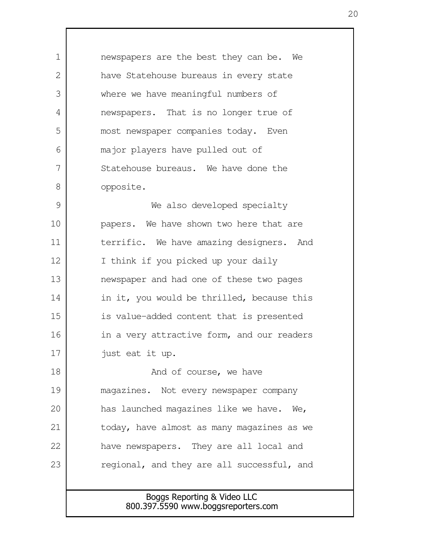newspapers are the best they can be. We have Statehouse bureaus in every state where we have meaningful numbers of newspapers. That is no longer true of most newspaper companies today. Even major players have pulled out of Statehouse bureaus. We have done the opposite. We also developed specialty 1  $\mathcal{L}$  3 4 5 6 7 8 9

papers. We have shown two here that are terrific. We have amazing designers. And I think if you picked up your daily newspaper and had one of these two pages in it, you would be thrilled, because this is value-added content that is presented in a very attractive form, and our readers just eat it up. 10 11 12 13 14 15 16 17

And of course, we have magazines. Not every newspaper company has launched magazines like we have. We, today, have almost as many magazines as we have newspapers. They are all local and regional, and they are all successful, and 18 19 20 21 22 23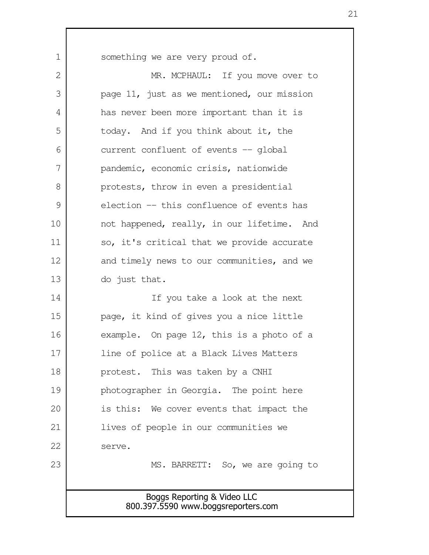something we are very proud of.

1

Boggs Reporting & Video LLC 800.397.5590 www.boggsreporters.com MR. MCPHAUL: If you move over to page 11, just as we mentioned, our mission has never been more important than it is today. And if you think about it, the current confluent of events -- global pandemic, economic crisis, nationwide protests, throw in even a presidential election -- this confluence of events has not happened, really, in our lifetime. And so, it's critical that we provide accurate and timely news to our communities, and we do just that. If you take a look at the next page, it kind of gives you a nice little example. On page 12, this is a photo of a line of police at a Black Lives Matters protest. This was taken by a CNHI photographer in Georgia. The point here is this: We cover events that impact the lives of people in our communities we serve. MS. BARRETT: So, we are going to 2 3 4 5 6 7 8 9 10 11 12 13 14 15 16 17 18 19 20 21 22 23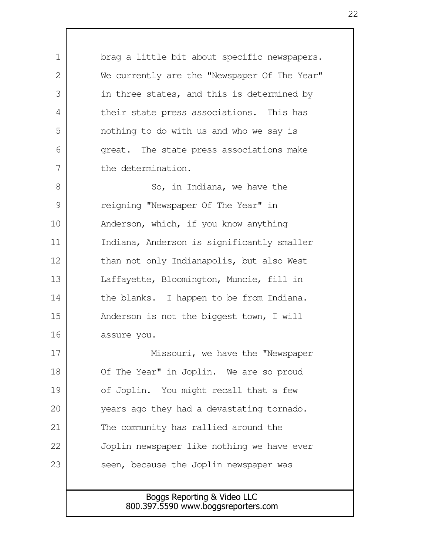Boggs Reporting & Video LLC brag a little bit about specific newspapers. We currently are the "Newspaper Of The Year" in three states, and this is determined by their state press associations. This has nothing to do with us and who we say is great. The state press associations make the determination. So, in Indiana, we have the reigning "Newspaper Of The Year" in Anderson, which, if you know anything Indiana, Anderson is significantly smaller than not only Indianapolis, but also West Laffayette, Bloomington, Muncie, fill in the blanks. I happen to be from Indiana. Anderson is not the biggest town, I will assure you. Missouri, we have the "Newspaper Of The Year" in Joplin. We are so proud of Joplin. You might recall that a few years ago they had a devastating tornado. The community has rallied around the Joplin newspaper like nothing we have ever seen, because the Joplin newspaper was 1  $\mathcal{L}$  3 4 5 6 7 8 9 10 11 12 13 14 15 16 17 18 19 20 21 22 23

800.397.5590 www.boggsreporters.com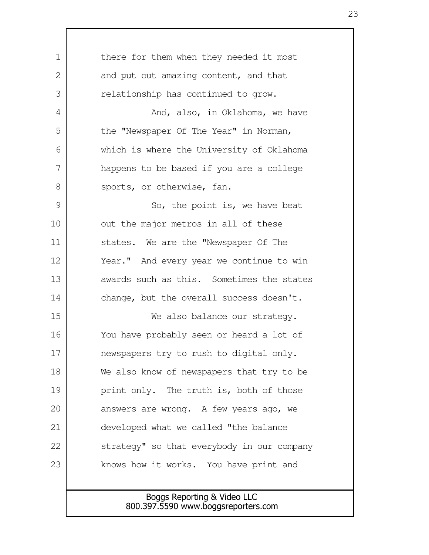| $\mathbf 1$  | there for them when they needed it most    |
|--------------|--------------------------------------------|
| $\mathbf{2}$ | and put out amazing content, and that      |
| 3            | relationship has continued to grow.        |
| 4            | And, also, in Oklahoma, we have            |
| 5            | the "Newspaper Of The Year" in Norman,     |
| 6            | which is where the University of Oklahoma  |
| 7            | happens to be based if you are a college   |
| 8            | sports, or otherwise, fan.                 |
| 9            | So, the point is, we have beat             |
| 10           | out the major metros in all of these       |
| 11           | states. We are the "Newspaper Of The       |
| 12           | Year." And every year we continue to win   |
| 13           | awards such as this. Sometimes the states  |
| 14           | change, but the overall success doesn't.   |
| 15           | We also balance our strategy.              |
| 16           | You have probably seen or heard a lot of   |
| 17           | newspapers try to rush to digital only.    |
| 18           | We also know of newspapers that try to be  |
| 19           | print only. The truth is, both of those    |
| 20           | answers are wrong. A few years ago, we     |
| 21           | developed what we called "the balance      |
| 22           | strategy" so that everybody in our company |
| 23           | knows how it works. You have print and     |
|              |                                            |
|              | Boggs Reporting & Video LLC                |

Г

800.397.5590 www.boggsreporters.com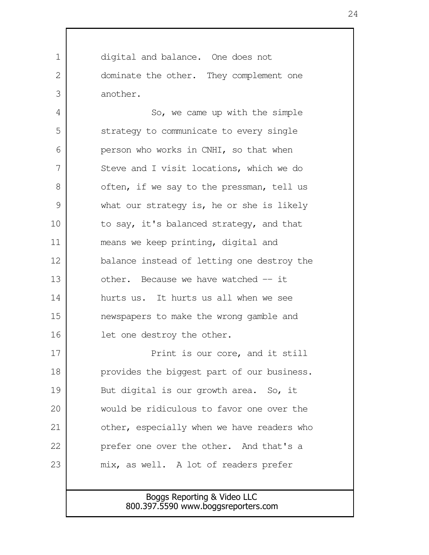digital and balance. One does not dominate the other. They complement one another. 1  $\mathcal{L}$ 3

So, we came up with the simple strategy to communicate to every single person who works in CNHI, so that when Steve and I visit locations, which we do often, if we say to the pressman, tell us what our strategy is, he or she is likely to say, it's balanced strategy, and that means we keep printing, digital and balance instead of letting one destroy the other. Because we have watched -- it hurts us. It hurts us all when we see newspapers to make the wrong gamble and let one destroy the other. 4 5 6 7 8 9 10 11 12 13 14 15 16

Print is our core, and it still provides the biggest part of our business. But digital is our growth area. So, it would be ridiculous to favor one over the other, especially when we have readers who prefer one over the other. And that's a mix, as well. A lot of readers prefer 17 18 19 20 21 22 23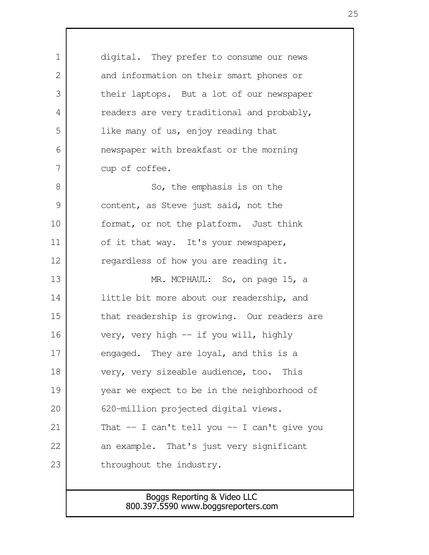digital. They prefer to consume our news and information on their smart phones or their laptops. But a lot of our newspaper readers are very traditional and probably, like many of us, enjoy reading that newspaper with breakfast or the morning cup of coffee. So, the emphasis is on the content, as Steve just said, not the format, or not the platform. Just think of it that way. It's your newspaper, regardless of how you are reading it. MR. MCPHAUL: So, on page 15, a little bit more about our readership, and that readership is growing. Our readers are very, very high -- if you will, highly engaged. They are loyal, and this is a very, very sizeable audience, too. This year we expect to be in the neighborhood of 620-million projected digital views. That -- I can't tell you -- I can't give you an example. That's just very significant throughout the industry. 1  $\mathcal{L}$  3 4 5 6 7 8 9 10 11 12 13 14 15 16 17 18 19 20 21 22 23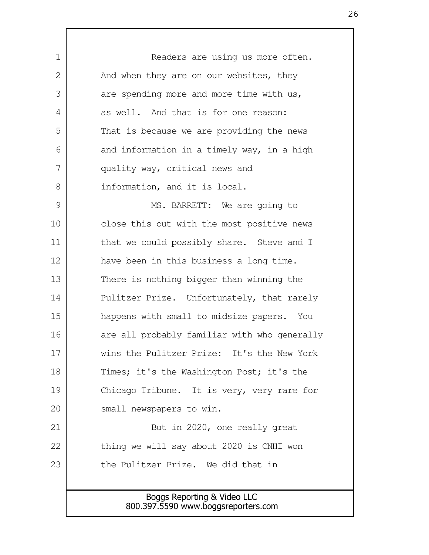Boggs Reporting & Video LLC Readers are using us more often. And when they are on our websites, they are spending more and more time with us, as well. And that is for one reason: That is because we are providing the news and information in a timely way, in a high quality way, critical news and information, and it is local. MS. BARRETT: We are going to close this out with the most positive news that we could possibly share. Steve and I have been in this business a long time. There is nothing bigger than winning the Pulitzer Prize. Unfortunately, that rarely happens with small to midsize papers. You are all probably familiar with who generally wins the Pulitzer Prize: It's the New York Times; it's the Washington Post; it's the Chicago Tribune. It is very, very rare for small newspapers to win. But in 2020, one really great thing we will say about 2020 is CNHI won the Pulitzer Prize. We did that in 1  $\mathcal{L}$  3 4 5 6 7 8 9 10 11 12 13 14 15 16 17 18 19 20 21 22 23

800.397.5590 www.boggsreporters.com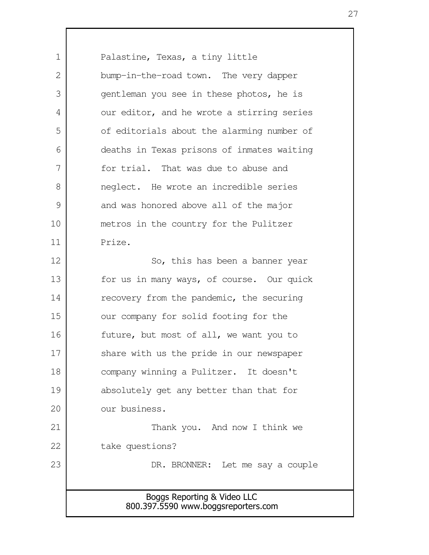Boggs Reporting & Video LLC 800.397.5590 www.boggsreporters.com Palastine, Texas, a tiny little bump-in-the-road town. The very dapper gentleman you see in these photos, he is our editor, and he wrote a stirring series of editorials about the alarming number of deaths in Texas prisons of inmates waiting for trial. That was due to abuse and neglect. He wrote an incredible series and was honored above all of the major metros in the country for the Pulitzer Prize. So, this has been a banner year for us in many ways, of course. Our quick recovery from the pandemic, the securing our company for solid footing for the future, but most of all, we want you to share with us the pride in our newspaper company winning a Pulitzer. It doesn't absolutely get any better than that for our business. Thank you. And now I think we take questions? DR. BRONNER: Let me say a couple 1  $\mathcal{L}$  3 4 5 6 7 8 9 10 11 12 13 14 15 16 17 18 19 20 21 22 23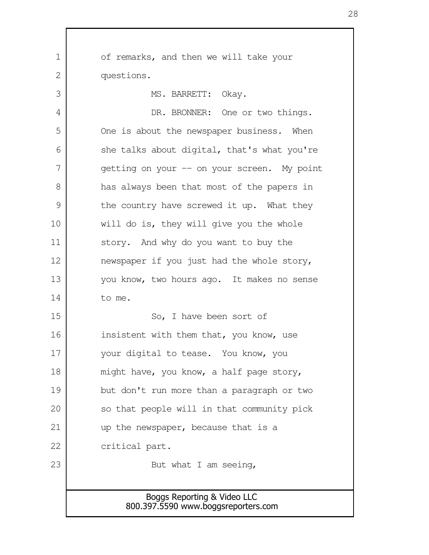Boggs Reporting & Video LLC 800.397.5590 www.boggsreporters.com of remarks, and then we will take your questions. MS. BARRETT: Okay. DR. BRONNER: One or two things. One is about the newspaper business. When she talks about digital, that's what you're getting on your -- on your screen. My point has always been that most of the papers in the country have screwed it up. What they will do is, they will give you the whole story. And why do you want to buy the newspaper if you just had the whole story, you know, two hours ago. It makes no sense to me. So, I have been sort of insistent with them that, you know, use your digital to tease. You know, you might have, you know, a half page story, but don't run more than a paragraph or two so that people will in that community pick up the newspaper, because that is a critical part. But what I am seeing, 1 2 3 4 5 6 7 8 9 10 11 12 13 14 15 16 17 18 19 20 21 22 23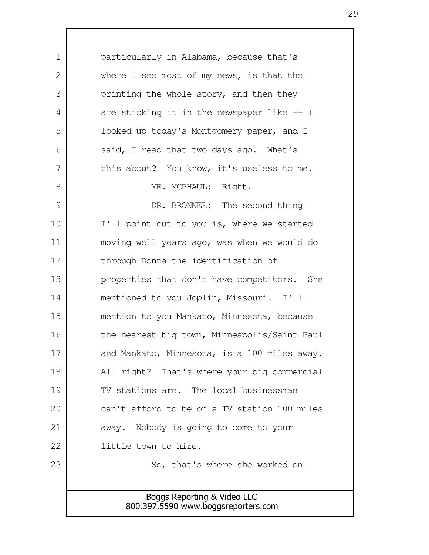Boggs Reporting & Video LLC 800.397.5590 www.boggsreporters.com particularly in Alabama, because that's where I see most of my news, is that the printing the whole story, and then they are sticking it in the newspaper like -- I looked up today's Montgomery paper, and I said, I read that two days ago. What's this about? You know, it's useless to me. MR. MCPHAUL: Right. DR. BRONNER: The second thing I'll point out to you is, where we started moving well years ago, was when we would do through Donna the identification of properties that don't have competitors. She mentioned to you Joplin, Missouri. I'll mention to you Mankato, Minnesota, because the nearest big town, Minneapolis/Saint Paul and Mankato, Minnesota, is a 100 miles away. All right? That's where your big commercial TV stations are. The local businessman can't afford to be on a TV station 100 miles away. Nobody is going to come to your little town to hire. So, that's where she worked on 1  $\mathcal{L}$  3 4 5 6 7 8 9 10 11 12 13 14 15 16 17 18 19 20 21 22 23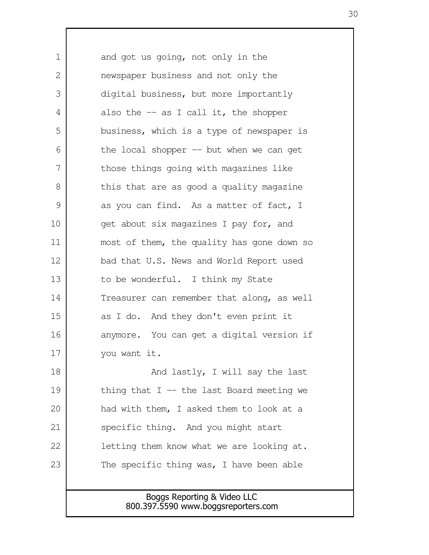and got us going, not only in the newspaper business and not only the digital business, but more importantly also the  $-$  as I call it, the shopper business, which is a type of newspaper is the local shopper  $-$  but when we can get those things going with magazines like this that are as good a quality magazine as you can find. As a matter of fact, I get about six magazines I pay for, and most of them, the quality has gone down so bad that U.S. News and World Report used to be wonderful. I think my State Treasurer can remember that along, as well as I do. And they don't even print it anymore. You can get a digital version if you want it. And lastly, I will say the last thing that  $I$  -- the last Board meeting we had with them, I asked them to look at a specific thing. And you might start letting them know what we are looking at. The specific thing was, I have been able 1  $\mathcal{L}$  3 4 5 6 7 8 9 10 11 12 13 14 15 16 17 18 19 20 21 22 23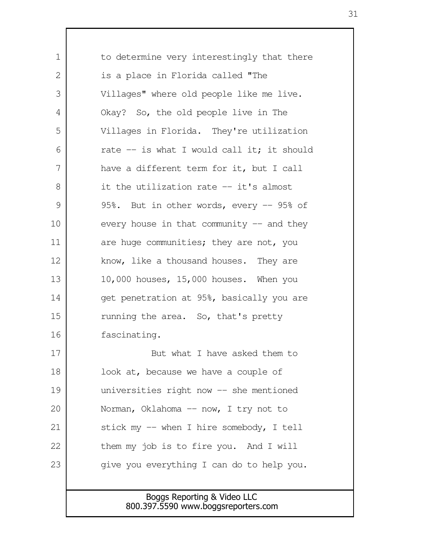Boggs Reporting & Video LLC 800.397.5590 www.boggsreporters.com to determine very interestingly that there is a place in Florida called "The Villages" where old people like me live. Okay? So, the old people live in The Villages in Florida. They're utilization rate  $-$  is what I would call it; it should have a different term for it, but I call it the utilization rate -- it's almost 95%. But in other words, every -- 95% of every house in that community  $-$  and they are huge communities; they are not, you know, like a thousand houses. They are 10,000 houses, 15,000 houses. When you get penetration at 95%, basically you are running the area. So, that's pretty fascinating. But what I have asked them to look at, because we have a couple of universities right now -- she mentioned Norman, Oklahoma -- now, I try not to stick my -- when I hire somebody, I tell them my job is to fire you. And I will give you everything I can do to help you. 1 2 3 4 5 6 7 8 9 10 11 12 13 14 15 16 17 18 19 20 21 22 23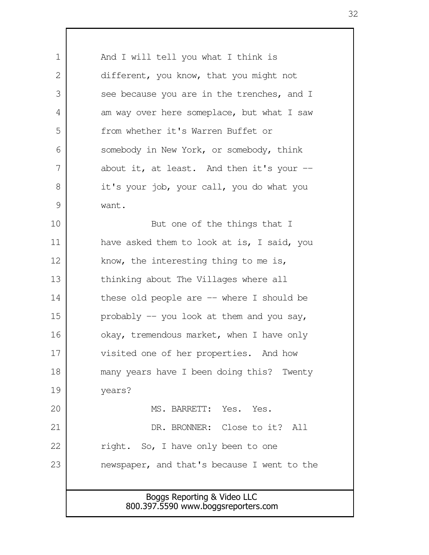Boggs Reporting & Video LLC 800.397.5590 www.boggsreporters.com And I will tell you what I think is different, you know, that you might not see because you are in the trenches, and I am way over here someplace, but what I saw from whether it's Warren Buffet or somebody in New York, or somebody, think about it, at least. And then it's your  $$ it's your job, your call, you do what you want. But one of the things that I have asked them to look at is, I said, you know, the interesting thing to me is, thinking about The Villages where all these old people are -- where I should be probably  $-$  you look at them and you say, okay, tremendous market, when I have only visited one of her properties. And how many years have I been doing this? Twenty years? MS. BARRETT: Yes. Yes. DR. BRONNER: Close to it? All right. So, I have only been to one newspaper, and that's because I went to the 1 2 3 4 5 6 7 8 9 10 11 12 13 14 15 16 17 18 19 20 21 22 23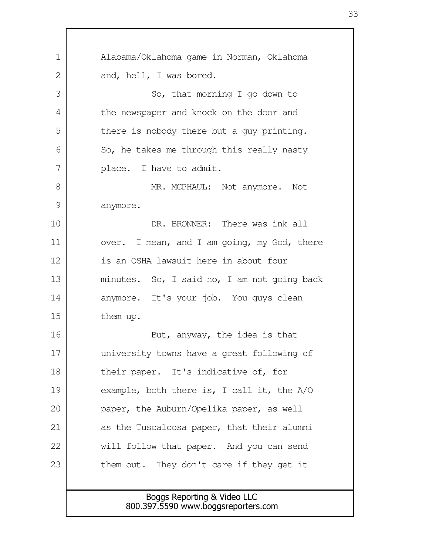| 1             | Alabama/Oklahoma game in Norman, Oklahoma    |
|---------------|----------------------------------------------|
| 2             | and, hell, I was bored.                      |
| 3             | So, that morning I go down to                |
| 4             | the newspaper and knock on the door and      |
| 5             | there is nobody there but a guy printing.    |
| 6             | So, he takes me through this really nasty    |
| 7             | place. I have to admit.                      |
| 8             | MR. MCPHAUL: Not anymore. Not                |
| $\mathcal{G}$ | anymore.                                     |
| 10            | DR. BRONNER: There was ink all               |
| 11            | over. I mean, and I am going, my God, there  |
| 12            | is an OSHA lawsuit here in about four        |
| 13            | minutes. So, I said no, I am not going back  |
| 14            | anymore. It's your job. You guys clean       |
| 15            | them up.                                     |
| 16            | But, anyway, the idea is that                |
| 17            | university towns have a great following of   |
| 18            | their paper. It's indicative of, for         |
| 19            | example, both there is, I call it, the $A/O$ |
| 20            | paper, the Auburn/Opelika paper, as well     |
| 21            | as the Tuscaloosa paper, that their alumni   |
| 22            | will follow that paper. And you can send     |
| 23            | them out. They don't care if they get it     |
|               |                                              |
|               | Boggs Reporting & Video LLC                  |
|               | 800.397.5590 www.boggsreporters.com          |

 $\Gamma$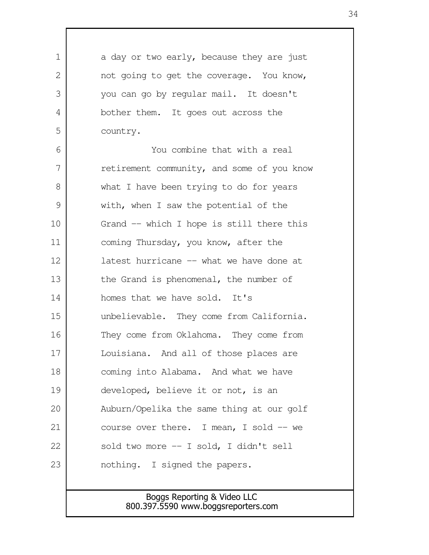| 1  | a day or two early, because they are just  |
|----|--------------------------------------------|
| 2  | not going to get the coverage. You know,   |
| 3  | you can go by regular mail. It doesn't     |
| 4  | bother them. It goes out across the        |
| 5  | country.                                   |
| 6  | You combine that with a real               |
| 7  | retirement community, and some of you know |
| 8  | what I have been trying to do for years    |
| 9  | with, when I saw the potential of the      |
| 10 | Grand -- which I hope is still there this  |
| 11 | coming Thursday, you know, after the       |
| 12 | latest hurricane -- what we have done at   |
| 13 | the Grand is phenomenal, the number of     |
| 14 | homes that we have sold. It's              |
| 15 | unbelievable. They come from California.   |
| 16 | They come from Oklahoma. They come from    |
| 17 | Louisiana. And all of those places are     |
| 18 | coming into Alabama. And what we have      |
| 19 | developed, believe it or not, is an        |
| 20 | Auburn/Opelika the same thing at our golf  |
| 21 | course over there. I mean, I sold -- we    |
| 22 | sold two more -- I sold, I didn't sell     |
| 23 | nothing. I signed the papers.              |
|    |                                            |

Г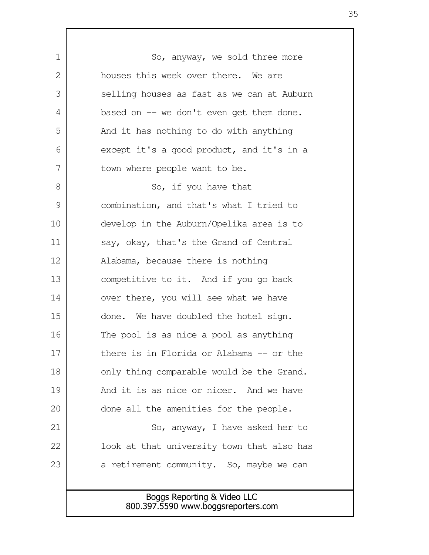Boggs Reporting & Video LLC So, anyway, we sold three more houses this week over there. We are selling houses as fast as we can at Auburn based on  $-$  we don't even get them done. And it has nothing to do with anything except it's a good product, and it's in a town where people want to be. So, if you have that combination, and that's what I tried to develop in the Auburn/Opelika area is to say, okay, that's the Grand of Central Alabama, because there is nothing competitive to it. And if you go back over there, you will see what we have done. We have doubled the hotel sign. The pool is as nice a pool as anything there is in Florida or Alabama -- or the only thing comparable would be the Grand. And it is as nice or nicer. And we have done all the amenities for the people. So, anyway, I have asked her to look at that university town that also has a retirement community. So, maybe we can 1  $\mathcal{L}$  3 4 5 6 7 8 9 10 11 12 13 14 15 16 17 18 19 20 21 22 23

800.397.5590 www.boggsreporters.com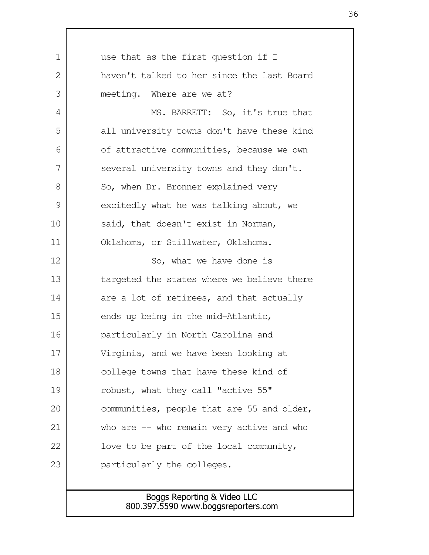use that as the first question if I haven't talked to her since the last Board meeting. Where are we at? MS. BARRETT: So, it's true that all university towns don't have these kind of attractive communities, because we own several university towns and they don't. So, when Dr. Bronner explained very excitedly what he was talking about, we said, that doesn't exist in Norman, Oklahoma, or Stillwater, Oklahoma. So, what we have done is targeted the states where we believe there are a lot of retirees, and that actually ends up being in the mid-Atlantic, particularly in North Carolina and Virginia, and we have been looking at college towns that have these kind of robust, what they call "active 55" communities, people that are 55 and older, who are  $-$  who remain very active and who love to be part of the local community, particularly the colleges. 1  $\mathcal{L}$  3 4 5 6 7 8 9 10 11 12 13 14 15 16 17 18 19 20 21 22 23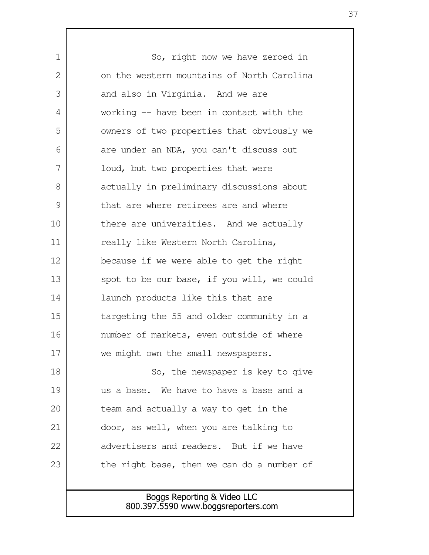So, right now we have zeroed in on the western mountains of North Carolina and also in Virginia. And we are working -- have been in contact with the owners of two properties that obviously we are under an NDA, you can't discuss out loud, but two properties that were actually in preliminary discussions about that are where retirees are and where there are universities. And we actually really like Western North Carolina, because if we were able to get the right spot to be our base, if you will, we could launch products like this that are targeting the 55 and older community in a number of markets, even outside of where we might own the small newspapers. So, the newspaper is key to give us a base. We have to have a base and a team and actually a way to get in the door, as well, when you are talking to advertisers and readers. But if we have the right base, then we can do a number of 1  $\mathcal{L}$  3 4 5 6 7 8 9 10 11 12 13 14 15 16 17 18 19 20 21 22 23

## Boggs Reporting & Video LLC 800.397.5590 www.boggsreporters.com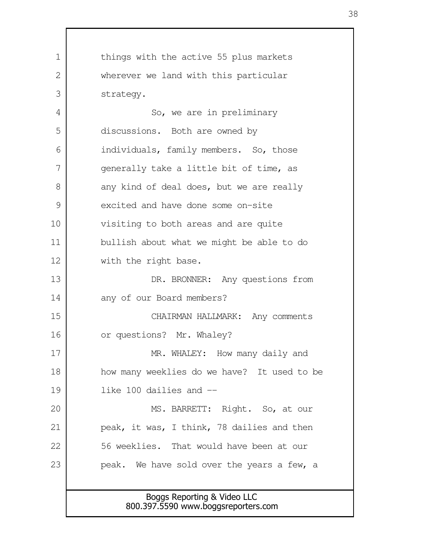Boggs Reporting & Video LLC 800.397.5590 www.boggsreporters.com things with the active 55 plus markets wherever we land with this particular strategy. So, we are in preliminary discussions. Both are owned by individuals, family members. So, those generally take a little bit of time, as any kind of deal does, but we are really excited and have done some on-site visiting to both areas and are quite bullish about what we might be able to do with the right base. DR. BRONNER: Any questions from any of our Board members? CHAIRMAN HALLMARK: Any comments or questions? Mr. Whaley? MR. WHALEY: How many daily and how many weeklies do we have? It used to be like 100 dailies and -- MS. BARRETT: Right. So, at our peak, it was, I think, 78 dailies and then 56 weeklies. That would have been at our peak. We have sold over the years a few, a 1  $\mathcal{L}$  3 4 5 6 7 8 9 10 11 12 13 14 15 16 17 18 19 20 21 22 23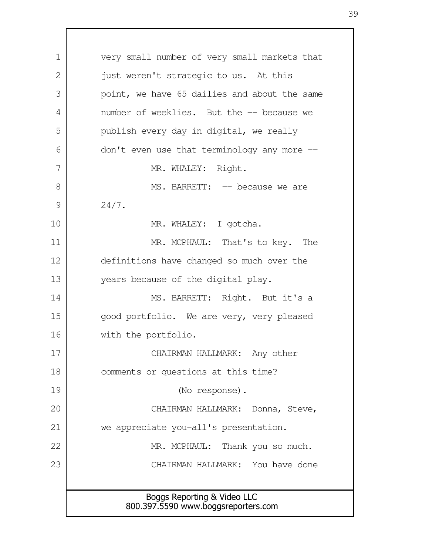Boggs Reporting & Video LLC 800.397.5590 www.boggsreporters.com very small number of very small markets that just weren't strategic to us. At this point, we have 65 dailies and about the same number of weeklies. But the -- because we publish every day in digital, we really don't even use that terminology any more -- MR. WHALEY: Right. MS. BARRETT: -- because we are 24/7. MR. WHALEY: I gotcha. MR. MCPHAUL: That's to key. The definitions have changed so much over the years because of the digital play. MS. BARRETT: Right. But it's a good portfolio. We are very, very pleased with the portfolio. CHAIRMAN HALLMARK: Any other comments or questions at this time? (No response). CHAIRMAN HALLMARK: Donna, Steve, we appreciate you-all's presentation. MR. MCPHAUL: Thank you so much. CHAIRMAN HALLMARK: You have done 1  $\mathcal{L}$  3 4 5 6 7 8 9 10 11 12 13 14 15 16 17 18 19 20 21 22 23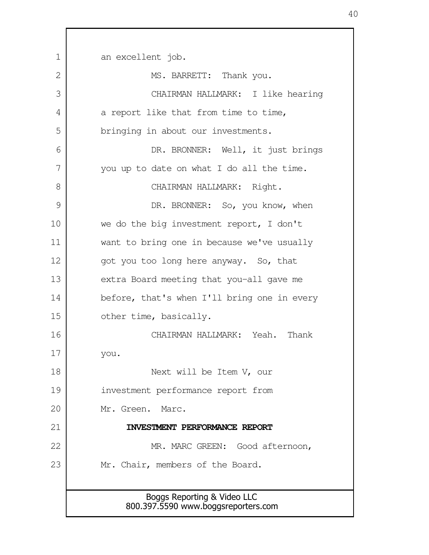Boggs Reporting & Video LLC 800.397.5590 www.boggsreporters.com an excellent job. MS. BARRETT: Thank you. CHAIRMAN HALLMARK: I like hearing a report like that from time to time, bringing in about our investments. DR. BRONNER: Well, it just brings you up to date on what I do all the time. CHAIRMAN HALLMARK: Right. DR. BRONNER: So, you know, when we do the big investment report, I don't want to bring one in because we've usually got you too long here anyway. So, that extra Board meeting that you-all gave me before, that's when I'll bring one in every other time, basically. CHAIRMAN HALLMARK: Yeah. Thank you. Next will be Item V, our investment performance report from Mr. Green. Marc. **INVESTMENT PERFORMANCE REPORT** MR. MARC GREEN: Good afternoon, Mr. Chair, members of the Board. 1  $\mathcal{D}_{\mathcal{L}}$  3 4 5 6 7 8 9 10 11 12 13 14 15 16 17 18 19 20 21 22 23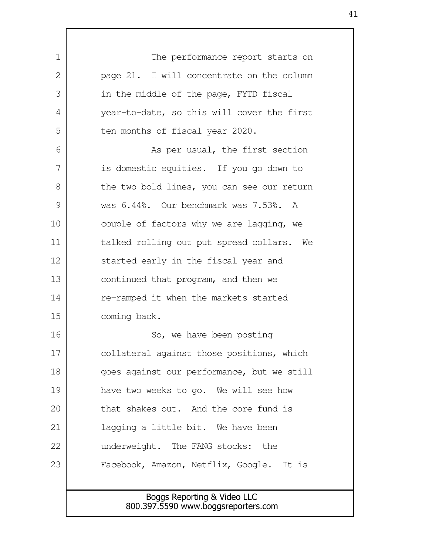| $\mathbf 1$ | The performance report starts on                                   |
|-------------|--------------------------------------------------------------------|
| 2           | page 21. I will concentrate on the column                          |
| 3           | in the middle of the page, FYTD fiscal                             |
| 4           | year-to-date, so this will cover the first                         |
| 5           | ten months of fiscal year 2020.                                    |
| 6           | As per usual, the first section                                    |
| 7           | is domestic equities. If you go down to                            |
| 8           | the two bold lines, you can see our return                         |
| 9           | was 6.44%. Our benchmark was 7.53%. A                              |
| 10          | couple of factors why we are lagging, we                           |
| 11          | talked rolling out put spread collars. We                          |
| 12          | started early in the fiscal year and                               |
| 13          | continued that program, and then we                                |
| 14          | re-ramped it when the markets started                              |
| 15          | coming back.                                                       |
| 16          | So, we have been posting                                           |
| 17          | collateral against those positions, which                          |
| 18          | goes against our performance, but we still                         |
| 19          | have two weeks to go. We will see how                              |
| 20          | that shakes out. And the core fund is                              |
| 21          | lagging a little bit. We have been                                 |
| 22          | underweight. The FANG stocks: the                                  |
| 23          | Facebook, Amazon, Netflix, Google. It is                           |
|             |                                                                    |
|             | Boggs Reporting & Video LLC<br>800.397.5590 www.boggsreporters.com |
|             |                                                                    |

Г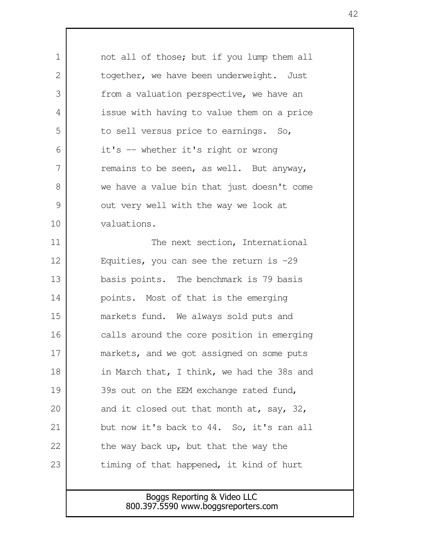| $\mathbf 1$   | not all of those; but if you lump them all   |
|---------------|----------------------------------------------|
| 2             | together, we have been underweight. Just     |
| 3             | from a valuation perspective, we have an     |
| 4             | issue with having to value them on a price   |
| 5             | to sell versus price to earnings. So,        |
| 6             | it's -- whether it's right or wrong          |
| 7             | remains to be seen, as well. But anyway,     |
| 8             | we have a value bin that just doesn't come   |
| $\mathcal{G}$ | out very well with the way we look at        |
| 10            | valuations.                                  |
| 11            | The next section, International              |
| 12            | Equities, you can see the return is $-29$    |
| 13            | basis points. The benchmark is 79 basis      |
| 14            | points. Most of that is the emerging         |
| 15            | markets fund. We always sold puts and        |
| 16            | calls around the core position in emerging   |
| 17            | markets, and we got assigned on some puts    |
| 18            | in March that, I think, we had the 38s and   |
| 19            | 39s out on the EEM exchange rated fund,      |
| 20            | and it closed out that month at, say, $32$ , |
| 21            | but now it's back to 44. So, it's ran all    |
| 22            | the way back up, but that the way the        |
| 23            | timing of that happened, it kind of hurt     |
|               |                                              |
|               | Boggs Reporting & Video LLC                  |

 $\mathsf{l}$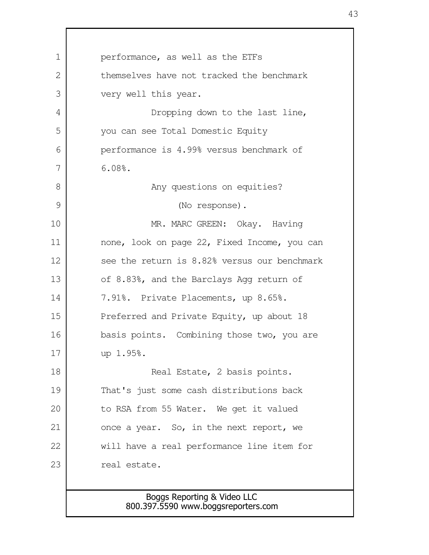Boggs Reporting & Video LLC 800.397.5590 www.boggsreporters.com performance, as well as the ETFs themselves have not tracked the benchmark very well this year. Dropping down to the last line, you can see Total Domestic Equity performance is 4.99% versus benchmark of 6.08%. Any questions on equities? (No response). MR. MARC GREEN: Okay. Having none, look on page 22, Fixed Income, you can see the return is 8.82% versus our benchmark of 8.83%, and the Barclays Agg return of 7.91%. Private Placements, up 8.65%. Preferred and Private Equity, up about 18 basis points. Combining those two, you are up 1.95%. Real Estate, 2 basis points. That's just some cash distributions back to RSA from 55 Water. We get it valued once a year. So, in the next report, we will have a real performance line item for real estate. 1  $\mathcal{L}$  3 4 5 6 7 8 9 10 11 12 13 14 15 16 17 18 19 20 21 22 23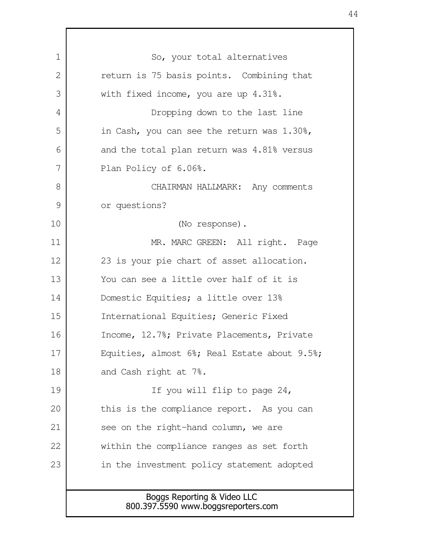| $\mathbf 1$ | So, your total alternatives                                        |
|-------------|--------------------------------------------------------------------|
| 2           | return is 75 basis points. Combining that                          |
| 3           | with fixed income, you are up 4.31%.                               |
| 4           | Dropping down to the last line                                     |
| 5           | in Cash, you can see the return was $1.30\%$ ,                     |
| 6           | and the total plan return was 4.81% versus                         |
| 7           | Plan Policy of 6.06%.                                              |
| 8           | CHAIRMAN HALLMARK: Any comments                                    |
| 9           | or questions?                                                      |
| 10          | (No response).                                                     |
| 11          | MR. MARC GREEN: All right. Page                                    |
| 12          | 23 is your pie chart of asset allocation.                          |
| 13          | You can see a little over half of it is                            |
| 14          | Domestic Equities; a little over 13%                               |
| 15          | International Equities; Generic Fixed                              |
| 16          | Income, 12.7%; Private Placements, Private                         |
| 17          | Equities, almost 6%; Real Estate about 9.5%;                       |
| 18          | and Cash right at 7%.                                              |
| 19          | If you will flip to page 24,                                       |
| 20          | this is the compliance report. As you can                          |
| 21          | see on the right-hand column, we are                               |
| 22          | within the compliance ranges as set forth                          |
| 23          | in the investment policy statement adopted                         |
|             |                                                                    |
|             | Boggs Reporting & Video LLC<br>800.397.5590 www.boggsreporters.com |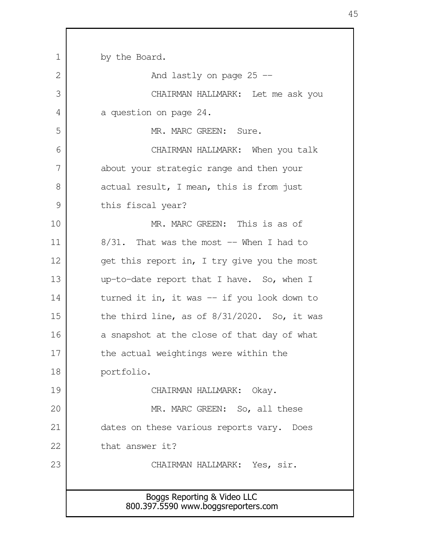| $\mathbf 1$ | by the Board.                                                      |
|-------------|--------------------------------------------------------------------|
| 2           | And lastly on page $25$ --                                         |
| 3           | CHAIRMAN HALLMARK: Let me ask you                                  |
| 4           | a question on page 24.                                             |
| 5           | MR. MARC GREEN: Sure.                                              |
| 6           | CHAIRMAN HALLMARK: When you talk                                   |
| 7           | about your strategic range and then your                           |
| 8           | actual result, I mean, this is from just                           |
| 9           | this fiscal year?                                                  |
| 10          | MR. MARC GREEN: This is as of                                      |
| 11          | $8/31$ . That was the most $-$ When I had to                       |
| 12          | get this report in, I try give you the most                        |
| 13          | up-to-date report that I have. So, when I                          |
| 14          | turned it in, it was -- if you look down to                        |
| 15          | the third line, as of $8/31/2020$ . So, it was                     |
| 16          | a snapshot at the close of that day of what                        |
| 17          | the actual weightings were within the                              |
| 18          | portfolio.                                                         |
| 19          | CHAIRMAN HALLMARK:<br>Okay.                                        |
| 20          | MR. MARC GREEN: So, all these                                      |
| 21          | dates on these various reports vary. Does                          |
| 22          | that answer it?                                                    |
| 23          | CHAIRMAN HALLMARK: Yes, sir.                                       |
|             |                                                                    |
|             | Boggs Reporting & Video LLC<br>800.397.5590 www.boggsreporters.com |
|             |                                                                    |

 $\Gamma$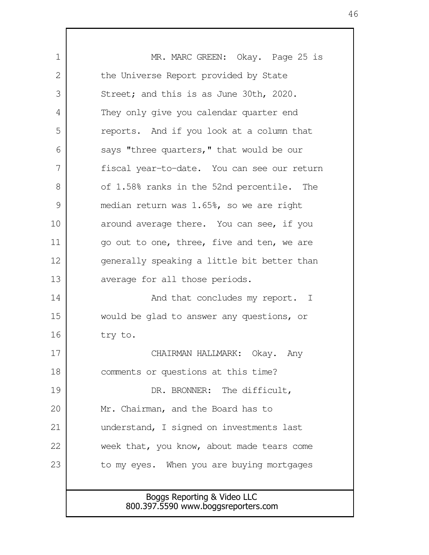Boggs Reporting & Video LLC 800.397.5590 www.boggsreporters.com MR. MARC GREEN: Okay. Page 25 is the Universe Report provided by State Street; and this is as June 30th, 2020. They only give you calendar quarter end reports. And if you look at a column that says "three quarters," that would be our fiscal year-to-date. You can see our return of 1.58% ranks in the 52nd percentile. The median return was 1.65%, so we are right around average there. You can see, if you go out to one, three, five and ten, we are generally speaking a little bit better than average for all those periods. And that concludes my report. I would be glad to answer any questions, or try to. CHAIRMAN HALLMARK: Okay. Any comments or questions at this time? DR. BRONNER: The difficult, Mr. Chairman, and the Board has to understand, I signed on investments last week that, you know, about made tears come to my eyes. When you are buying mortgages 1 2 3 4 5 6 7 8 9 10 11 12 13 14 15 16 17 18 19 20 21 22 23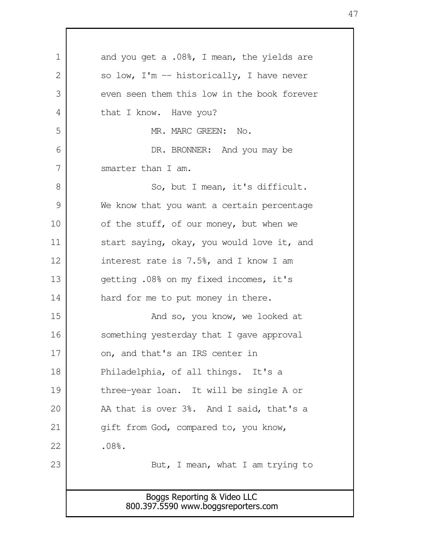Boggs Reporting & Video LLC 800.397.5590 www.boggsreporters.com and you get a .08%, I mean, the yields are so low,  $I'm$  -- historically, I have never even seen them this low in the book forever that I know. Have you? MR. MARC GREEN: No. DR. BRONNER: And you may be smarter than I am. So, but I mean, it's difficult. We know that you want a certain percentage of the stuff, of our money, but when we start saying, okay, you would love it, and interest rate is 7.5%, and I know I am getting .08% on my fixed incomes, it's hard for me to put money in there. And so, you know, we looked at something yesterday that I gave approval on, and that's an IRS center in Philadelphia, of all things. It's a three-year loan. It will be single A or AA that is over 3%. And I said, that's a gift from God, compared to, you know, .08%. But, I mean, what I am trying to 1 2 3 4 5 6 7 8 9 10 11 12 13 14 15 16 17 18 19 20 21 22 23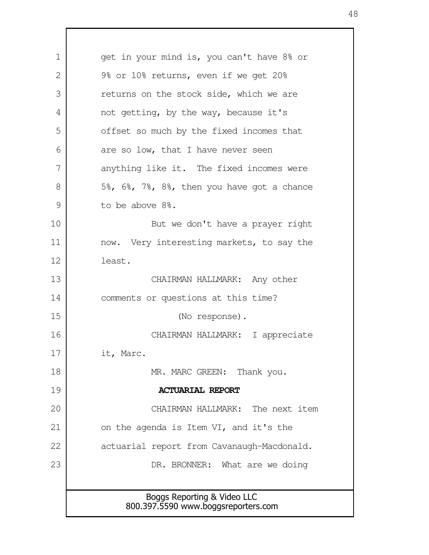Boggs Reporting & Video LLC 800.397.5590 www.boggsreporters.com get in your mind is, you can't have 8% or 9% or 10% returns, even if we get 20% returns on the stock side, which we are not getting, by the way, because it's offset so much by the fixed incomes that are so low, that I have never seen anything like it. The fixed incomes were 5%, 6%, 7%, 8%, then you have got a chance to be above 8%. But we don't have a prayer right now. Very interesting markets, to say the least. CHAIRMAN HALLMARK: Any other comments or questions at this time? (No response). CHAIRMAN HALLMARK: I appreciate it, Marc. MR. MARC GREEN: Thank you. **ACTUARIAL REPORT** CHAIRMAN HALLMARK: The next item on the agenda is Item VI, and it's the actuarial report from Cavanaugh-Macdonald. DR. BRONNER: What are we doing 1 2 3 4 5 6 7 8 9 10 11 12 13 14 15 16 17 18 19 20 21 22 23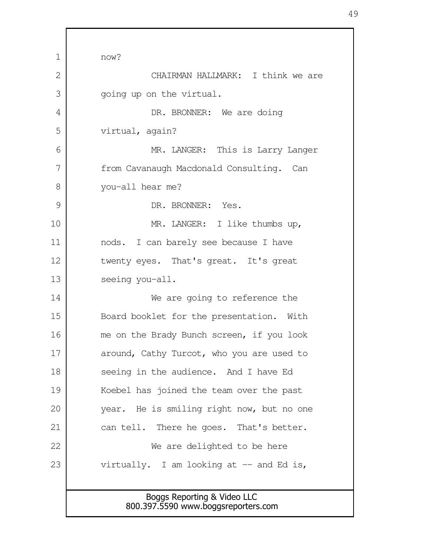Boggs Reporting & Video LLC now? CHAIRMAN HALLMARK: I think we are going up on the virtual. DR. BRONNER: We are doing virtual, again? MR. LANGER: This is Larry Langer from Cavanaugh Macdonald Consulting. Can you-all hear me? DR. BRONNER: Yes. MR. LANGER: I like thumbs up, nods. I can barely see because I have twenty eyes. That's great. It's great seeing you-all. We are going to reference the Board booklet for the presentation. With me on the Brady Bunch screen, if you look around, Cathy Turcot, who you are used to seeing in the audience. And I have Ed Koebel has joined the team over the past year. He is smiling right now, but no one can tell. There he goes. That's better. We are delighted to be here virtually. I am looking at  $-$  and Ed is, 1  $\mathcal{L}$  3 4 5 6 7 8 9 10 11 12 13 14 15 16 17 18 19 20 21 22 23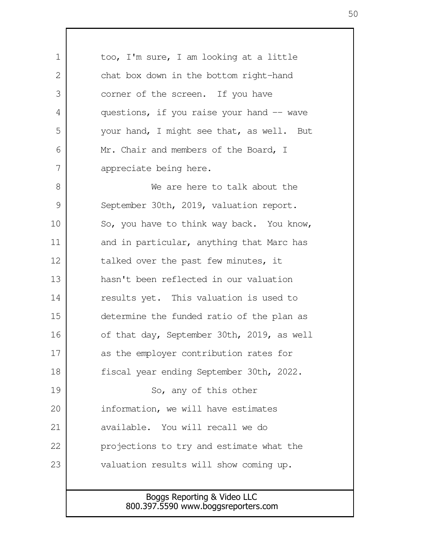Boggs Reporting & Video LLC too, I'm sure, I am looking at a little chat box down in the bottom right-hand corner of the screen. If you have questions, if you raise your hand  $-$  wave your hand, I might see that, as well. But Mr. Chair and members of the Board, I appreciate being here. We are here to talk about the September 30th, 2019, valuation report. So, you have to think way back. You know, and in particular, anything that Marc has talked over the past few minutes, it hasn't been reflected in our valuation results yet. This valuation is used to determine the funded ratio of the plan as of that day, September 30th, 2019, as well as the employer contribution rates for fiscal year ending September 30th, 2022. So, any of this other information, we will have estimates available. You will recall we do projections to try and estimate what the valuation results will show coming up. 1  $\mathcal{L}$  3 4 5 6 7 8 9 10 11 12 13 14 15 16 17 18 19 20 21 22 23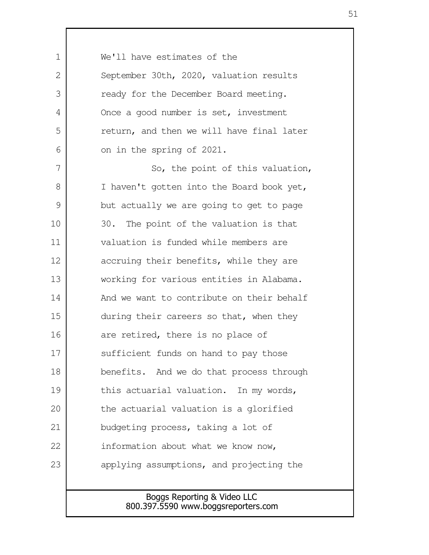| $\mathbf 1$ | We'll have estimates of the                                        |
|-------------|--------------------------------------------------------------------|
| 2           | September 30th, 2020, valuation results                            |
| 3           | ready for the December Board meeting.                              |
| 4           | Once a good number is set, investment                              |
| 5           | return, and then we will have final later                          |
| 6           | on in the spring of 2021.                                          |
| 7           | So, the point of this valuation,                                   |
| 8           | I haven't gotten into the Board book yet,                          |
| 9           | but actually we are going to get to page                           |
| 10          | 30. The point of the valuation is that                             |
| 11          | valuation is funded while members are                              |
| 12          | accruing their benefits, while they are                            |
| 13          | working for various entities in Alabama.                           |
| 14          | And we want to contribute on their behalf                          |
| 15          | during their careers so that, when they                            |
| 16          | are retired, there is no place of                                  |
| 17          | sufficient funds on hand to pay those                              |
| 18          | benefits. And we do that process through                           |
| 19          | this actuarial valuation. In my words,                             |
| 20          | the actuarial valuation is a glorified                             |
| 21          | budgeting process, taking a lot of                                 |
| 22          | information about what we know now,                                |
| 23          | applying assumptions, and projecting the                           |
|             |                                                                    |
|             | Boggs Reporting & Video LLC<br>800.397.5590 www.boggsreporters.com |
|             |                                                                    |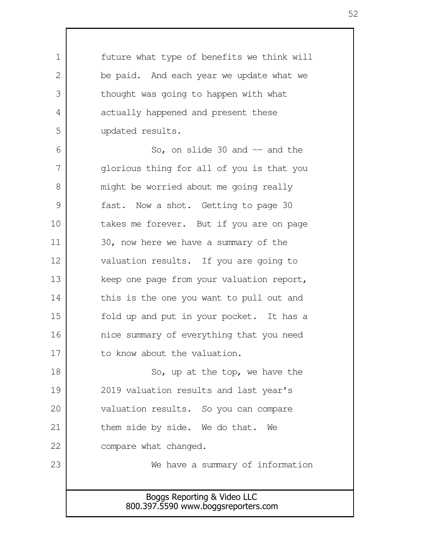Boggs Reporting & Video LLC 800.397.5590 www.boggsreporters.com future what type of benefits we think will be paid. And each year we update what we thought was going to happen with what actually happened and present these updated results. So, on slide  $30$  and  $-$  and the glorious thing for all of you is that you might be worried about me going really fast. Now a shot. Getting to page 30 takes me forever. But if you are on page 30, now here we have a summary of the valuation results. If you are going to keep one page from your valuation report, this is the one you want to pull out and fold up and put in your pocket. It has a nice summary of everything that you need to know about the valuation. So, up at the top, we have the 2019 valuation results and last year's valuation results. So you can compare them side by side. We do that. We compare what changed. We have a summary of information 1  $\mathcal{L}$  3 4 5 6 7 8 9 10 11 12 13 14 15 16 17 18 19 20 21 22 23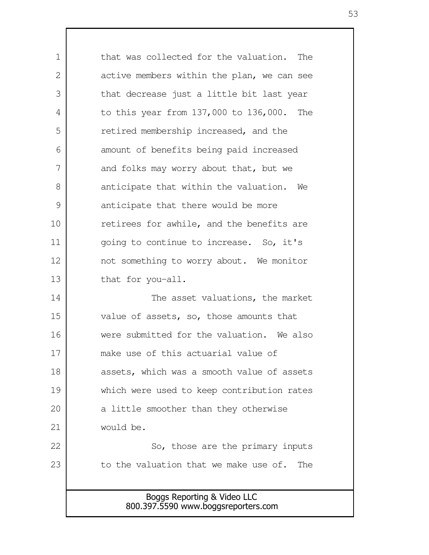Boggs Reporting & Video LLC 800.397.5590 www.boggsreporters.com that was collected for the valuation. The active members within the plan, we can see that decrease just a little bit last year to this year from 137,000 to 136,000. The retired membership increased, and the amount of benefits being paid increased and folks may worry about that, but we anticipate that within the valuation. We anticipate that there would be more retirees for awhile, and the benefits are going to continue to increase. So, it's not something to worry about. We monitor that for you-all. The asset valuations, the market value of assets, so, those amounts that were submitted for the valuation. We also make use of this actuarial value of assets, which was a smooth value of assets which were used to keep contribution rates a little smoother than they otherwise would be. So, those are the primary inputs to the valuation that we make use of. The 1 2 3 4 5 6 7 8 9 10 11 12 13 14 15 16 17 18 19 20 21 22 23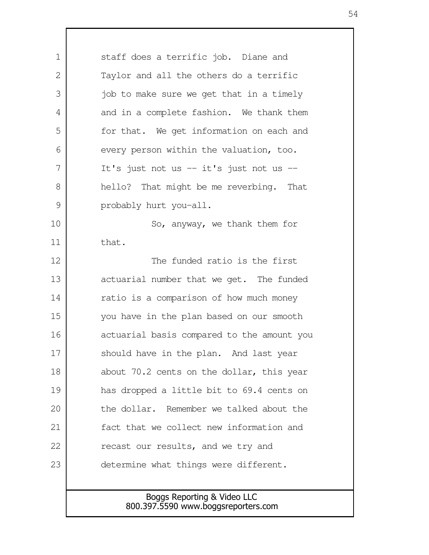Boggs Reporting & Video LLC 800.397.5590 www.boggsreporters.com staff does a terrific job. Diane and Taylor and all the others do a terrific job to make sure we get that in a timely and in a complete fashion. We thank them for that. We get information on each and every person within the valuation, too. It's just not us -- it's just not us - hello? That might be me reverbing. That probably hurt you-all. So, anyway, we thank them for that. The funded ratio is the first actuarial number that we get. The funded ratio is a comparison of how much money you have in the plan based on our smooth actuarial basis compared to the amount you should have in the plan. And last year about 70.2 cents on the dollar, this year has dropped a little bit to 69.4 cents on the dollar. Remember we talked about the fact that we collect new information and recast our results, and we try and determine what things were different. 1  $\mathcal{L}$  3 4 5 6 7 8 9 10 11 12 13 14 15 16 17 18 19 20 21 22 23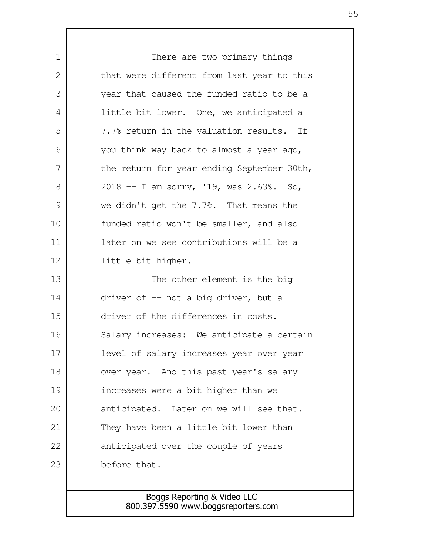There are two primary things that were different from last year to this year that caused the funded ratio to be a little bit lower. One, we anticipated a 7.7% return in the valuation results. If you think way back to almost a year ago, the return for year ending September 30th, 2018 -- I am sorry, '19, was 2.63%. So, we didn't get the 7.7%. That means the funded ratio won't be smaller, and also later on we see contributions will be a little bit higher. The other element is the big driver of -- not a big driver, but a driver of the differences in costs. Salary increases: We anticipate a certain level of salary increases year over year over year. And this past year's salary increases were a bit higher than we anticipated. Later on we will see that. They have been a little bit lower than anticipated over the couple of years before that. 1 2 3 4 5 6 7 8 9 10 11 12 13 14 15 16 17 18 19 20 21 22 23

## Boggs Reporting & Video LLC 800.397.5590 www.boggsreporters.com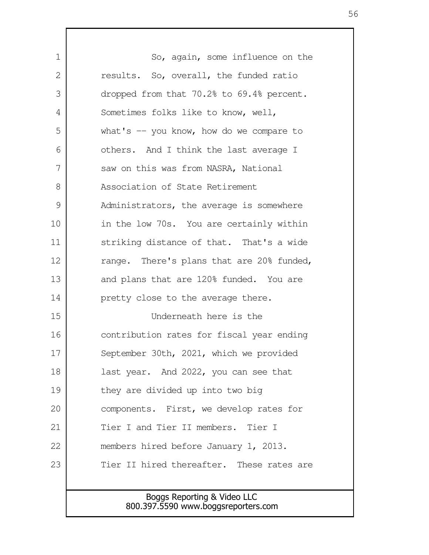Boggs Reporting & Video LLC So, again, some influence on the results. So, overall, the funded ratio dropped from that 70.2% to 69.4% percent. Sometimes folks like to know, well, what's  $-$  you know, how do we compare to others. And I think the last average I saw on this was from NASRA, National Association of State Retirement Administrators, the average is somewhere in the low 70s. You are certainly within striking distance of that. That's a wide range. There's plans that are 20% funded, and plans that are 120% funded. You are pretty close to the average there. Underneath here is the contribution rates for fiscal year ending September 30th, 2021, which we provided last year. And 2022, you can see that they are divided up into two big components. First, we develop rates for Tier I and Tier II members. Tier I members hired before January 1, 2013. Tier II hired thereafter. These rates are 1 2 3 4 5 6 7 8 9 10 11 12 13 14 15 16 17 18 19 20 21 22 23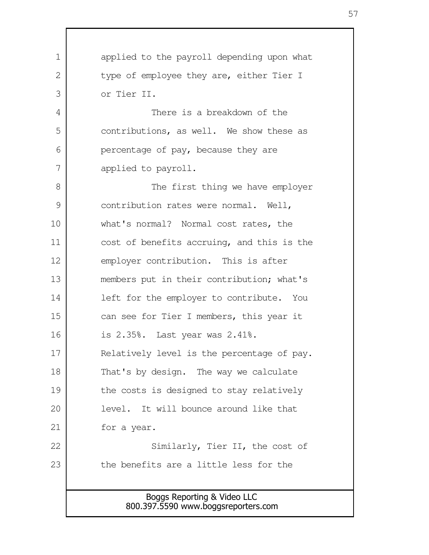| 1  | applied to the payroll depending upon what                         |
|----|--------------------------------------------------------------------|
| 2  | type of employee they are, either Tier I                           |
| 3  | or Tier II.                                                        |
| 4  | There is a breakdown of the                                        |
| 5  | contributions, as well. We show these as                           |
| 6  | percentage of pay, because they are                                |
| 7  | applied to payroll.                                                |
| 8  | The first thing we have employer                                   |
| 9  | contribution rates were normal. Well,                              |
| 10 | what's normal? Normal cost rates, the                              |
| 11 | cost of benefits accruing, and this is the                         |
| 12 | employer contribution. This is after                               |
| 13 | members put in their contribution; what's                          |
| 14 | left for the employer to contribute. You                           |
| 15 | can see for Tier I members, this year it                           |
| 16 | is 2.35%. Last year was 2.41%.                                     |
| 17 | Relatively level is the percentage of pay.                         |
| 18 | That's by design. The way we calculate                             |
| 19 | the costs is designed to stay relatively                           |
| 20 | level. It will bounce around like that                             |
| 21 | for a year.                                                        |
| 22 | Similarly, Tier II, the cost of                                    |
| 23 | the benefits are a little less for the                             |
|    |                                                                    |
|    | Boggs Reporting & Video LLC<br>800.397.5590 www.boggsreporters.com |
|    |                                                                    |

 $\Gamma$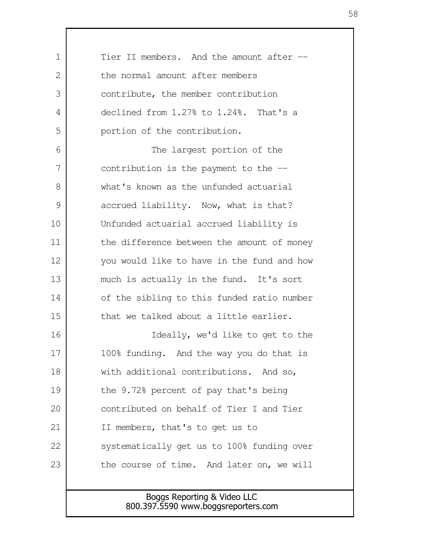Boggs Reporting & Video LLC Tier II members. And the amount after - the normal amount after members contribute, the member contribution declined from 1.27% to 1.24%. That's a portion of the contribution. The largest portion of the contribution is the payment to the - what's known as the unfunded actuarial accrued liability. Now, what is that? Unfunded actuarial accrued liability is the difference between the amount of money you would like to have in the fund and how much is actually in the fund. It's sort of the sibling to this funded ratio number that we talked about a little earlier. Ideally, we'd like to get to the 100% funding. And the way you do that is with additional contributions. And so, the 9.72% percent of pay that's being contributed on behalf of Tier I and Tier II members, that's to get us to systematically get us to 100% funding over the course of time. And later on, we will 1  $\mathcal{L}$  3 4 5 6 7 8 9 10 11 12 13 14 15 16 17 18 19 20 21 22 23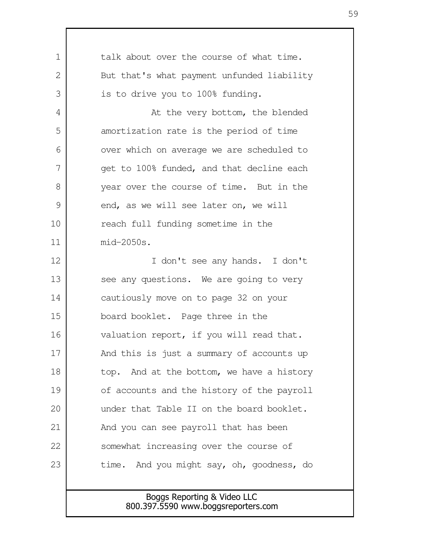| 1             | talk about over the course of what time.                           |
|---------------|--------------------------------------------------------------------|
| 2             | But that's what payment unfunded liability                         |
| 3             | is to drive you to 100% funding.                                   |
| 4             | At the very bottom, the blended                                    |
| 5             | amortization rate is the period of time                            |
| 6             | over which on average we are scheduled to                          |
| 7             | get to 100% funded, and that decline each                          |
| 8             | year over the course of time. But in the                           |
| $\mathcal{G}$ | end, as we will see later on, we will                              |
| 10            | reach full funding sometime in the                                 |
| 11            | $mid-2050s.$                                                       |
| 12            | I don't see any hands. I don't                                     |
| 13            | see any questions. We are going to very                            |
| 14            | cautiously move on to page 32 on your                              |
| 15            | board booklet. Page three in the                                   |
| 16            | valuation report, if you will read that.                           |
| 17            | And this is just a summary of accounts up                          |
| 18            | top. And at the bottom, we have a history                          |
| 19            | of accounts and the history of the payroll                         |
| 20            | under that Table II on the board booklet.                          |
| 21            | And you can see payroll that has been                              |
| 22            | somewhat increasing over the course of                             |
| 23            | time. And you might say, oh, goodness, do                          |
|               |                                                                    |
|               | Boggs Reporting & Video LLC<br>800.397.5590 www.boggsreporters.com |
|               |                                                                    |

 $\mathbf l$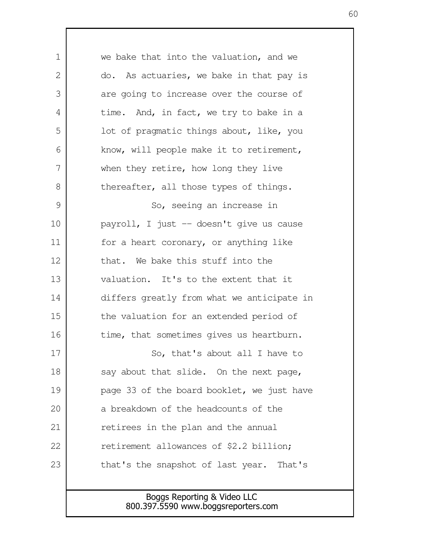Boggs Reporting & Video LLC we bake that into the valuation, and we do. As actuaries, we bake in that pay is are going to increase over the course of time. And, in fact, we try to bake in a lot of pragmatic things about, like, you know, will people make it to retirement, when they retire, how long they live thereafter, all those types of things. So, seeing an increase in payroll, I just -- doesn't give us cause for a heart coronary, or anything like that. We bake this stuff into the valuation. It's to the extent that it differs greatly from what we anticipate in the valuation for an extended period of time, that sometimes gives us heartburn. So, that's about all I have to say about that slide. On the next page, page 33 of the board booklet, we just have a breakdown of the headcounts of the retirees in the plan and the annual retirement allowances of \$2.2 billion; that's the snapshot of last year. That's 1 2 3 4 5 6 7 8 9 10 11 12 13 14 15 16 17 18 19 20 21 22 23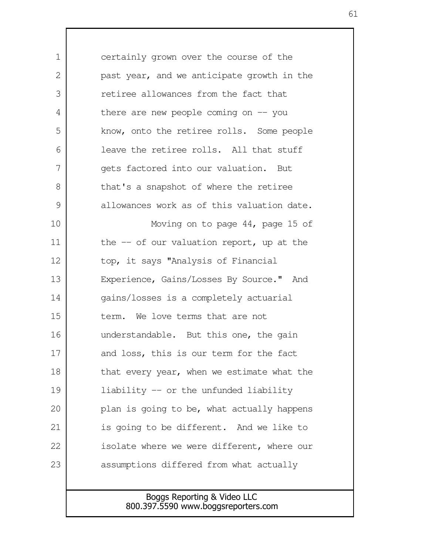certainly grown over the course of the past year, and we anticipate growth in the retiree allowances from the fact that there are new people coming on  $-$  you know, onto the retiree rolls. Some people leave the retiree rolls. All that stuff gets factored into our valuation. But that's a snapshot of where the retiree allowances work as of this valuation date. Moving on to page 44, page 15 of the  $-$  of our valuation report, up at the top, it says "Analysis of Financial Experience, Gains/Losses By Source." And gains/losses is a completely actuarial term. We love terms that are not understandable. But this one, the gain and loss, this is our term for the fact that every year, when we estimate what the liability -- or the unfunded liability plan is going to be, what actually happens is going to be different. And we like to isolate where we were different, where our assumptions differed from what actually 1  $\mathcal{L}$  3 4 5 6 7 8 9 10 11 12 13 14 15 16 17 18 19 20 21 22 23

> Boggs Reporting & Video LLC 800.397.5590 www.boggsreporters.com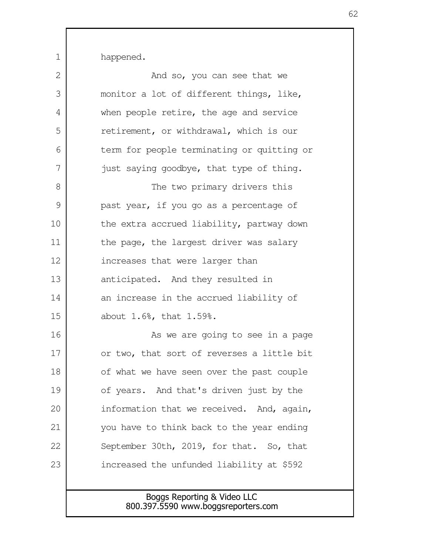happened.

1

| 2  | And so, you can see that we                                        |
|----|--------------------------------------------------------------------|
| 3  | monitor a lot of different things, like,                           |
| 4  | when people retire, the age and service                            |
| 5  | retirement, or withdrawal, which is our                            |
| 6  | term for people terminating or quitting or                         |
| 7  | just saying goodbye, that type of thing.                           |
| 8  | The two primary drivers this                                       |
| 9  | past year, if you go as a percentage of                            |
| 10 | the extra accrued liability, partway down                          |
| 11 | the page, the largest driver was salary                            |
| 12 | increases that were larger than                                    |
| 13 | anticipated. And they resulted in                                  |
| 14 | an increase in the accrued liability of                            |
| 15 | about 1.6%, that 1.59%.                                            |
| 16 | As we are going to see in a page                                   |
| 17 | or two, that sort of reverses a little bit                         |
| 18 | of what we have seen over the past couple                          |
| 19 | of years. And that's driven just by the                            |
| 20 | information that we received. And, again,                          |
| 21 | you have to think back to the year ending                          |
| 22 | September 30th, 2019, for that. So, that                           |
| 23 | increased the unfunded liability at \$592                          |
|    |                                                                    |
|    | Boggs Reporting & Video LLC<br>800.397.5590 www.boggsreporters.com |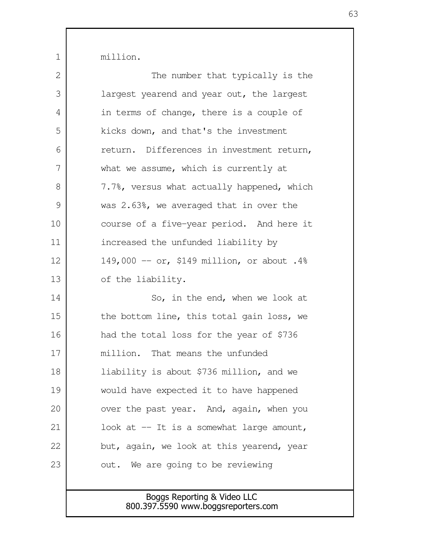million.

1

| 2             | The number that typically is the           |
|---------------|--------------------------------------------|
| 3             | largest yearend and year out, the largest  |
| 4             | in terms of change, there is a couple of   |
| 5             | kicks down, and that's the investment      |
| 6             | return. Differences in investment return,  |
| 7             | what we assume, which is currently at      |
| 8             | 7.7%, versus what actually happened, which |
| $\mathcal{G}$ | was 2.63%, we averaged that in over the    |
| 10            | course of a five-year period. And here it  |
| 11            | increased the unfunded liability by        |
| 12            | 149,000 -- or, \$149 million, or about .4% |
| 13            | of the liability.                          |
| 14            | So, in the end, when we look at            |
| 15            | the bottom line, this total gain loss, we  |
| 16            | had the total loss for the year of \$736   |
| 17            | million. That means the unfunded           |
| 18            | liability is about \$736 million, and we   |
| 19            | would have expected it to have happened    |
| 20            | over the past year. And, again, when you   |
| 21            | look at $-$ It is a somewhat large amount, |
| 22            | but, again, we look at this yearend, year  |
| 23            | out. We are going to be reviewing          |
|               |                                            |
|               | Boggs Reporting & Video LLC                |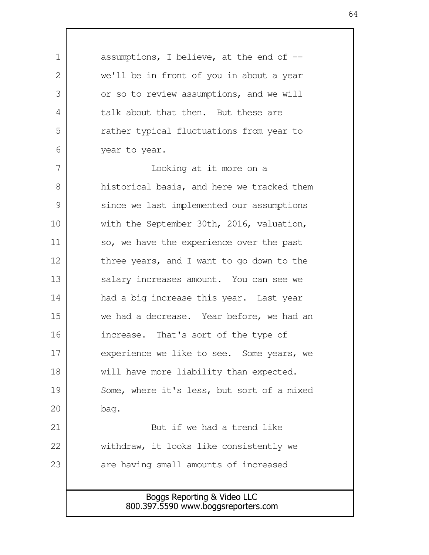Boggs Reporting & Video LLC 800.397.5590 www.boggsreporters.com assumptions, I believe, at the end of  $$ we'll be in front of you in about a year or so to review assumptions, and we will talk about that then. But these are rather typical fluctuations from year to year to year. Looking at it more on a historical basis, and here we tracked them since we last implemented our assumptions with the September 30th, 2016, valuation, so, we have the experience over the past three years, and I want to go down to the salary increases amount. You can see we had a big increase this year. Last year we had a decrease. Year before, we had an increase. That's sort of the type of experience we like to see. Some years, we will have more liability than expected. Some, where it's less, but sort of a mixed bag. But if we had a trend like withdraw, it looks like consistently we are having small amounts of increased 1 2 3 4 5 6 7 8 9 10 11 12 13 14 15 16 17 18 19 20 21 22 23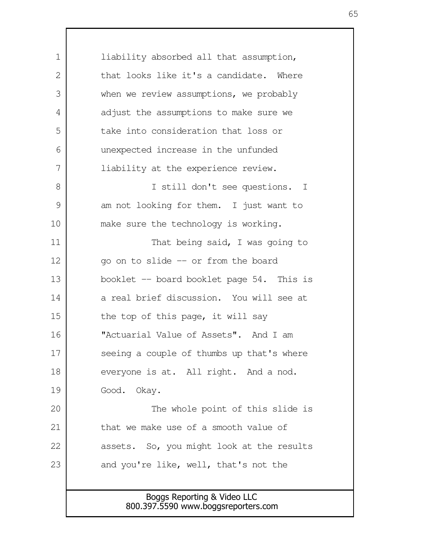Boggs Reporting & Video LLC 800.397.5590 www.boggsreporters.com liability absorbed all that assumption, that looks like it's a candidate. Where when we review assumptions, we probably adjust the assumptions to make sure we take into consideration that loss or unexpected increase in the unfunded liability at the experience review. I still don't see questions. I am not looking for them. I just want to make sure the technology is working. That being said, I was going to go on to slide -- or from the board booklet -- board booklet page 54. This is a real brief discussion. You will see at the top of this page, it will say "Actuarial Value of Assets". And I am seeing a couple of thumbs up that's where everyone is at. All right. And a nod. Good. Okay. The whole point of this slide is that we make use of a smooth value of assets. So, you might look at the results and you're like, well, that's not the 1  $\mathcal{L}$  3 4 5 6 7 8 9 10 11 12 13 14 15 16 17 18 19 20 21 22 23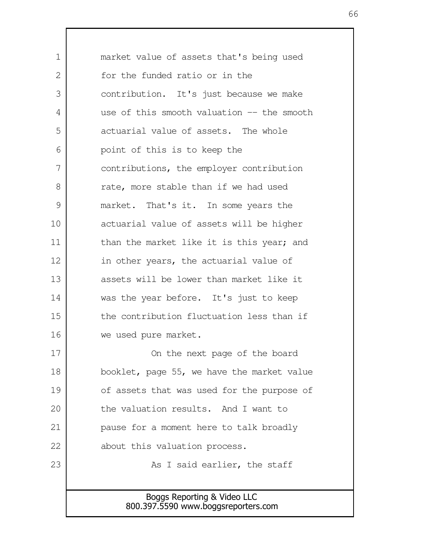| $\mathbf 1$ | market value of assets that's being used                           |
|-------------|--------------------------------------------------------------------|
| 2           | for the funded ratio or in the                                     |
| 3           | contribution. It's just because we make                            |
| 4           | use of this smooth valuation $-$ the smooth                        |
| 5           | actuarial value of assets. The whole                               |
| 6           | point of this is to keep the                                       |
| 7           | contributions, the employer contribution                           |
| 8           | rate, more stable than if we had used                              |
| 9           | market. That's it. In some years the                               |
| 10          | actuarial value of assets will be higher                           |
| 11          | than the market like it is this year; and                          |
| 12          | in other years, the actuarial value of                             |
| 13          | assets will be lower than market like it                           |
| 14          | was the year before. It's just to keep                             |
| 15          | the contribution fluctuation less than if                          |
| 16          | we used pure market.                                               |
| 17          | On the next page of the board                                      |
| 18          | booklet, page 55, we have the market value                         |
| 19          | of assets that was used for the purpose of                         |
| 20          | the valuation results. And I want to                               |
| 21          | pause for a moment here to talk broadly                            |
| 22          | about this valuation process.                                      |
| 23          | As I said earlier, the staff                                       |
|             |                                                                    |
|             | Boggs Reporting & Video LLC<br>800.397.5590 www.boggsreporters.com |
|             |                                                                    |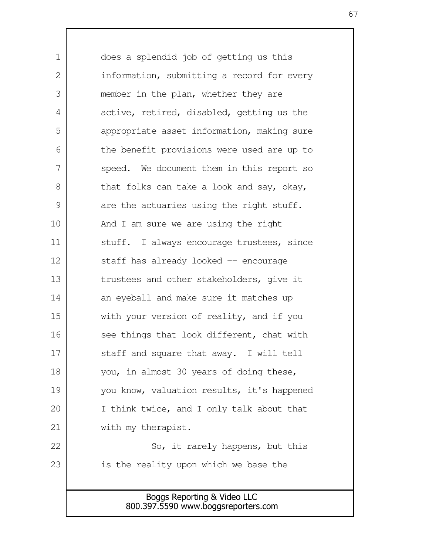Boggs Reporting & Video LLC does a splendid job of getting us this information, submitting a record for every member in the plan, whether they are active, retired, disabled, getting us the appropriate asset information, making sure the benefit provisions were used are up to speed. We document them in this report so that folks can take a look and say, okay, are the actuaries using the right stuff. And I am sure we are using the right stuff. I always encourage trustees, since staff has already looked -- encourage trustees and other stakeholders, give it an eyeball and make sure it matches up with your version of reality, and if you see things that look different, chat with staff and square that away. I will tell you, in almost 30 years of doing these, you know, valuation results, it's happened I think twice, and I only talk about that with my therapist. So, it rarely happens, but this is the reality upon which we base the 1 2 3 4 5 6 7 8 9 10 11 12 13 14 15 16 17 18 19 20 21 22 23

67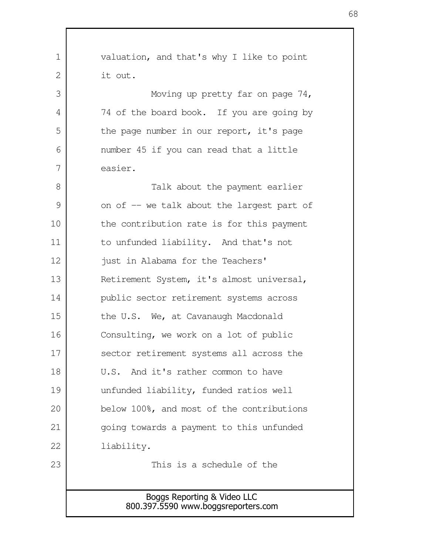Boggs Reporting & Video LLC 800.397.5590 www.boggsreporters.com valuation, and that's why I like to point it out. Moving up pretty far on page 74, 74 of the board book. If you are going by the page number in our report, it's page number 45 if you can read that a little easier. Talk about the payment earlier on of -- we talk about the largest part of the contribution rate is for this payment to unfunded liability. And that's not just in Alabama for the Teachers' Retirement System, it's almost universal, public sector retirement systems across the U.S. We, at Cavanaugh Macdonald Consulting, we work on a lot of public sector retirement systems all across the U.S. And it's rather common to have unfunded liability, funded ratios well below 100%, and most of the contributions going towards a payment to this unfunded liability. This is a schedule of the 1  $\mathcal{L}$  3 4 5 6 7 8 9 10 11 12 13 14 15 16 17 18 19 20 21 22 23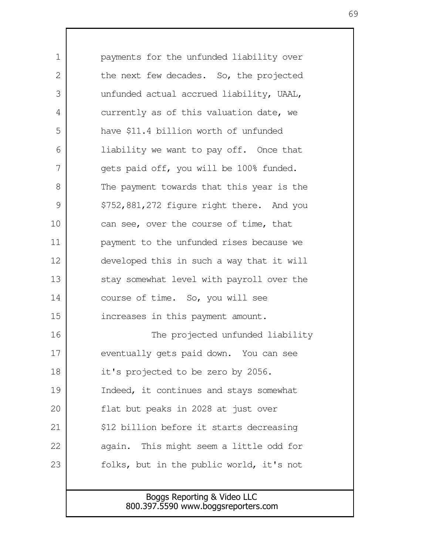payments for the unfunded liability over the next few decades. So, the projected unfunded actual accrued liability, UAAL, currently as of this valuation date, we have \$11.4 billion worth of unfunded liability we want to pay off. Once that gets paid off, you will be 100% funded. The payment towards that this year is the \$752,881,272 figure right there. And you can see, over the course of time, that payment to the unfunded rises because we developed this in such a way that it will stay somewhat level with payroll over the course of time. So, you will see increases in this payment amount. The projected unfunded liability eventually gets paid down. You can see it's projected to be zero by 2056. Indeed, it continues and stays somewhat flat but peaks in 2028 at just over \$12 billion before it starts decreasing again. This might seem a little odd for folks, but in the public world, it's not 1  $\mathcal{L}$  3 4 5 6 7 8 9 10 11 12 13 14 15 16 17 18 19 20 21 22 23

> Boggs Reporting & Video LLC 800.397.5590 www.boggsreporters.com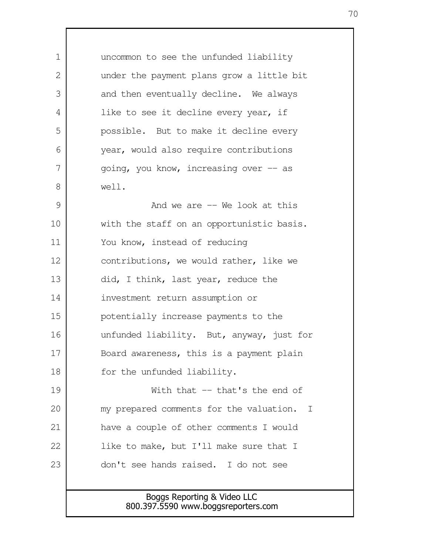uncommon to see the unfunded liability under the payment plans grow a little bit and then eventually decline. We always like to see it decline every year, if possible. But to make it decline every year, would also require contributions going, you know, increasing over -- as well. And we are  $-$  We look at this 1 2 3 4 5 6 7 8 9

with the staff on an opportunistic basis. You know, instead of reducing contributions, we would rather, like we did, I think, last year, reduce the investment return assumption or potentially increase payments to the unfunded liability. But, anyway, just for Board awareness, this is a payment plain for the unfunded liability. 10 11 12 13 14 15 16 17 18

With that -- that's the end of my prepared comments for the valuation. I have a couple of other comments I would like to make, but I'll make sure that I don't see hands raised. I do not see 19 20 21 22 23

## Boggs Reporting & Video LLC 800.397.5590 www.boggsreporters.com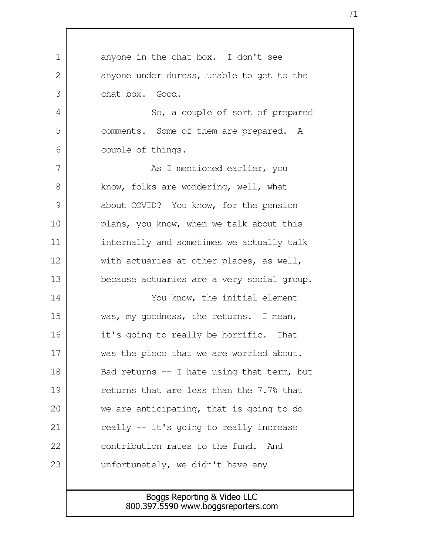| $\mathbf 1$ | anyone in the chat box. I don't see         |
|-------------|---------------------------------------------|
| 2           | anyone under duress, unable to get to the   |
| 3           | chat box. Good.                             |
| 4           | So, a couple of sort of prepared            |
| 5           | comments. Some of them are prepared. A      |
| 6           | couple of things.                           |
| 7           | As I mentioned earlier, you                 |
| 8           | know, folks are wondering, well, what       |
| 9           | about COVID? You know, for the pension      |
| 10          | plans, you know, when we talk about this    |
| 11          | internally and sometimes we actually talk   |
| 12          | with actuaries at other places, as well,    |
| 13          | because actuaries are a very social group.  |
| 14          | You know, the initial element               |
| 15          | was, my goodness, the returns. I mean,      |
| 16          | it's going to really be horrific.<br>That   |
| 17          | was the piece that we are worried about.    |
| 18          | Bad returns $-$ I hate using that term, but |
| 19          | returns that are less than the 7.7% that    |
| 20          | we are anticipating, that is going to do    |
| 21          | really -- it's going to really increase     |
| 22          | contribution rates to the fund. And         |
| 23          | unfortunately, we didn't have any           |
|             |                                             |
|             | Boggs Reporting & Video LLC                 |
|             | 800.397.5590 www.boggsreporters.com         |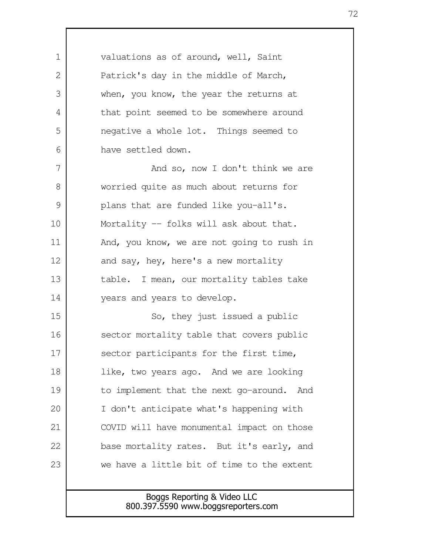| 1  | valuations as of around, well, Saint         |
|----|----------------------------------------------|
| 2  | Patrick's day in the middle of March,        |
| 3  | when, you know, the year the returns at      |
| 4  | that point seemed to be somewhere around     |
| 5  | negative a whole lot. Things seemed to       |
| 6  | have settled down.                           |
| 7  | And so, now I don't think we are             |
| 8  | worried quite as much about returns for      |
| 9  | plans that are funded like you-all's.        |
| 10 | Mortality -- folks will ask about that.      |
| 11 | And, you know, we are not going to rush in   |
| 12 | and say, hey, here's a new mortality         |
| 13 | table. I mean, our mortality tables take     |
| 14 | years and years to develop.                  |
| 15 | So, they just issued a public                |
| 16 | sector mortality table that covers public    |
| 17 | sector participants for the first time,      |
| 18 | like, two years ago. And we are looking      |
| 19 | to implement that the next go-around.<br>And |
| 20 | I don't anticipate what's happening with     |
| 21 | COVID will have monumental impact on those   |
| 22 | base mortality rates. But it's early, and    |
| 23 | we have a little bit of time to the extent   |
|    |                                              |
|    | Boggs Reporting & Video LLC                  |

72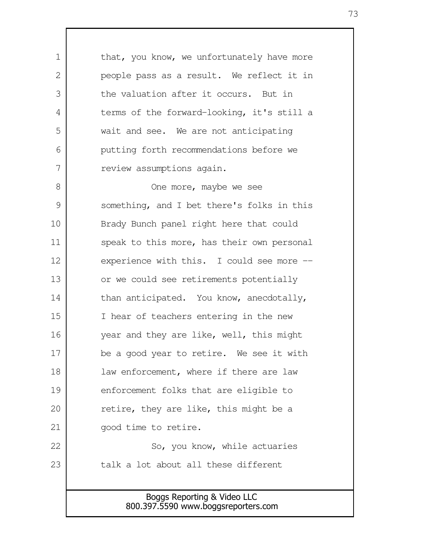Boggs Reporting & Video LLC that, you know, we unfortunately have more people pass as a result. We reflect it in the valuation after it occurs. But in terms of the forward-looking, it's still a wait and see. We are not anticipating putting forth recommendations before we review assumptions again. One more, maybe we see something, and I bet there's folks in this Brady Bunch panel right here that could speak to this more, has their own personal experience with this. I could see more -or we could see retirements potentially than anticipated. You know, anecdotally, I hear of teachers entering in the new year and they are like, well, this might be a good year to retire. We see it with law enforcement, where if there are law enforcement folks that are eligible to retire, they are like, this might be a good time to retire. So, you know, while actuaries talk a lot about all these different 1  $\mathcal{L}$  3 4 5 6 7 8 9 10 11 12 13 14 15 16 17 18 19 20 21 22 23

800.397.5590 www.boggsreporters.com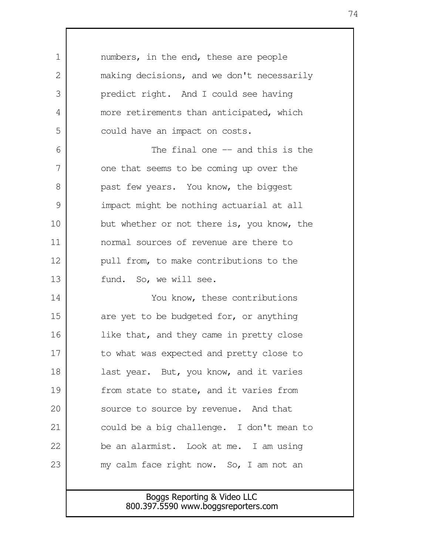numbers, in the end, these are people making decisions, and we don't necessarily predict right. And I could see having more retirements than anticipated, which could have an impact on costs. The final one -- and this is the one that seems to be coming up over the past few years. You know, the biggest impact might be nothing actuarial at all but whether or not there is, you know, the normal sources of revenue are there to pull from, to make contributions to the fund. So, we will see. You know, these contributions are yet to be budgeted for, or anything like that, and they came in pretty close to what was expected and pretty close to last year. But, you know, and it varies from state to state, and it varies from source to source by revenue. And that could be a big challenge. I don't mean to be an alarmist. Look at me. I am using my calm face right now. So, I am not an 1 2 3 4 5 6 7 8 9 10 11 12 13 14 15 16 17 18 19 20 21 22 23

## Boggs Reporting & Video LLC 800.397.5590 www.boggsreporters.com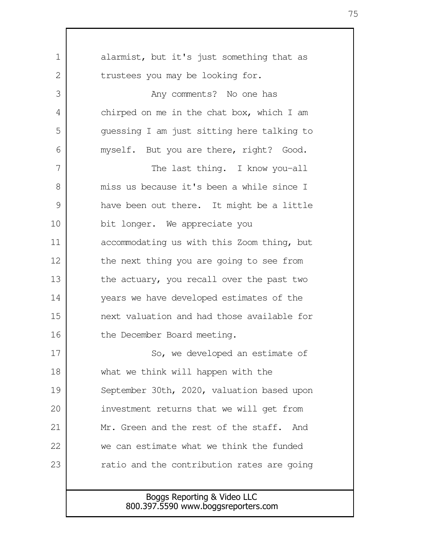| 1             | alarmist, but it's just something that as                          |  |  |
|---------------|--------------------------------------------------------------------|--|--|
| 2             | trustees you may be looking for.                                   |  |  |
| 3             | Any comments? No one has                                           |  |  |
| 4             | chirped on me in the chat box, which I am                          |  |  |
| 5             | quessing I am just sitting here talking to                         |  |  |
| 6             | myself. But you are there, right? Good.                            |  |  |
| 7             | The last thing. I know you-all                                     |  |  |
| 8             | miss us because it's been a while since I                          |  |  |
| $\mathcal{G}$ | have been out there. It might be a little                          |  |  |
| 10            | bit longer. We appreciate you                                      |  |  |
| 11            | accommodating us with this Zoom thing, but                         |  |  |
| 12            | the next thing you are going to see from                           |  |  |
| 13            | the actuary, you recall over the past two                          |  |  |
| 14            | years we have developed estimates of the                           |  |  |
| 15            | next valuation and had those available for                         |  |  |
| 16            | the December Board meeting.                                        |  |  |
| 17            | So, we developed an estimate of                                    |  |  |
| 18            | what we think will happen with the                                 |  |  |
| 19            | September 30th, 2020, valuation based upon                         |  |  |
| 20            | investment returns that we will get from                           |  |  |
| 21            | Mr. Green and the rest of the staff.<br>And                        |  |  |
| 22            | we can estimate what we think the funded                           |  |  |
| 23            | ratio and the contribution rates are going                         |  |  |
|               |                                                                    |  |  |
|               | Boggs Reporting & Video LLC<br>800.397.5590 www.boggsreporters.com |  |  |
|               |                                                                    |  |  |

 $\mathbf{I}$ 

75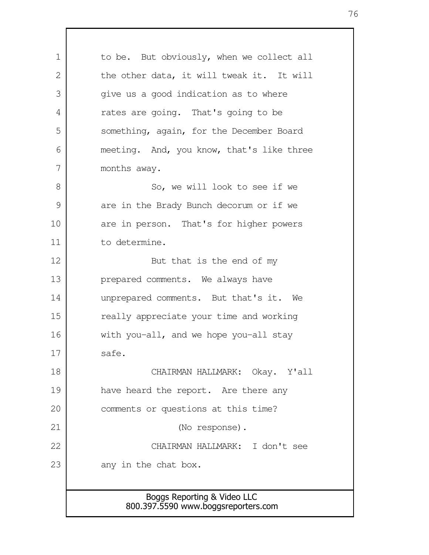| $\mathbf 1$   | to be. But obviously, when we collect all |  |  |
|---------------|-------------------------------------------|--|--|
| 2             | the other data, it will tweak it. It will |  |  |
| 3             | give us a good indication as to where     |  |  |
| 4             | rates are going. That's going to be       |  |  |
| 5             | something, again, for the December Board  |  |  |
| 6             | meeting. And, you know, that's like three |  |  |
| 7             | months away.                              |  |  |
| 8             | So, we will look to see if we             |  |  |
| $\mathcal{G}$ | are in the Brady Bunch decorum or if we   |  |  |
| 10            | are in person. That's for higher powers   |  |  |
| 11            | to determine.                             |  |  |
| 12            | But that is the end of my                 |  |  |
| 13            | prepared comments. We always have         |  |  |
| 14            | unprepared comments. But that's it. We    |  |  |
| 15            | really appreciate your time and working   |  |  |
| 16            | with you-all, and we hope you-all stay    |  |  |
| 17            | safe.                                     |  |  |
| 18            | CHAIRMAN HALLMARK: Okay. Y'all            |  |  |
| 19            | have heard the report. Are there any      |  |  |
| 20            | comments or questions at this time?       |  |  |
| 21            | (No response).                            |  |  |
| 22            | CHAIRMAN HALLMARK: I don't see            |  |  |
| 23            | any in the chat box.                      |  |  |
|               |                                           |  |  |
|               | Boggs Reporting & Video LLC               |  |  |
|               | 800.397.5590 www.boggsreporters.com       |  |  |

 $\mathbf{I}$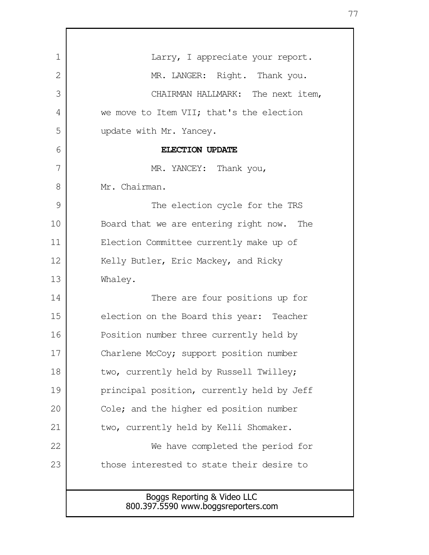| 1  | Larry, I appreciate your report.                                   |  |  |
|----|--------------------------------------------------------------------|--|--|
| 2  | MR. LANGER: Right. Thank you.                                      |  |  |
| 3  | CHAIRMAN HALLMARK: The next item,                                  |  |  |
| 4  | we move to Item VII; that's the election                           |  |  |
| 5  | update with Mr. Yancey.                                            |  |  |
| 6  | ELECTION UPDATE                                                    |  |  |
| 7  | MR. YANCEY: Thank you,                                             |  |  |
| 8  | Mr. Chairman.                                                      |  |  |
| 9  | The election cycle for the TRS                                     |  |  |
| 10 | Board that we are entering right now. The                          |  |  |
| 11 | Election Committee currently make up of                            |  |  |
| 12 | Kelly Butler, Eric Mackey, and Ricky                               |  |  |
| 13 | Whaley.                                                            |  |  |
| 14 | There are four positions up for                                    |  |  |
| 15 | election on the Board this year: Teacher                           |  |  |
| 16 | Position number three currently held by                            |  |  |
| 17 | Charlene McCoy; support position number                            |  |  |
| 18 | two, currently held by Russell Twilley;                            |  |  |
| 19 | principal position, currently held by Jeff                         |  |  |
| 20 | Cole; and the higher ed position number                            |  |  |
| 21 | two, currently held by Kelli Shomaker.                             |  |  |
| 22 | We have completed the period for                                   |  |  |
| 23 | those interested to state their desire to                          |  |  |
|    |                                                                    |  |  |
|    | Boggs Reporting & Video LLC<br>800.397.5590 www.boggsreporters.com |  |  |

Г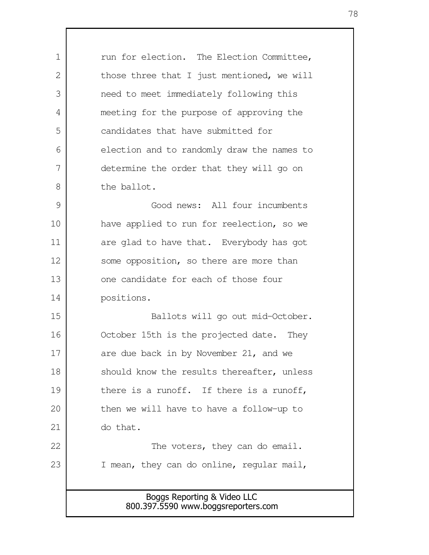Boggs Reporting & Video LLC 800.397.5590 www.boggsreporters.com run for election. The Election Committee, those three that I just mentioned, we will need to meet immediately following this meeting for the purpose of approving the candidates that have submitted for election and to randomly draw the names to determine the order that they will go on the ballot. Good news: All four incumbents have applied to run for reelection, so we are glad to have that. Everybody has got some opposition, so there are more than one candidate for each of those four positions. Ballots will go out mid-October. October 15th is the projected date. They are due back in by November 21, and we should know the results thereafter, unless there is a runoff. If there is a runoff, then we will have to have a follow-up to do that. The voters, they can do email. I mean, they can do online, regular mail, 1 2 3 4 5 6 7 8 9 10 11 12 13 14 15 16 17 18 19 20 21 22 23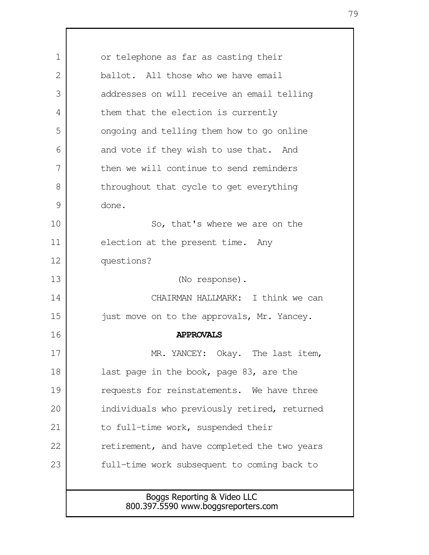| $\mathbf 1$ | or telephone as far as casting their         |  |  |
|-------------|----------------------------------------------|--|--|
| 2           | ballot. All those who we have email          |  |  |
| 3           | addresses on will receive an email telling   |  |  |
| 4           | them that the election is currently          |  |  |
| 5           | ongoing and telling them how to go online    |  |  |
| 6           | and vote if they wish to use that. And       |  |  |
| 7           | then we will continue to send reminders      |  |  |
| 8           | throughout that cycle to get everything      |  |  |
| 9           | done.                                        |  |  |
| 10          | So, that's where we are on the               |  |  |
| 11          | election at the present time. Any            |  |  |
| 12          | questions?                                   |  |  |
| 13          | (No response).                               |  |  |
| 14          | CHAIRMAN HALLMARK: I think we can            |  |  |
| 15          | just move on to the approvals, Mr. Yancey.   |  |  |
| 16          | <b>APPROVALS</b>                             |  |  |
| 17          | MR. YANCEY: Okay. The last item,             |  |  |
| 18          | last page in the book, page 83, are the      |  |  |
| 19          | requests for reinstatements. We have three   |  |  |
| 20          | individuals who previously retired, returned |  |  |
| 21          | to full-time work, suspended their           |  |  |
| 22          | retirement, and have completed the two years |  |  |
| 23          | full-time work subsequent to coming back to  |  |  |
|             |                                              |  |  |
|             | Boggs Reporting & Video LLC                  |  |  |
|             | 800.397.5590 www.boggsreporters.com          |  |  |

 $\mathsf{l}$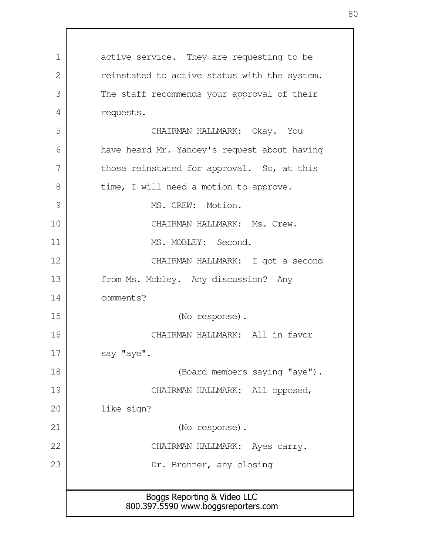Boggs Reporting & Video LLC 800.397.5590 www.boggsreporters.com active service. They are requesting to be reinstated to active status with the system. The staff recommends your approval of their requests. CHAIRMAN HALLMARK: Okay. You have heard Mr. Yancey's request about having those reinstated for approval. So, at this time, I will need a motion to approve. MS. CREW: Motion. CHAIRMAN HALLMARK: Ms. Crew. MS. MOBLEY: Second. CHAIRMAN HALLMARK: I got a second from Ms. Mobley. Any discussion? Any comments? (No response). CHAIRMAN HALLMARK: All in favor say "aye". (Board members saying "aye"). CHAIRMAN HALLMARK: All opposed, like sign? (No response). CHAIRMAN HALLMARK: Ayes carry. Dr. Bronner, any closing 1 2 3 4 5 6 7 8 9 10 11 12 13 14 15 16 17 18 19 20 21 22 23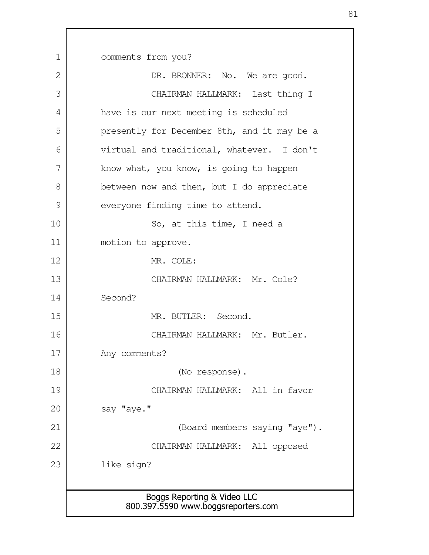| 1  | comments from you?                                                 |  |  |
|----|--------------------------------------------------------------------|--|--|
| 2  | DR. BRONNER: No. We are good.                                      |  |  |
| 3  | CHAIRMAN HALLMARK: Last thing I                                    |  |  |
| 4  | have is our next meeting is scheduled                              |  |  |
| 5  | presently for December 8th, and it may be a                        |  |  |
| 6  | virtual and traditional, whatever. I don't                         |  |  |
| 7  | know what, you know, is going to happen                            |  |  |
| 8  | between now and then, but I do appreciate                          |  |  |
| 9  | everyone finding time to attend.                                   |  |  |
| 10 | So, at this time, I need a                                         |  |  |
| 11 | motion to approve.                                                 |  |  |
| 12 | MR. COLE:                                                          |  |  |
| 13 | CHAIRMAN HALLMARK: Mr. Cole?                                       |  |  |
| 14 | Second?                                                            |  |  |
| 15 | MR. BUTLER: Second.                                                |  |  |
| 16 | CHAIRMAN HALLMARK: Mr. Butler.                                     |  |  |
| 17 | Any comments?                                                      |  |  |
| 18 | (No response).                                                     |  |  |
| 19 | CHAIRMAN HALLMARK: All in favor                                    |  |  |
| 20 | say "aye."                                                         |  |  |
| 21 | (Board members saying "aye").                                      |  |  |
| 22 | CHAIRMAN HALLMARK: All opposed                                     |  |  |
| 23 | like sign?                                                         |  |  |
|    |                                                                    |  |  |
|    | Boggs Reporting & Video LLC<br>800.397.5590 www.boggsreporters.com |  |  |
|    |                                                                    |  |  |

 $\Gamma$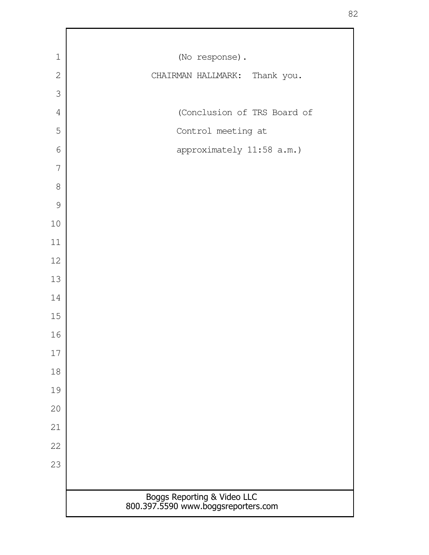| $\mathbf 1$    | (No response).                                                     |
|----------------|--------------------------------------------------------------------|
| $\overline{2}$ | CHAIRMAN HALLMARK: Thank you.                                      |
| 3              |                                                                    |
| $\overline{4}$ | (Conclusion of TRS Board of                                        |
| 5              | Control meeting at                                                 |
| $6\,$          | approximately 11:58 a.m.)                                          |
| 7              |                                                                    |
| $\,8\,$        |                                                                    |
| $\mathcal{G}$  |                                                                    |
| $10\,$         |                                                                    |
| 11             |                                                                    |
| 12             |                                                                    |
| 13             |                                                                    |
| 14             |                                                                    |
| 15             |                                                                    |
| 16             |                                                                    |
| $17\,$         |                                                                    |
| 18             |                                                                    |
| 19             |                                                                    |
| 20             |                                                                    |
| 21             |                                                                    |
| 22             |                                                                    |
| 23             |                                                                    |
|                |                                                                    |
|                | Boggs Reporting & Video LLC<br>800.397.5590 www.boggsreporters.com |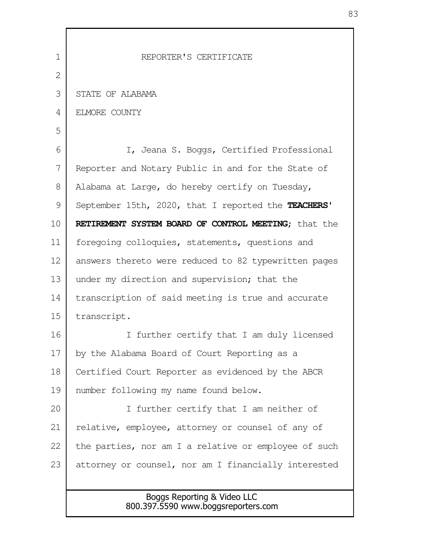| 1              | REPORTER'S CERTIFICATE                                             |  |  |
|----------------|--------------------------------------------------------------------|--|--|
| $\overline{2}$ |                                                                    |  |  |
| 3              | STATE OF ALABAMA                                                   |  |  |
| 4              | ELMORE COUNTY                                                      |  |  |
| 5              |                                                                    |  |  |
| 6              | I, Jeana S. Boggs, Certified Professional                          |  |  |
| 7              | Reporter and Notary Public in and for the State of                 |  |  |
| 8              | Alabama at Large, do hereby certify on Tuesday,                    |  |  |
| 9              | September 15th, 2020, that I reported the TEACHERS'                |  |  |
| 10             | RETIREMENT SYSTEM BOARD OF CONTROL MEETING; that the               |  |  |
| 11             | foregoing colloquies, statements, questions and                    |  |  |
| 12             | answers thereto were reduced to 82 typewritten pages               |  |  |
| 13             | under my direction and supervision; that the                       |  |  |
| 14             | transcription of said meeting is true and accurate                 |  |  |
| 15             | transcript.                                                        |  |  |
| 16             | I further certify that I am duly licensed                          |  |  |
| 17             | by the Alabama Board of Court Reporting as a                       |  |  |
| 18             | Certified Court Reporter as evidenced by the ABCR                  |  |  |
| 19             | number following my name found below.                              |  |  |
| 20             | I further certify that I am neither of                             |  |  |
| 21             | relative, employee, attorney or counsel of any of                  |  |  |
| 22             | the parties, nor am I a relative or employee of such               |  |  |
| 23             | attorney or counsel, nor am I financially interested               |  |  |
|                |                                                                    |  |  |
|                | Boggs Reporting & Video LLC<br>800.397.5590 www.boggsreporters.com |  |  |

83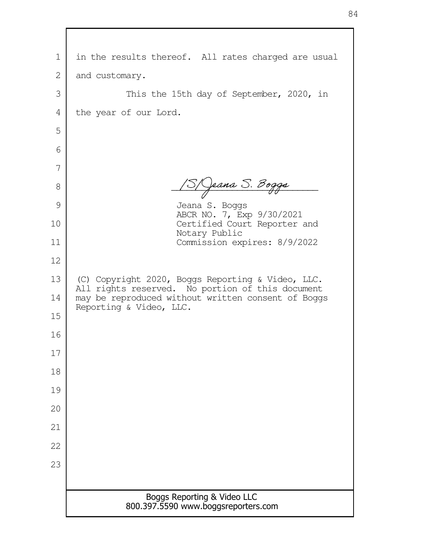| 1  | in the results thereof. All rates charged are usual                                                   |  |
|----|-------------------------------------------------------------------------------------------------------|--|
| 2  | and customary.                                                                                        |  |
| 3  | This the 15th day of September, 2020, in                                                              |  |
| 4  | the year of our Lord.                                                                                 |  |
| 5  |                                                                                                       |  |
| 6  |                                                                                                       |  |
| 7  |                                                                                                       |  |
| 8  | 3/ Jeana S. Bogga                                                                                     |  |
| 9  | Jeana S. Boggs<br>ABCR NO. 7, Exp 9/30/2021                                                           |  |
| 10 | Certified Court Reporter and<br>Notary Public                                                         |  |
| 11 | Commission expires: 8/9/2022                                                                          |  |
| 12 |                                                                                                       |  |
| 13 | (C) Copyright 2020, Boggs Reporting & Video, LLC.<br>All rights reserved. No portion of this document |  |
| 14 | may be reproduced without written consent of Boggs<br>Reporting & Video, LLC.                         |  |
| 15 |                                                                                                       |  |
| 16 |                                                                                                       |  |
| 17 |                                                                                                       |  |
| 18 |                                                                                                       |  |
| 19 |                                                                                                       |  |
| 20 |                                                                                                       |  |
| 21 |                                                                                                       |  |
| 22 |                                                                                                       |  |
| 23 |                                                                                                       |  |
|    |                                                                                                       |  |
|    | Boggs Reporting & Video LLC<br>800.397.5590 www.boggsreporters.com                                    |  |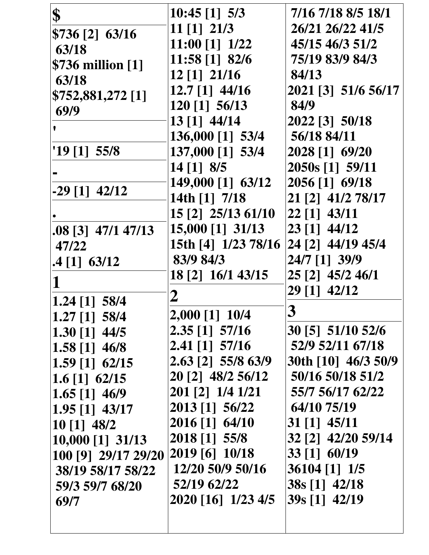| \$                               | $10:45$ [1] $5/3$   | 7/16 7/18 8/5 18/1  |
|----------------------------------|---------------------|---------------------|
| \$736 [2] 63/16                  | $11$ [1] $21/3$     | 26/21 26/22 41/5    |
| 63/18                            | 11:00 [1] 1/22      | 45/15 46/3 51/2     |
| \$736 million [1]                | 11:58 [1] 82/6      | 75/19 83/9 84/3     |
| 63/18                            | 12 [1] 21/16        | 84/13               |
| \$752,881,272 [1]                | $12.7$ [1] 44/16    | 2021 [3] 51/6 56/17 |
| 69/9                             | 120 [1] 56/13       | 84/9                |
|                                  | 13 [1] 44/14        | 2022 [3] 50/18      |
|                                  | 136,000 [1] 53/4    | 56/18 84/11         |
| $19$ [1] 55/8                    | 137,000 [1] 53/4    | 2028 [1] 69/20      |
|                                  | $14$ [1] 8/5        | 2050s [1] 59/11     |
| $-29$ [1] $42/12$                | 149,000 [1] 63/12   | 2056 [1] 69/18      |
|                                  | 14th [1] 7/18       | 21 [2] 41/2 78/17   |
|                                  | 15 [2] 25/13 61/10  | 22 [1] 43/11        |
| $.08$ [3] 47/1 47/13             | 15,000 [1] 31/13    | 23 [1] 44/12        |
| 47/22                            | 15th [4] 1/23 78/16 | 24 [2] 44/19 45/4   |
| $.4$ [1] 63/12                   | 83/9 84/3           | 24/7 [1] 39/9       |
|                                  | 18 [2] 16/1 43/15   | 25 [2] 45/2 46/1    |
|                                  | 2                   | 29 [1] 42/12        |
| 1.24 [1] 58/4<br>$1.27$ [1] 58/4 | 2,000 [1] 10/4      | 3                   |
| $1.30$ [1] 44/5                  | [2.35] [1] 57/16    | 30 [5] 51/10 52/6   |
| $1.58$ [1] 46/8                  | $2.41$ [1] $57/16$  | 52/9 52/11 67/18    |
| $1.59$ [1] 62/15                 | 2.63 [2] 55/8 63/9  | 30th [10] 46/3 50/9 |
| 1.6 [1] $62/15$                  | 20 [2] 48/2 56/12   | 50/16 50/18 51/2    |
| 1.65 [1] $46/9$                  | 201 [2] 1/4 1/21    | 55/7 56/17 62/22    |
| $1.95$ [1] $43/17$               | 2013 [1] 56/22      | 64/10 75/19         |
| $10$ [1] $48/2$                  | 2016 [1] 64/10      | 31 [1] 45/11        |
| 10,000 [1] 31/13                 | 2018 [1] 55/8       | 32 [2] 42/20 59/14  |
| 100 [9] 29/17 29/20              | 2019 [6] 10/18      | 33 [1] 60/19        |
| 38/19 58/17 58/22                | 12/20 50/9 50/16    | 36104 [1] 1/5       |
| 59/3 59/7 68/20                  | 52/19 62/22         | 38s [1] 42/18       |
| 69/7                             | 2020 [16] 1/23 4/5  | 39s [1] 42/19       |
|                                  |                     |                     |
|                                  |                     |                     |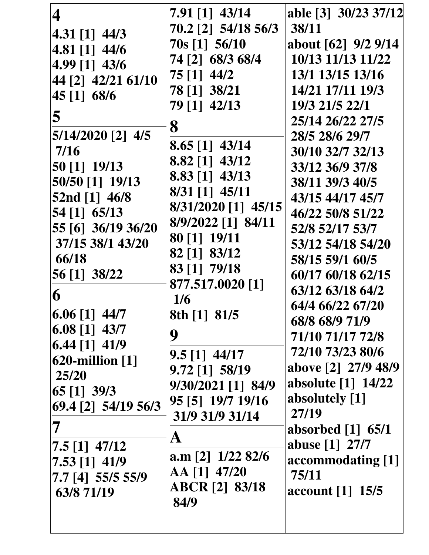| 4<br>$ 4.31 [1]$ 44/3                                                                                                                                                                                                            | $7.91$ [1] 43/14<br>70.2 [2] 54/18 56/3                                                                                                                                                                                                            | able [3] 30/23 37/12<br>38/11                                                                                                                                                                                                                                                                         |
|----------------------------------------------------------------------------------------------------------------------------------------------------------------------------------------------------------------------------------|----------------------------------------------------------------------------------------------------------------------------------------------------------------------------------------------------------------------------------------------------|-------------------------------------------------------------------------------------------------------------------------------------------------------------------------------------------------------------------------------------------------------------------------------------------------------|
| 4.81 [1] 44/6<br>4.99 [1] 43/6<br>44 [2] 42/21 61/10<br>45 [1] 68/6<br>5<br>$5/14/2020$ [2] $4/5$<br>7/16<br>50 [1] 19/13<br>50/50 [1] 19/13<br>52nd [1] 46/8<br>54 [1] 65/13<br>55 [6] 36/19 36/20<br>37/15 38/1 43/20<br>66/18 | 70s [1] 56/10<br>74 [2] 68/3 68/4<br>75 [1] 44/2<br>78 [1] 38/21<br>79 [1] 42/13<br>8<br>$8.65$ [1] $43/14$<br>8.82 [1] 43/12<br>8.83 [1] 43/13<br>$8/31$ [1] $45/11$<br>8/31/2020 [1] 45/15<br>8/9/2022 [1] 84/11<br>80 [1] 19/11<br>82 [1] 83/12 | about [62] 9/2 9/14<br>10/13 11/13 11/22<br>13/1 13/15 13/16<br>14/21 17/11 19/3<br>19/3 21/5 22/1<br>25/14 26/22 27/5<br>28/5 28/6 29/7<br>30/10 32/7 32/13<br>33/12 36/9 37/8<br>38/11 39/3 40/5<br>43/15 44/17 45/7<br>46/22 50/8 51/22<br>52/8 52/17 53/7<br>53/12 54/18 54/20<br>58/15 59/1 60/5 |
| 56 [1] 38/22<br>6<br>$ 6.06 11 $ 44/7<br>$\vert 6.08 \vert 1 \vert 43/7$                                                                                                                                                         | 83 [1] 79/18<br>877.517.0020 [1]<br>1/6<br>8th [1] 81/5                                                                                                                                                                                            | 60/17 60/18 62/15<br>63/12 63/18 64/2<br>64/4 66/22 67/20<br>68/8 68/9 71/9                                                                                                                                                                                                                           |
| $\vert 6.44 \vert 1 \vert 41/9$<br>$620$ -million $[1]$<br>25/20<br>$\left[65\right]$ $\left[1\right]$ $\left[39/3\right]$<br>69.4 [2] 54/19 56/3                                                                                | 9<br>$9.5$ [1] $44/17$<br>$9.72$ [1] 58/19<br>9/30/2021 [1] 84/9<br>95 [5] 19/7 19/16<br>31/9 31/9 31/14                                                                                                                                           | 71/10 71/17 72/8<br>72/10 73/23 80/6<br>above [2] 27/9 48/9<br>absolute [1] 14/22<br>absolutely [1]<br>27/19<br>absorbed $[1]$ 65/1                                                                                                                                                                   |
| 7.5 [1] 47/12<br>7.53 [1] 41/9<br>7.7 [4] 55/5 55/9<br>63/8 71/19                                                                                                                                                                | $\mathbf A$<br>a.m [2] $1/22$ 82/6<br>AA [1] 47/20<br><b>ABCR</b> [2] 83/18<br>84/9                                                                                                                                                                | abuse [1] 27/7<br>accommodating [1]<br>75/11<br>account [1] 15/5                                                                                                                                                                                                                                      |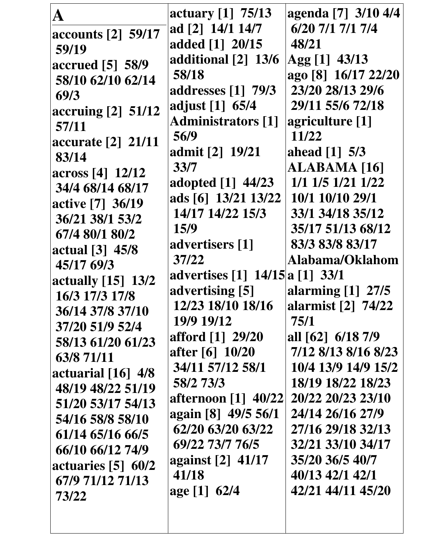| A                                                                            | actuary $[1]$ 75/13<br>ad [2] 14/1 14/7                                               | agenda [7] 3/10 4/4<br>6/20 7/1 7/1 7/4                                              |
|------------------------------------------------------------------------------|---------------------------------------------------------------------------------------|--------------------------------------------------------------------------------------|
| accounts [2] 59/17<br>59/19<br>accrued [5] 58/9<br>58/10 62/10 62/14         | added [1] 20/15<br>additional [2] 13/6<br>58/18                                       | 48/21<br>$\text{Agg} [1]$ 43/13<br>ago [8] 16/17 22/20                               |
| 69/3<br>accruing [2] 51/12<br>57/11<br>accurate [2] 21/11                    | addresses [1] 79/3<br>adjust [1] 65/4<br><b>Administrators</b> [1]<br>56/9            | 23/20 28/13 29/6<br>29/11 55/6 72/18<br>agriculture [1]<br>11/22                     |
| 83/14<br>across [4] 12/12<br>34/4 68/14 68/17<br>active [7] 36/19            | admit [2] 19/21<br>33/7<br>adopted [1] 44/23<br>ads [6] 13/21 13/22                   | ahead $[1]$ 5/3<br>ALABAMA [16]<br>1/1 1/5 1/21 1/22<br>10/1 10/10 29/1              |
| 36/21 38/1 53/2<br>67/4 80/1 80/2<br>actual [3] 45/8<br>45/17 69/3           | 14/17 14/22 15/3<br>15/9<br>advertisers [1]<br>37/22                                  | 33/1 34/18 35/12<br>35/17 51/13 68/12<br>83/3 83/8 83/17<br>Alabama/Oklahom          |
| actually [15] 13/2<br>16/3 17/3 17/8<br>36/14 37/8 37/10<br>37/20 51/9 52/4  | advertises [1] 14/15 a [1] 33/1<br>advertising [5]<br>12/23 18/10 18/16<br>19/9 19/12 | alarming $[1]$ 27/5<br>alarmist [2] 74/22<br>75/1                                    |
| 58/13 61/20 61/23<br>63/8 71/11<br>actuarial $[16]$ 4/8<br>48/19 48/22 51/19 | afford [1] 29/20<br>after [6] 10/20<br>34/11 57/12 58/1<br>58/2 73/3                  | all [62] 6/18 7/9<br>7/12 8/13 8/16 8/23<br>10/4 13/9 14/9 15/2<br>18/19 18/22 18/23 |
| 51/20 53/17 54/13<br>54/16 58/8 58/10<br>61/14 65/16 66/5                    | afternoon [1] 40/22]<br>again [8] 49/5 56/1<br>62/20 63/20 63/22<br>69/22 73/7 76/5   | 20/22 20/23 23/10<br>24/14 26/16 27/9<br>27/16 29/18 32/13<br>32/21 33/10 34/17      |
| 66/10 66/12 74/9<br>actuaries $[5]$ 60/2<br>67/9 71/12 71/13<br>73/22        | against [2] 41/17<br>41/18<br>age [1] 62/4                                            | 35/20 36/5 40/7<br>40/13 42/1 42/1<br>42/21 44/11 45/20                              |
|                                                                              |                                                                                       |                                                                                      |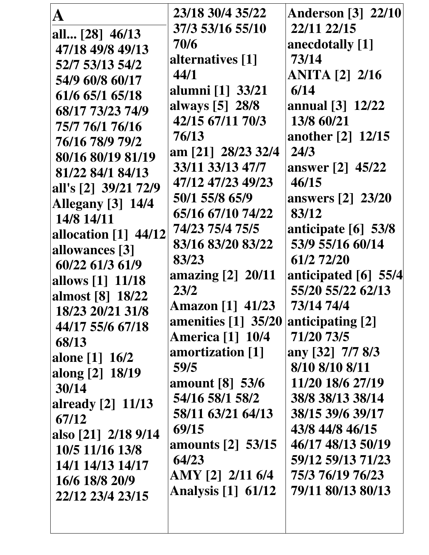|                          | 23/18 30/4 35/22                  | <b>Anderson</b> [3] 22/10 |
|--------------------------|-----------------------------------|---------------------------|
| all [28] 46/13           | 37/3 53/16 55/10                  | 22/11 22/15               |
| 47/18 49/8 49/13         | 70/6                              | anecdotally [1]           |
| 52/7 53/13 54/2          | alternatives [1]                  | 73/14                     |
| 54/9 60/8 60/17          | 44/1                              | <b>ANITA</b> [2] 2/16     |
| 61/6 65/1 65/18          | alumni [1] 33/21                  | 6/14                      |
| 68/17 73/23 74/9         | always [5] 28/8                   | annual [3] 12/22          |
| 75/7 76/1 76/16          | 42/15 67/11 70/3                  | 13/8 60/21                |
| 76/16 78/9 79/2          | 76/13                             | another [2] 12/15         |
| 80/16 80/19 81/19        | am [21] 28/23 32/4                | 24/3                      |
| 81/22 84/1 84/13         | 33/11 33/13 47/7                  | answer [2] 45/22          |
| all's [2] 39/21 72/9     | 47/12 47/23 49/23                 | 46/15                     |
| <b>Allegany</b> [3] 14/4 | 50/1 55/8 65/9                    | <b>answers</b> [2] 23/20  |
| 14/8 14/11               | 65/16 67/10 74/22                 | 83/12                     |
| allocation [1] 44/12     | 74/23 75/4 75/5                   | anticipate [6] 53/8       |
| allowances [3]           | 83/16 83/20 83/22                 | 53/9 55/16 60/14          |
| 60/22 61/3 61/9          | 83/23                             | 61/2 72/20                |
| allows [1] 11/18         | amazing [2] 20/11                 | anticipated $[6]$ 55/4    |
| almost [8] 18/22         | 23/2                              | 55/20 55/22 62/13         |
| 18/23 20/21 31/8         | Amazon [1] 41/23                  | 73/14 74/4                |
| 44/17 55/6 67/18         | amenities $\lceil 1 \rceil$ 35/20 | anticipating [2]          |
| 68/13                    | <b>America [1] 10/4</b>           | 71/20 73/5                |
| alone [1] 16/2           | amortization [1]                  | any [32] 7/7 8/3          |
| along [2] 18/19          | 59/5                              | 8/10 8/10 8/11            |
| 30/14                    | amount [8] 53/6                   | 11/20 18/6 27/19          |
| <b>already</b> [2] 11/13 | 54/16 58/1 58/2                   | 38/8 38/13 38/14          |
| 67/12                    | 58/11 63/21 64/13                 | 38/15 39/6 39/17          |
| also [21] 2/18 9/14      | 69/15                             | 43/8 44/8 46/15           |
| 10/5 11/16 13/8          | amounts [2] 53/15                 | 46/17 48/13 50/19         |
| 14/1 14/13 14/17         | 64/23                             | 59/12 59/13 71/23         |
| 16/6 18/8 20/9           | AMY [2] 2/11 6/4                  | 75/3 76/19 76/23          |
| 22/12 23/4 23/15         | <b>Analysis</b> [1] 61/12         | 79/11 80/13 80/13         |
|                          |                                   |                           |
|                          |                                   |                           |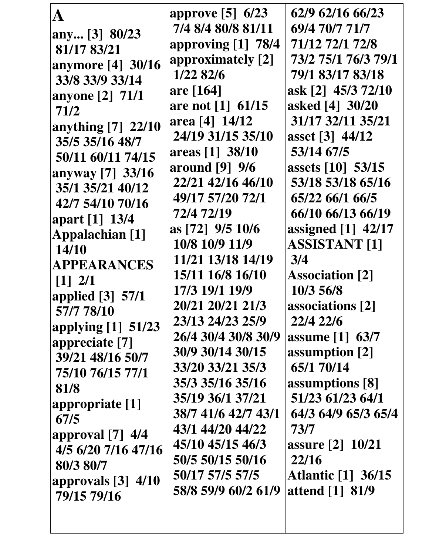| A                                      | approve [5] 6/23    | 62/9 62/16 66/23          |
|----------------------------------------|---------------------|---------------------------|
| any [3] 80/23                          | 7/4 8/4 80/8 81/11  | 69/4 70/7 71/7            |
| 81/17 83/21                            | approving [1] 78/4  | 71/12 72/1 72/8           |
| anymore [4] 30/16                      | approximately [2]   | 73/2 75/1 76/3 79/1       |
| 33/8 33/9 33/14                        | 1/22 82/6           | 79/1 83/17 83/18          |
| anyone [2] 71/1                        | are [164]           | ask [2] 45/3 72/10        |
| 71/2                                   | are not [1] 61/15   | asked [4] 30/20           |
| anything [7] 22/10                     | area [4] 14/12      | 31/17 32/11 35/21         |
| 35/5 35/16 48/7                        | 24/19 31/15 35/10   | asset [3] 44/12           |
| 50/11 60/11 74/15                      | areas [1] 38/10     | 53/14 67/5                |
| anyway [7] 33/16                       | around [9] 9/6      | assets [10] 53/15         |
| 35/1 35/21 40/12                       | 22/21 42/16 46/10   | 53/18 53/18 65/16         |
| 42/7 54/10 70/16                       | 49/17 57/20 72/1    | 65/22 66/1 66/5           |
|                                        | 72/4 72/19          | 66/10 66/13 66/19         |
| apart [1] 13/4                         | as [72] 9/5 10/6    | assigned [1] 42/17        |
| Appalachian [1]<br>14/10               | 10/8 10/9 11/9      | <b>ASSISTANT [1]</b>      |
| APPEARANCES                            | 11/21 13/18 14/19   | 3/4                       |
|                                        | 15/11 16/8 16/10    | <b>Association</b> [2]    |
| $\begin{bmatrix} 1 \\ 2 \end{bmatrix}$ | 17/3 19/1 19/9      | 10/3 56/8                 |
| applied $[3]$ 57/1                     | 20/21 20/21 21/3    | associations [2]          |
| 57/7 78/10                             | 23/13 24/23 25/9    | 22/4 22/6                 |
| applying [1] 51/23                     | 26/4 30/4 30/8 30/9 | assume [1] 63/7           |
| appreciate [7]                         | 30/9 30/14 30/15    | assumption [2]            |
| 39/21 48/16 50/7                       | 33/20 33/21 35/3    | 65/1 70/14                |
| 75/10 76/15 77/1                       | 35/3 35/16 35/16    | assumptions [8]           |
| 81/8                                   | 35/19 36/1 37/21    | 51/23 61/23 64/1          |
| appropriate [1]                        | 38/7 41/6 42/7 43/1 | 64/3 64/9 65/3 65/4       |
| 67/5                                   | 43/1 44/20 44/22    | 73/7                      |
| approval $[7]$ 4/4                     | 45/10 45/15 46/3    | assure [2] 10/21          |
| 4/5 6/20 7/16 47/16                    | 50/5 50/15 50/16    | 22/16                     |
| 80/3 80/7                              | 50/17 57/5 57/5     | <b>Atlantic</b> [1] 36/15 |
| approvals $[3]$ 4/10                   | 58/8 59/9 60/2 61/9 | attend [1] 81/9           |
| 79/15 79/16                            |                     |                           |
|                                        |                     |                           |
|                                        |                     |                           |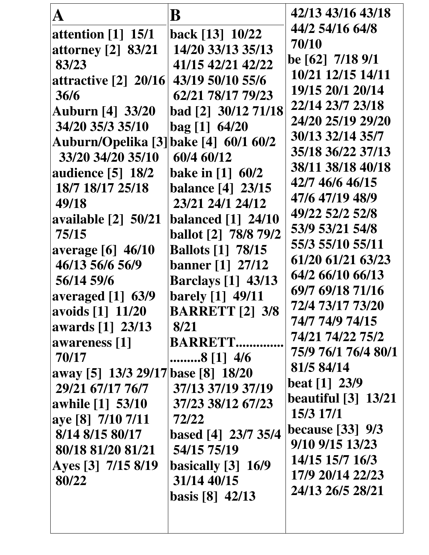| 44/2 54/16 64/8<br>back [13] 10/22<br>attention $[1]$ 15/1<br>70/10                 |  |
|-------------------------------------------------------------------------------------|--|
|                                                                                     |  |
| 14/20 33/13 35/13<br><b>attorney</b> [2] 83/21                                      |  |
| be [62] 7/18 9/1<br>41/15 42/21 42/22<br>83/23                                      |  |
| 10/21 12/15 14/11<br>43/19 50/10 55/6<br>attractive $[2]$ 20/16                     |  |
| 19/15 20/1 20/14<br>62/21 78/17 79/23<br>36/6                                       |  |
| 22/14 23/7 23/18<br>bad [2] 30/12 71/18<br><b>Auburn [4] 33/20</b>                  |  |
| 24/20 25/19 29/20<br>34/20 35/3 35/10<br>bag [1] 64/20                              |  |
| 30/13 32/14 35/7<br>Auburn/Opelika [3] bake [4] 60/1 60/2                           |  |
| 35/18 36/22 37/13<br>33/20 34/20 35/10<br>60/4 60/12                                |  |
| 38/11 38/18 40/18<br><b>bake in [1] 60/2</b><br><b>audience</b> [5] 18/2            |  |
| 42/7 46/6 46/15<br>18/7 18/17 25/18<br><b>balance</b> [4] 23/15                     |  |
| 47/6 47/19 48/9<br>23/21 24/1 24/12<br>49/18                                        |  |
| 49/22 52/2 52/8<br><b>available</b> [2] 50/21<br><b>balanced</b> [1] 24/10          |  |
| 53/9 53/21 54/8<br>75/15<br><b>ballot</b> [2] 78/8 79/2                             |  |
| 55/3 55/10 55/11<br><b>Ballots</b> [1] 78/15<br><b>average</b> [6] 46/10            |  |
| 61/20 61/21 63/23<br>46/13 56/6 56/9<br><b>banner</b> [1] 27/12<br>64/2 66/10 66/13 |  |
| 56/14 59/6<br><b>Barclays</b> [1] 43/13<br>69/7 69/18 71/16                         |  |
| barely [1] 49/11<br>averaged $[1]$ 63/9<br>72/4 73/17 73/20                         |  |
| <b>BARRETT</b> [2] 3/8<br>avoids [1] 11/20<br>74/7 74/9 74/15                       |  |
| awards [1] 23/13<br>8/21<br>74/21 74/22 75/2                                        |  |
| <b>BARRETT</b><br>awareness [1]<br>75/9 76/1 76/4 80/1                              |  |
| 70/17<br>8 [1] 4/6<br>81/5 84/14                                                    |  |
| away [5] 13/3 29/17 base [8] 18/20<br>$\,\,\mathrm{beat}\,\,[1]\,\,23/9$            |  |
| 29/21 67/17 76/7<br>37/13 37/19 37/19<br><b>beautiful</b> [3] 13/21                 |  |
| 37/23 38/12 67/23<br>awhile [1] 53/10<br>15/3 17/1                                  |  |
| aye [8] 7/10 7/11<br>72/22<br><b>because</b> [33] 9/3                               |  |
| 8/14 8/15 80/17<br>based [4] 23/7 35/4<br>9/10 9/15 13/23                           |  |
| 80/18 81/20 81/21<br>54/15 75/19<br>14/15 15/7 16/3                                 |  |
| Ayes [3] 7/15 8/19<br>basically $[3]$ 16/9<br>17/9 20/14 22/23                      |  |
| 31/14 40/15<br>80/22<br>24/13 26/5 28/21                                            |  |
| basis [8] $42/13$                                                                   |  |
|                                                                                     |  |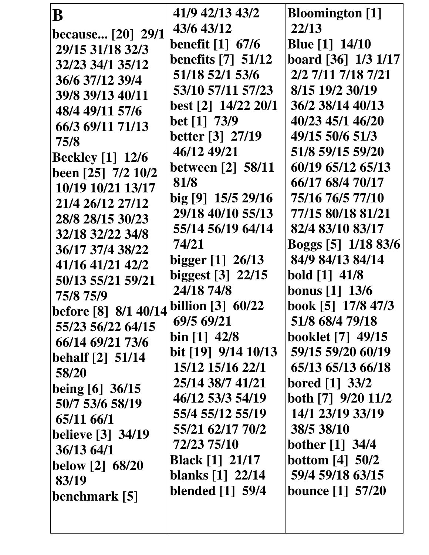| B                        | 41/9 42/13 43/2                   | <b>Bloomington</b> [1]   |
|--------------------------|-----------------------------------|--------------------------|
| <b>because</b> [20] 29/1 | 43/6 43/12                        | 22/13                    |
| 29/15 31/18 32/3         | <b>benefit</b> [1] 67/6           | <b>Blue</b> [1] 14/10    |
| 32/23 34/1 35/12         | <b>benefits</b> [7] 51/12         | board [36] 1/3 1/17      |
| 36/6 37/12 39/4          | 51/18 52/1 53/6                   | 2/2 7/11 7/18 7/21       |
| 39/8 39/13 40/11         | 53/10 57/11 57/23                 | 8/15 19/2 30/19          |
| 48/4 49/11 57/6          | best [2] 14/22 20/1               | 36/2 38/14 40/13         |
| 66/3 69/11 71/13         | bet [1] 73/9                      | 40/23 45/1 46/20         |
| 75/8                     | <b>better</b> [3] 27/19           | 49/15 50/6 51/3          |
| <b>Beckley</b> [1] 12/6  | 46/12 49/21                       | 51/8 59/15 59/20         |
| been [25] 7/2 10/2       | <b>between</b> [2] 58/11          | 60/19 65/12 65/13        |
| 10/19 10/21 13/17        | 81/8                              | 66/17 68/4 70/17         |
| 21/4 26/12 27/12         | big [9] 15/5 29/16                | 75/16 76/5 77/10         |
| 28/8 28/15 30/23         | 29/18 40/10 55/13                 | 77/15 80/18 81/21        |
| 32/18 32/22 34/8         | 55/14 56/19 64/14                 | 82/4 83/10 83/17         |
| 36/17 37/4 38/22         | 74/21                             | Boggs [5] 1/18 83/6      |
| 41/16 41/21 42/2         | bigger [1] 26/13                  | 84/9 84/13 84/14         |
| 50/13 55/21 59/21        | biggest [3] 22/15                 | bold [1] 41/8            |
| 75/8 75/9                | 24/18 74/8                        | bonus [1] 13/6           |
| before [8] 8/1 40/14     | billion $[3]$ 60/22               | book [5] 17/8 47/3       |
| 55/23 56/22 64/15        | 69/5 69/21                        | 51/8 68/4 79/18          |
| 66/14 69/21 73/6         | bin $[1]$ 42/8                    | <b>booklet</b> [7] 49/15 |
| behalf $[2]$ 51/14       | bit $\lceil 19 \rceil$ 9/14 10/13 | 59/15 59/20 60/19        |
| 58/20                    | 15/12 15/16 22/1                  | 65/13 65/13 66/18        |
| being [6] 36/15          | 25/14 38/7 41/21                  | bored [1] 33/2           |
| 50/7 53/6 58/19          | 46/12 53/3 54/19                  | both [7] 9/20 11/2       |
| 65/11 66/1               | 55/4 55/12 55/19                  | 14/1 23/19 33/19         |
| <b>believe</b> [3] 34/19 | 55/21 62/17 70/2                  | 38/5 38/10               |
| 36/1364/1                | 72/23 75/10                       | bother [1] 34/4          |
| <b>below</b> [2] 68/20   | <b>Black</b> [1] 21/17            | <b>bottom</b> [4] 50/2   |
| 83/19                    | blanks [1] 22/14                  | 59/4 59/18 63/15         |
| benchmark [5]            | blended [1] 59/4                  | <b>bounce</b> [1] 57/20  |
|                          |                                   |                          |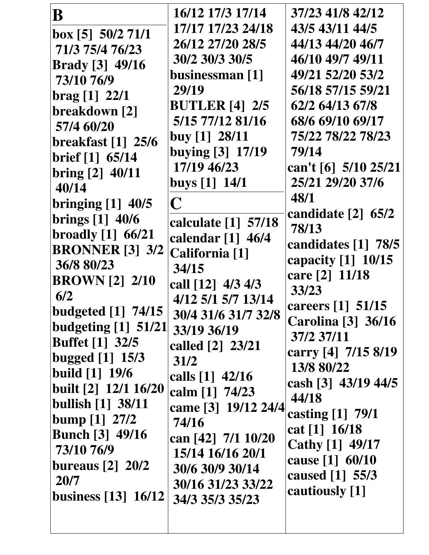| B                              | 16/12 17/3 17/14                           | 37/23 41/8 42/12                  |
|--------------------------------|--------------------------------------------|-----------------------------------|
| box [5] 50/2 71/1              | 17/17 17/23 24/18                          | 43/5 43/11 44/5                   |
| 71/3 75/4 76/23                | 26/12 27/20 28/5                           | 44/13 44/20 46/7                  |
| <b>Brady</b> [3] 49/16         | 30/2 30/3 30/5                             | 46/10 49/7 49/11                  |
| 73/10 76/9                     | businessman [1]                            | 49/21 52/20 53/2                  |
| $\text{brag} [1] 22/1$         | 29/19                                      | 56/18 57/15 59/21                 |
| breakdown [2]                  | <b>BUTLER</b> [4] 2/5                      | 62/2 64/13 67/8                   |
| 57/4 60/20                     | 5/15 77/12 81/16                           | 68/6 69/10 69/17                  |
| <b>breakfast</b> [1] 25/6      | buy $[1]$ 28/11                            | 75/22 78/22 78/23                 |
| brief [1] 65/14                | buying [3] 17/19                           | 79/14                             |
| bring [2] 40/11                | 17/19 46/23                                | can't [6] 5/10 25/21              |
| 40/14                          | buys $[1]$ 14/1                            | 25/21 29/20 37/6                  |
| bringing $[1]$ 40/5            | C                                          | 48/1                              |
| brings [1] 40/6                |                                            | candidate $[2]$ 65/2              |
| broadly $[1]$ 66/21            | calculate [1] 57/18<br>calendar $[1]$ 46/4 | 78/13                             |
| <b>BRONNER</b> [3] 3/2         | California [1]                             | candidates [1] 78/5               |
| 36/8 80/23                     | 34/15                                      | capacity $[1]$ 10/15              |
| <b>BROWN</b> [2] 2/10          | call [12] 4/3 4/3                          | care [2] 11/18                    |
| 6/2                            | 4/12 5/1 5/7 13/14                         | 33/23                             |
| <b>budgeted</b> [1] 74/15      | 30/4 31/6 31/7 32/8                        | careers [1] 51/15                 |
| budgeting $[1]$ 51/21          | 33/19 36/19                                | <b>Carolina</b> [3] 36/16         |
| <b>Buffet</b> [1] 32/5         | called [2] 23/21                           | 37/2 37/11                        |
| bugged $[1]$ 15/3              | 31/2                                       | carry [4] 7/15 8/19               |
| <b>build</b> $[1]$ 19/6        | calls $[1]$ 42/16                          | 13/8 80/22                        |
| built [2] 12/1 16/20           | calm [1] 74/23                             | cash [3] 43/19 44/5               |
| bullish $[1]$ 38/11            | came [3] 19/12 24/4                        | 44/18                             |
| bump $[1]$ 27/2                | 74/16                                      | casting $[1]$ 79/1                |
| <b>Bunch</b> [3] 49/16         | can [42] 7/1 10/20                         | cat $[1]$ 16/18                   |
| 73/10 76/9                     | 15/14 16/16 20/1                           | Cathy [1] 49/17                   |
| bureaus $\lceil 2 \rceil$ 20/2 | 30/6 30/9 30/14                            | cause [1] 60/10                   |
| 20/7                           | 30/16 31/23 33/22                          | caused [1] 55/3<br>cautiously [1] |
| business $[13] 16/12$          | 34/3 35/3 35/23                            |                                   |
|                                |                                            |                                   |
|                                |                                            |                                   |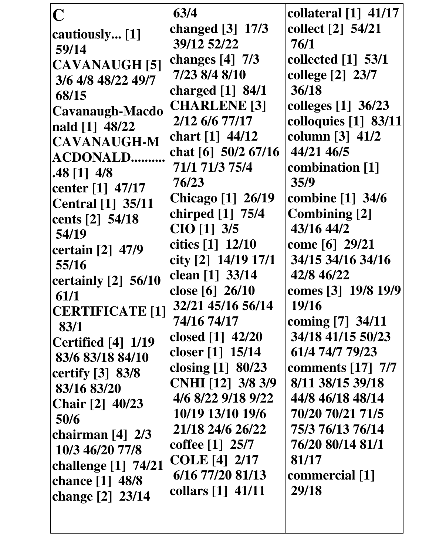| $\overline{\mathbb{C}}$             | 63/4                     | collateral $[1]$ 41/17 |
|-------------------------------------|--------------------------|------------------------|
|                                     | changed $[3]$ 17/3       | collect [2] 54/21      |
| cautiously [1]                      | 39/12 52/22              | 76/1                   |
| 59/14                               | changes $[4]$ 7/3        | collected [1] 53/1     |
| <b>CAVANAUGH [5]</b>                | 7/23 8/4 8/10            | college [2] 23/7       |
| 3/6 4/8 48/22 49/7                  | charged [1] 84/1         | 36/18                  |
| 68/15                               | <b>CHARLENE</b> [3]      | colleges [1] 36/23     |
| <b>Cavanaugh-Macdo</b>              | 2/12 6/6 77/17           | colloquies [1] 83/11   |
| nald [1] 48/22                      | chart [1] 44/12          | column $[3]$ 41/2      |
| <b>CAVANAUGH-M</b>                  | chat $[6]$ 50/2 67/16    | 44/21 46/5             |
| <b>ACDONALD</b>                     | 71/1 71/3 75/4           | combination [1]        |
| $.48$ [1] $4/8$<br>center [1] 47/17 | 76/23                    | 35/9                   |
| <b>Central</b> [1] 35/11            | <b>Chicago</b> [1] 26/19 | combine [1] 34/6       |
| cents [2] 54/18                     | chirped [1] 75/4         | <b>Combining [2]</b>   |
| 54/19                               | CIO [1] 3/5              | 43/16 44/2             |
| certain [2] 47/9                    | cities [1] 12/10         | come [6] 29/21         |
| 55/16                               | city [2] 14/19 17/1      | 34/15 34/16 34/16      |
| certainly [2] 56/10                 | clean [1] 33/14          | 42/8 46/22             |
| 61/1                                | close [6] 26/10          | comes [3] 19/8 19/9    |
| <b>CERTIFICATE [1]</b>              | 32/21 45/16 56/14        | 19/16                  |
| 83/1                                | 74/16 74/17              | coming [7] 34/11       |
| Certified [4] 1/19                  | closed $[1]$ 42/20       | 34/18 41/15 50/23      |
| 83/6 83/18 84/10                    | closer [1] 15/14         | 61/4 74/7 79/23        |
| certify [3] 83/8                    | closing [1] 80/23        | comments [17] 7/7      |
| 83/16 83/20                         | CNHI [12] 3/8 3/9        | 8/11 38/15 39/18       |
| <b>Chair</b> [2] 40/23              | 4/6 8/22 9/18 9/22       | 44/8 46/18 48/14       |
| 50/6                                | 10/19 13/10 19/6         | 70/20 70/21 71/5       |
| chairman $[4]$ 2/3                  | 21/18 24/6 26/22         | 75/3 76/13 76/14       |
| 10/3 46/20 77/8                     | coffee [1] 25/7          | 76/20 80/14 81/1       |
| challenge [1] 74/21                 | <b>COLE</b> [4] 2/17     | 81/17                  |
| chance [1] 48/8                     | 6/16 77/20 81/13         | commercial [1]         |
| change [2] 23/14                    | collars [1] 41/11        | 29/18                  |
|                                     |                          |                        |
|                                     |                          |                        |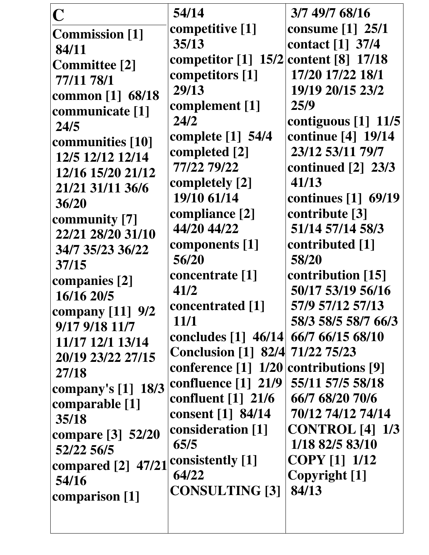| $\mathbf C$           | 54/14                                | 3/7 49/7 68/16          |
|-----------------------|--------------------------------------|-------------------------|
| <b>Commission</b> [1] | competitive [1]                      | <b>consume</b> [1] 25/1 |
| 84/11                 | 35/13                                | contact [1] 37/4        |
| <b>Committee</b> [2]  | competitor $[1]$ 15/2                | content [8] 17/18       |
| 77/11 78/1            | competitors [1]                      | 17/20 17/22 18/1        |
| common [1] 68/18      | 29/13                                | 19/19 20/15 23/2        |
| communicate [1]       | complement [1]                       | 25/9                    |
| 24/5                  | 24/2                                 | contiguous [1] 11/5     |
| communities [10]      | <b>complete</b> [1] 54/4             | continue [4] 19/14      |
| 12/5 12/12 12/14      | completed [2]                        | 23/12 53/11 79/7        |
| 12/16 15/20 21/12     | 77/22 79/22                          | continued $[2]$ 23/3    |
| 21/21 31/11 36/6      | completely [2]                       | 41/13                   |
| 36/20                 | 19/10 61/14                          | continues [1] 69/19     |
| community [7]         | compliance [2]                       | contribute [3]          |
| 22/21 28/20 31/10     | 44/20 44/22                          | 51/14 57/14 58/3        |
| 34/7 35/23 36/22      | components [1]                       | contributed [1]         |
| 37/15                 | 56/20                                | 58/20                   |
| companies [2]         | concentrate [1]                      | contribution [15]       |
| 16/16 20/5            | 41/2                                 | 50/17 53/19 56/16       |
| company $[11]$ 9/2    | concentrated [1]                     | 57/9 57/12 57/13        |
| 9/17 9/18 11/7        | 11/1                                 | 58/3 58/5 58/7 66/3     |
| 11/17 12/1 13/14      | concludes [1] 46/14 66/7 66/15 68/10 |                         |
| 20/19 23/22 27/15     | <b>Conclusion</b> [1] 82/4           | 71/22 75/23             |
| 27/18                 | conference [1] 1/20                  | contributions [9]       |
| company's $[1]$ 18/3  | confluence $[1]$ 21/9                | 55/11 57/5 58/18        |
| comparable [1]        | confluent $\lceil 1 \rceil$ 21/6     | 66/7 68/20 70/6         |
| 35/18                 | consent [1] 84/14                    | 70/12 74/12 74/14       |
| compare [3] 52/20     | consideration [1]                    | <b>CONTROL</b> [4] 1/3  |
| 52/22 56/5            | 65/5                                 | 1/18 82/5 83/10         |
| compared [2] 47/21    | consistently [1]                     | <b>COPY</b> [1] 1/12    |
| 54/16                 | 64/22                                | Copyright [1]           |
| comparison [1]        | <b>CONSULTING [3]</b>                | 84/13                   |
|                       |                                      |                         |
|                       |                                      |                         |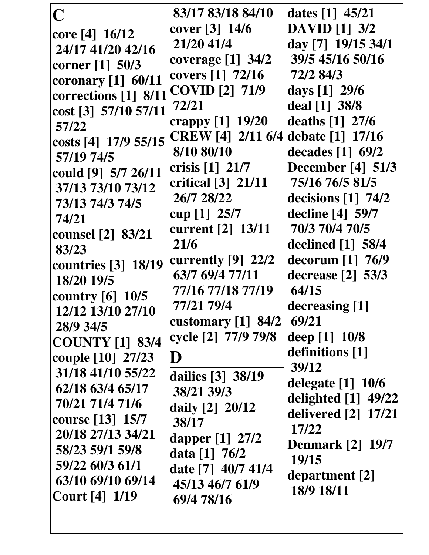| $\overline{\mathbf{C}}$ | 83/17 83/18 84/10                | dates $[1]$ 45/21                |
|-------------------------|----------------------------------|----------------------------------|
| core $[4] 16/12$        | cover $[3] 14/6$                 | <b>DAVID</b> [1] 3/2             |
| 24/17 41/20 42/16       | 21/20 41/4                       | day [7] 19/15 34/1               |
|                         | coverage $[1]$ 34/2              | 39/5 45/16 50/16                 |
| corner $[1]$ 50/3       | covers [1] 72/16                 | 72/2 84/3                        |
| coronary $[1]$ 60/11    | COVID [2] 71/9                   | days $[1] 29/6$                  |
| corrections [1] 8/11    | 72/21                            | deal [1] 38/8                    |
| cost [3] 57/10 57/11    | crappy [1] 19/20                 | deaths [1] 27/6                  |
| 57/22                   | CREW [4] 2/11 6/4                | debate [1] 17/16                 |
| costs [4] 17/9 55/15    | 8/10 80/10                       |                                  |
| 57/19 74/5              |                                  | decades $[1]$ 69/2               |
| could [9] 5/7 26/11     | crisis $[1]$ 21/7                | <b>December</b> [4] 51/3         |
| 37/13 73/10 73/12       | critical $\lceil 3 \rceil$ 21/11 | 75/16 76/5 81/5                  |
| 73/13 74/3 74/5         | 26/7 28/22                       | decisions $\lceil 1 \rceil$ 74/2 |
| 74/21                   | cup $[1]$ 25/7                   | decline [4] 59/7                 |
| counsel [2] 83/21       | current [2] 13/11                | 70/3 70/4 70/5                   |
| 83/23                   | 21/6                             | declined $[1]$ 58/4              |
| countries [3] 18/19     | currently $[9]$ 22/2             | decorum $[1]$ 76/9               |
| 18/20 19/5              | 63/7 69/4 77/11                  | decrease $\lceil 2 \rceil$ 53/3  |
| country $[6]$ 10/5      | 77/16 77/18 77/19                | 64/15                            |
| 12/12 13/10 27/10       | 77/21 79/4                       | decreasing [1]                   |
| 28/9 34/5               | customary [1] 84/2               | 69/21                            |
| <b>COUNTY</b> [1] 83/4  | cycle [2] 77/9 79/8              | deep [1] 10/8                    |
| couple [10] 27/23       | $\bf D$                          | definitions [1]                  |
|                         |                                  | 39/12                            |
| 31/18 41/10 55/22       | dailies [3] 38/19                | delegate [1] 10/6                |
| 62/18 63/4 65/17        | 38/21 39/3                       | delighted $[1]$ 49/22            |
| 70/21 71/4 71/6         | daily [2] 20/12                  | delivered [2] 17/21              |
| course [13] 15/7        | 38/17                            | 17/22                            |
| 20/18 27/13 34/21       | dapper $[1]$ 27/2                | <b>Denmark</b> [2] 19/7          |
| 58/23 59/1 59/8         | data $[1]$ 76/2                  | 19/15                            |
| 59/22 60/3 61/1         | date [7] 40/7 41/4               | department [2]                   |
| 63/10 69/10 69/14       | 45/13 46/7 61/9                  |                                  |
| <b>Court</b> [4] 1/19   | 69/4 78/16                       | 18/9 18/11                       |
|                         |                                  |                                  |
|                         |                                  |                                  |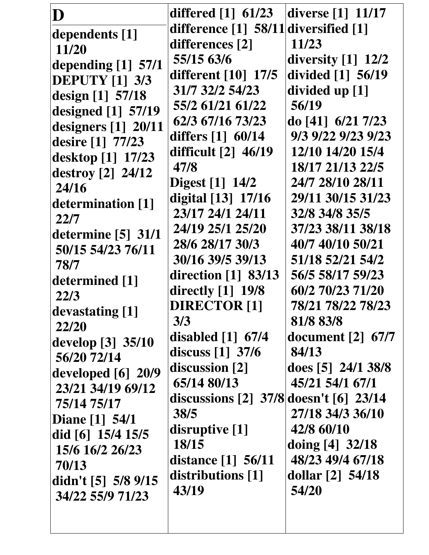| D<br>dependents [1]<br>11/20<br>depending $[1]$ 57/1<br><b>DEPUTY [1] 3/3</b><br>design [1] 57/18                                                                                                                                          | differed $[1]$ 61/23<br>difference [1] 58/11 diversified [1]<br>differences [2]<br>55/15 63/6<br>different [10] 17/5<br>31/7 32/2 54/23                                                                                                                                                 | diverse $\lceil 1 \rceil$ 11/17<br>11/23<br>diversity $[1]$ 12/2<br>divided [1] 56/19<br>divided up [1]                                                                                                                                                  |
|--------------------------------------------------------------------------------------------------------------------------------------------------------------------------------------------------------------------------------------------|-----------------------------------------------------------------------------------------------------------------------------------------------------------------------------------------------------------------------------------------------------------------------------------------|----------------------------------------------------------------------------------------------------------------------------------------------------------------------------------------------------------------------------------------------------------|
| designed $[1]$ 57/19<br>designers $[1]$ 20/11<br>desire [1] 77/23<br>desktop [1] 17/23<br>destroy [2] 24/12<br>24/16<br>determination [1]<br>22/7<br>determine $[5]$ 31/1<br>50/15 54/23 76/11<br>78/7<br>determined [1]<br>22/3           | 55/2 61/21 61/22<br>62/3 67/16 73/23<br>differs $[1]$ 60/14<br>difficult $\lceil 2 \rceil$ 46/19<br>47/8<br><b>Digest</b> [1] 14/2<br>digital [13] 17/16<br>23/17 24/1 24/11<br>24/19 25/1 25/20<br>28/6 28/17 30/3<br>30/16 39/5 39/13<br>direction $[1]$ 83/13<br>directly $[1]$ 19/8 | 56/19<br>do [41] 6/21 7/23<br>9/3 9/22 9/23 9/23<br>12/10 14/20 15/4<br>18/17 21/13 22/5<br>24/7 28/10 28/11<br>29/11 30/15 31/23<br>32/8 34/8 35/5<br>37/23 38/11 38/18<br>40/7 40/10 50/21<br>51/18 52/21 54/2<br>56/5 58/17 59/23<br>60/2 70/23 71/20 |
| devastating [1]<br>22/20<br>develop $[3]$ 35/10<br>56/20 72/14<br>developed $[6]$ 20/9<br>23/21 34/19 69/12<br>75/14 75/17<br>Diane [1] 54/1<br>did [6] 15/4 15/5<br>15/6 16/2 26/23<br>70/13<br>didn't $[5]$ 5/8 9/15<br>34/22 55/9 71/23 | <b>DIRECTOR [1]</b><br>3/3<br>disabled $[1]$ 67/4<br>discuss $\begin{bmatrix} 1 \end{bmatrix}$ 37/6<br>discussion [2]<br>65/14 80/13<br>discussions $[2]$ 37/8 doesn't $[6]$ 23/14<br>38/5<br>disruptive $[1]$<br>18/15<br>distance $[1] 56/11$<br>distributions [1]<br>43/19           | 78/21 78/22 78/23<br>81/8 83/8<br>document $[2]$ 67/7<br>84/13<br>does $[5]$ 24/1 38/8<br>45/21 54/1 67/1<br>27/18 34/3 36/10<br>42/8 60/10<br>doing $[4]$ 32/18<br>48/23 49/4 67/18<br>dollar $[2]$ 54/18<br>54/20                                      |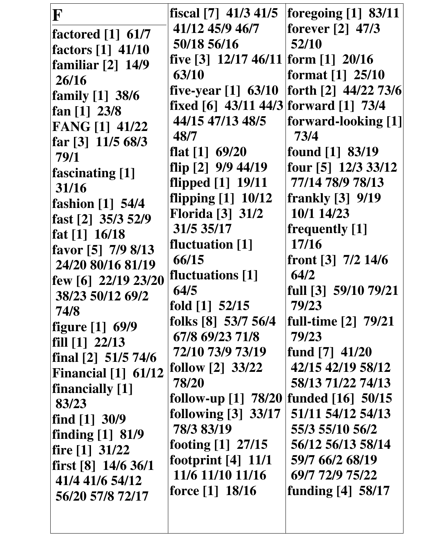| $\mathbf F$             | fiscal $[7]$ 41/3 41/5                | foregoing $[1]$ 83/11   |
|-------------------------|---------------------------------------|-------------------------|
| factored $[1]$ 61/7     | 41/12 45/9 46/7                       | forever [2] 47/3        |
| factors [1] 41/10       | 50/18 56/16                           | 52/10                   |
| familiar $[2]$ 14/9     | five [3] $12/17$ 46/11 form [1] 20/16 |                         |
| 26/16                   | 63/10                                 | format $[1]$ 25/10      |
| family [1] 38/6         | five-year $[1]$ 63/10                 | forth [2] 44/22 73/6    |
| fan $[1]$ 23/8          | fixed [6] 43/11 44/3 forward [1] 73/4 |                         |
| FANG [1] 41/22          | 44/15 47/13 48/5                      | forward-looking [1]     |
| far [3] 11/5 68/3       | 48/7                                  | 73/4                    |
| 79/1                    | flat $[1]$ 69/20                      | found [1] 83/19         |
| <b>fascinating</b> [1]  | flip [2] 9/9 44/19                    | four [5] 12/3 33/12     |
| 31/16                   | flipped [1] 19/11                     | 77/14 78/9 78/13        |
| fashion [1] 54/4        | flipping $[1]$ 10/12                  | <b>frankly</b> [3] 9/19 |
| fast [2] 35/3 52/9      | <b>Florida</b> [3] 31/2               | 10/1 14/23              |
| fat $[1]$ 16/18         | 31/5 35/17                            | frequently [1]          |
| favor [5] 7/9 8/13      | <b>fluctuation</b> [1]                | 17/16                   |
| 24/20 80/16 81/19       | 66/15                                 | front $[3]$ 7/2 14/6    |
| few [6] $22/19$ $23/20$ | fluctuations [1]                      | 64/2                    |
| 38/23 50/12 69/2        | 64/5                                  | full [3] 59/10 79/21    |
| 74/8                    | fold $[1]$ 52/15                      | 79/23                   |
| figure [1] 69/9         | folks $[8]$ 53/7 56/4                 | full-time [2] 79/21     |
| fill $[1]$ 22/13        | 67/8 69/23 71/8                       | 79/23                   |
| final $[2]$ 51/5 74/6   | 72/10 73/9 73/19                      | fund [7] 41/20          |
| Financial $[1]$ 61/12   | follow $[2]$ 33/22                    | 42/15 42/19 58/12       |
| financially [1]         | 78/20                                 | 58/13 71/22 74/13       |
| 83/23                   | follow-up $[1]$ 78/20                 | funded [16] 50/15       |
| find $[1]$ 30/9         | following $[3]$ 33/17                 | 51/11 54/12 54/13       |
| finding [1] 81/9        | 78/3 83/19                            | 55/3 55/10 56/2         |
| fire $[1]$ 31/22        | footing [1] 27/15                     | 56/12 56/13 58/14       |
| first $[8]$ 14/6 36/1   | footprint $[4]$ 11/1                  | 59/7 66/2 68/19         |
| 41/4 41/6 54/12         | 11/6 11/10 11/16                      | 69/7 72/9 75/22         |
| 56/20 57/8 72/17        | force $[1]$ 18/16                     | funding $[4]$ 58/17     |
|                         |                                       |                         |
|                         |                                       |                         |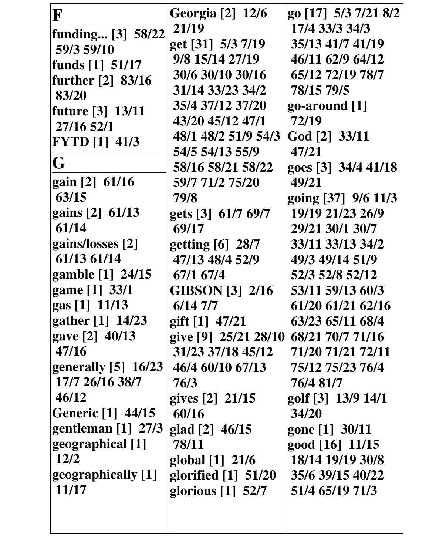| F                               | <b>Georgia</b> [2] 12/6 | go [17] 5/3 7/21 8/2 |
|---------------------------------|-------------------------|----------------------|
| funding [3] 58/22               | 21/19                   | 17/4 33/3 34/3       |
| 59/3 59/10                      | get [31] 5/3 7/19       | 35/13 41/7 41/19     |
| funds $[1]$ 51/17               | 9/8 15/14 27/19         | 46/11 62/9 64/12     |
| further $[2]$ 83/16             | 30/6 30/10 30/16        | 65/12 72/19 78/7     |
| 83/20                           | 31/14 33/23 34/2        | 78/15 79/5           |
| future [3] 13/11                | 35/4 37/12 37/20        | $qo$ -around $[1]$   |
| 27/16 52/1                      | 43/20 45/12 47/1        | 72/19                |
| <b>FYTD</b> [1] 41/3            | 48/1 48/2 51/9 54/3     | God [2] 33/11        |
|                                 | 54/5 54/13 55/9         | 47/21                |
| G                               | 58/16 58/21 58/22       | goes [3] 34/4 41/18  |
| $\left  \right $ gain [2] 61/16 | 59/7 71/2 75/20         | 49/21                |
| 63/15                           | 79/8                    | going [37] 9/6 11/3  |
| gains [2] 61/13                 | gets [3] 61/7 69/7      | 19/19 21/23 26/9     |
| 61/14                           | 69/17                   | 29/21 30/1 30/7      |
| gains/losses [2]                | getting [6] 28/7        | 33/11 33/13 34/2     |
| 61/13 61/14                     | 47/13 48/4 52/9         | 49/3 49/14 51/9      |
| gamble [1] 24/15                | 67/1 67/4               | 52/3 52/8 52/12      |
| game [1] 33/1                   | <b>GIBSON</b> [3] 2/16  | 53/11 59/13 60/3     |
| $\left  \right $ gas [1] 11/13  | $6/14$ 7/7              | 61/20 61/21 62/16    |
| gather [1] 14/23                | gift $[1]$ 47/21        | 63/23 65/11 68/4     |
| gave [2] 40/13                  | give [9] 25/21 28/10    | 68/21 70/7 71/16     |
| 47/16                           | 31/23 37/18 45/12       | 71/20 71/21 72/11    |
| generally $[5]$ 16/23           | 46/4 60/10 67/13        | 75/12 75/23 76/4     |
| 17/7 26/16 38/7                 | 76/3                    | 76/4 81/7            |
| 46/12                           | gives [2] 21/15         | golf [3] 13/9 14/1   |
| <b>Generic</b> [1] 44/15        | 60/16                   | 34/20                |
| gentleman $[1]$ 27/3            | glad $[2]$ 46/15        | gone [1] 30/11       |
| geographical [1]                | 78/11                   | good [16] 11/15      |
| 12/2                            | global [1] 21/6         | 18/14 19/19 30/8     |
| geographically [1]              | glorified [1] 51/20     | 35/6 39/15 40/22     |
| 11/17                           | glorious $[1]$ 52/7     | 51/4 65/19 71/3      |
|                                 |                         |                      |
|                                 |                         |                      |
|                                 |                         |                      |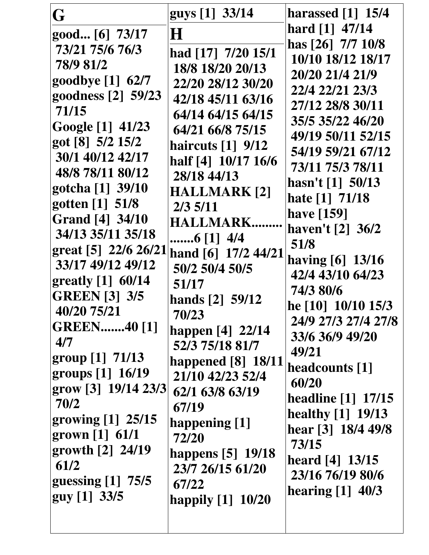| G                                                    | guys [1] 33/14                        | harassed [1] 15/4                              |
|------------------------------------------------------|---------------------------------------|------------------------------------------------|
| good [6] 73/17                                       | $\bf H$                               | hard [1] 47/14                                 |
| 73/21 75/6 76/3                                      | had [17] 7/20 15/1                    | has [26] 7/7 10/8                              |
| 78/9 81/2                                            | 18/8 18/20 20/13                      | 10/10 18/12 18/17                              |
| goodbye [1] 62/7                                     | 22/20 28/12 30/20                     | 20/20 21/4 21/9<br>22/4 22/21 23/3             |
| goodness [2] 59/23                                   | 42/18 45/11 63/16                     | 27/12 28/8 30/11                               |
| 71/15                                                | 64/14 64/15 64/15                     | 35/5 35/22 46/20                               |
| Google [1] 41/23                                     | 64/21 66/8 75/15                      | 49/19 50/11 52/15                              |
| got [8] 5/2 15/2                                     | haircuts $\lceil 1 \rceil$ 9/12       | 54/19 59/21 67/12                              |
| 30/1 40/12 42/17                                     | half [4] 10/17 16/6                   | 73/11 75/3 78/11                               |
| 48/8 78/11 80/12                                     | 28/18 44/13                           | hasn't [1] 50/13                               |
| gotcha [1] 39/10                                     | <b>HALLMARK [2]</b>                   | hate [1] 71/18                                 |
| gotten [1] 51/8<br><b>Grand</b> [4] 34/10            | $2/3$ 5/11                            | have [159]                                     |
| 34/13 35/11 35/18                                    | <b>HALLMARK.</b>                      | haven't [2] 36/2                               |
| great [5] 22/6 26/21                                 | 6 [1] 4/4                             | 51/8                                           |
| 33/17 49/12 49/12                                    | hand [6] 17/2 44/21<br>50/2 50/4 50/5 | having [6] 13/16                               |
| $\left[\frac{\text{gravity}}{\text{1}}\right]$ 60/14 | 51/17                                 | 42/4 43/10 64/23                               |
| <b>GREEN</b> [3] 3/5                                 | hands [2] 59/12                       | 74/3 80/6                                      |
| 40/20 75/21                                          | 70/23                                 | he [10] 10/10 15/3                             |
| <b>GREEN40 [1]</b>                                   | happen [4] 22/14                      | 24/9 27/3 27/4 27/8                            |
| 4/7                                                  | 52/3 75/18 81/7                       | 33/6 36/9 49/20                                |
| group $[1]$ 71/13                                    | happened [8] 18/11                    | 49/21                                          |
| groups [1] 16/19                                     | 21/10 42/23 52/4                      | headcounts [1]<br>60/20                        |
| grow [3] 19/14 23/3                                  | 62/1 63/8 63/19                       |                                                |
| 70/2                                                 | 67/19                                 | <b>headline [1] 17/15</b><br>healthy [1] 19/13 |
| growing $[1]$ 25/15                                  | happening [1]                         | hear [3] 18/4 49/8                             |
| grown $[1] 61/1$                                     | 72/20                                 | 73/15                                          |
| growth [2] 24/19                                     | happens [5] 19/18                     | heard [4] 13/15                                |
| 61/2                                                 | 23/7 26/15 61/20                      | 23/16 76/19 80/6                               |
| guessing $[1]$ 75/5                                  | 67/22                                 | hearing [1] 40/3                               |
| guy [1] 33/5                                         | happily [1] 10/20                     |                                                |
|                                                      |                                       |                                                |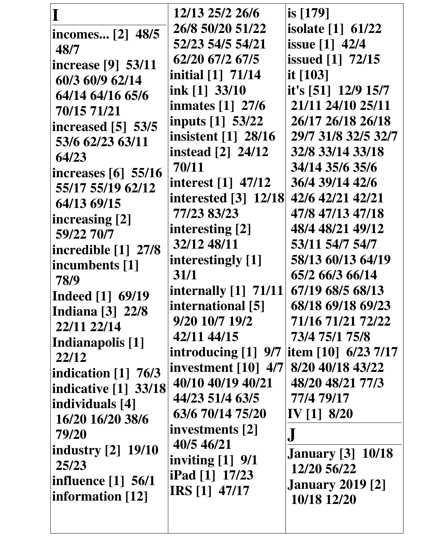|                                                   | 12/13 25/2 26/6                                  | is [179]                 |
|---------------------------------------------------|--------------------------------------------------|--------------------------|
| incomes [2] 48/5                                  | 26/8 50/20 51/22                                 | <b>isolate</b> [1] 61/22 |
| 48/7                                              | 52/23 54/5 54/21                                 | issue [1] 42/4           |
| increase [9] 53/11                                | 62/20 67/2 67/5                                  | <b>issued</b> [1] 72/15  |
| 60/3 60/9 62/14                                   | initial [1] 71/14                                | it $[103]$               |
| 64/14 64/16 65/6                                  | ink [1] 33/10                                    | it's [51] $12/9$ 15/7    |
| 70/15 71/21                                       | inmates $\lceil 1 \rceil$ 27/6                   | 21/11 24/10 25/11        |
| increased $[5]$ 53/5                              | inputs [1] 53/22                                 | 26/17 26/18 26/18        |
| 53/6 62/23 63/11                                  | insistent [1] 28/16                              | 29/7 31/8 32/5 32/7      |
| 64/23                                             | <b>instead</b> [2] 24/12                         | 32/8 33/14 33/18         |
| increases $\lceil 6 \rceil$ 55/16                 | 70/11                                            | 34/14 35/6 35/6          |
| 55/17 55/19 62/12                                 | interest $\begin{bmatrix} 1 \end{bmatrix}$ 47/12 | 36/4 39/14 42/6          |
| 64/13 69/15                                       | <b>interested</b> [3] 12/18                      | 42/6 42/21 42/21         |
| increasing [2]                                    | 77/23 83/23                                      | 47/8 47/13 47/18         |
| 59/22 70/7                                        | interesting [2]                                  | 48/4 48/21 49/12         |
| incredible $\lceil 1 \rceil$ 27/8                 | 32/12 48/11                                      | 53/11 54/7 54/7          |
| incumbents [1]                                    | interestingly [1]                                | 58/13 60/13 64/19        |
| 78/9                                              | 31/1                                             | 65/2 66/3 66/14          |
| <b>Indeed</b> [1] 69/19                           | internally $[1]$ 71/11                           | 67/19 68/5 68/13         |
| <b>Indiana</b> [3] 22/8                           | international [5]                                | 68/18 69/18 69/23        |
| 22/11 22/14                                       | 9/20 10/7 19/2                                   | 71/16 71/21 72/22        |
| Indianapolis [1]                                  | 42/11 44/15                                      | 73/4 75/1 75/8           |
| 22/12                                             | introducing $[1]$ 9/7   item $[10]$ 6/23 7/17    |                          |
| indication $\begin{bmatrix} 1 \end{bmatrix}$ 76/3 | investment $\lceil 10 \rceil$ 4/7                | 8/20 40/18 43/22         |
| <b>indicative</b> [1] 33/18                       | 40/10 40/19 40/21                                | 48/20 48/21 77/3         |
| individuals [4]                                   | 44/23 51/4 63/5                                  | 77/4 79/17               |
| 16/20 16/20 38/6                                  | 63/6 70/14 75/20                                 | IV $[1]$ 8/20            |
| 79/20                                             | investments [2]                                  |                          |
| <b>industry</b> [2] 19/10                         | 40/5 46/21                                       | <b>January</b> [3] 10/18 |
| 25/23                                             | inviting $[1]$ 9/1                               | 12/20 56/22              |
| influence $\lceil 1 \rceil$ 56/1                  | iPad [1] 17/23                                   | <b>January 2019 [2]</b>  |
| information [12]                                  | <b>IRS</b> [1] 47/17                             | 10/18 12/20              |
|                                                   |                                                  |                          |
|                                                   |                                                  |                          |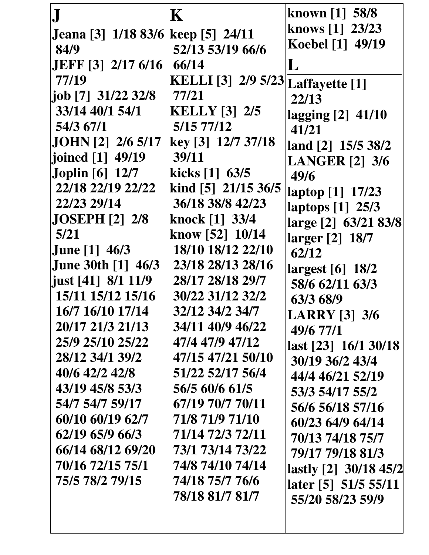|                                    | $\mathbf K$                       | known [1] 58/8        |
|------------------------------------|-----------------------------------|-----------------------|
| Jeana [3] 1/18 83/6 keep [5] 24/11 |                                   | knows [1] 23/23       |
| 84/9                               | 52/13 53/19 66/6                  | Koebel [1] 49/19      |
| <b>JEFF</b> [3] 2/17 6/16          | 66/14                             |                       |
| 77/19                              | KELLI [3] 2/9 5/23 Laffayette [1] |                       |
| job [7] 31/22 32/8                 | 77/21                             | 22/13                 |
| 33/14 40/1 54/1                    | <b>KELLY</b> [3] 2/5              | lagging [2] 41/10     |
| 54/3 67/1                          | 5/157/12                          | 41/21                 |
| JOHN [2] 2/6 5/17                  | key [3] 12/7 37/18                | land [2] 15/5 38/2    |
| joined [1] 49/19                   | 39/11                             | <b>LANGER</b> [2] 3/6 |
| <b>Joplin</b> [6] 12/7             | kicks $[1]$ 63/5                  | 49/6                  |
| 22/18 22/19 22/22                  | kind [5] 21/15 36/5               | laptop [1] 17/23      |
| 22/23 29/14                        | 36/18 38/8 42/23                  | laptops [1] 25/3      |
| <b>JOSEPH [2] 2/8</b>              | knock [1] 33/4                    | large [2] 63/21 83/8  |
| 5/21                               | know [52] 10/14                   | larger [2] 18/7       |
| <b>June</b> [1] 46/3               | 18/10 18/12 22/10                 | 62/12                 |
| <b>June 30th [1] 46/3</b>          | 23/18 28/13 28/16                 | largest [6] 18/2      |
| just [41] 8/1 11/9                 | 28/17 28/18 29/7                  | 58/6 62/11 63/3       |
| 15/11 15/12 15/16                  | 30/22 31/12 32/2                  | 63/3 68/9             |
| 16/7 16/10 17/14                   | 32/12 34/2 34/7                   | <b>LARRY</b> [3] 3/6  |
| 20/17 21/3 21/13                   | 34/11 40/9 46/22                  | 49/6 77/1             |
| 25/9 25/10 25/22                   | 47/4 47/9 47/12                   | last [23] 16/1 30/18  |
| 28/12 34/1 39/2                    | 47/15 47/21 50/10                 | 30/19 36/2 43/4       |
| 40/6 42/2 42/8                     | 51/22 52/17 56/4                  | 44/4 46/21 52/19      |
| 43/19 45/8 53/3                    | 56/5 60/6 61/5                    | 53/3 54/17 55/2       |
| 54/7 54/7 59/17                    | 67/19 70/7 70/11                  | 56/6 56/18 57/16      |
| 60/10 60/19 62/7                   | 71/8 71/9 71/10                   | 60/23 64/9 64/14      |
| 62/19 65/9 66/3                    | 71/14 72/3 72/11                  | 70/13 74/18 75/7      |
| 66/14 68/12 69/20                  | 73/1 73/14 73/22                  | 79/17 79/18 81/3      |
| 70/16 72/15 75/1                   | 74/8 74/10 74/14                  | lastly [2] 30/18 45/2 |
| 75/5 78/2 79/15                    | 74/18 75/7 76/6                   | later [5] 51/5 55/11  |
|                                    | 78/18 81/7 81/7                   | 55/20 58/23 59/9      |
|                                    |                                   |                       |
|                                    |                                   |                       |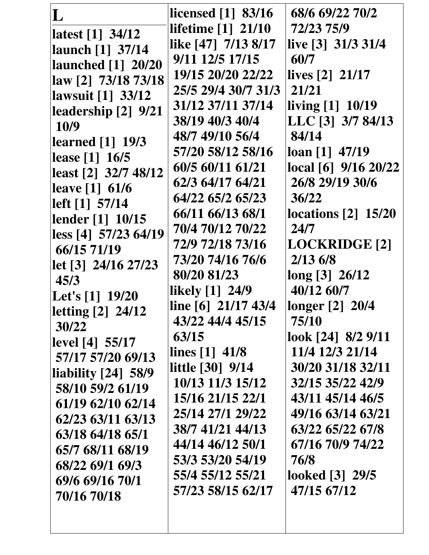| L                                         | licensed [1] 83/16        | 68/6 69/22 70/2          |
|-------------------------------------------|---------------------------|--------------------------|
| latest [1] 34/12                          | <b>lifetime</b> [1] 21/10 | 72/23 75/9               |
| launch [1] 37/14                          | like [47] 7/13 8/17       | live $[3]$ 31/3 31/4     |
| <b>launched</b> [1] 20/20                 | 9/11 12/5 17/15           | 60/7                     |
| law [2] 73/18 73/18                       | 19/15 20/20 22/22         | lives $[2]$ 21/17        |
| lawsuit [1] 33/12                         | 25/5 29/4 30/7 31/3       | 21/21                    |
| leadership [2] 9/21                       | 31/12 37/11 37/14         | living [1] 10/19         |
| 10/9                                      | 38/19 40/3 40/4           | LLC [3] 3/7 84/13        |
| learned [1] 19/3                          | 48/7 49/10 56/4           | 84/14                    |
| lease [1] 16/5                            | 57/20 58/12 58/16         | $\log_{10}[1]$ 47/19     |
| least [2] 32/7 48/12                      | 60/5 60/11 61/21          | local [6] 9/16 20/22     |
| leave [1] 61/6                            | 62/3 64/17 64/21          | 26/8 29/19 30/6          |
| left [1] 57/14                            | 64/22 65/2 65/23          | 36/22                    |
| lender [1] 10/15                          | 66/11 66/13 68/1          | locations $[2]$ 15/20    |
| less [4] 57/23 64/19                      | 70/4 70/12 70/22          | 24/7                     |
| 66/15 71/19                               | 72/9 72/18 73/16          | LOCKRIDGE <sup>[2]</sup> |
| let [3] 24/16 27/23                       | 73/20 74/16 76/6          | 2/136/8                  |
| 45/3                                      | 80/20 81/23               | long [3] 26/12           |
| Let's [1] 19/20                           | likely [1] 24/9           | 40/12 60/7               |
| letting [2] 24/12                         | line [6] 21/17 43/4       | longer [2] 20/4          |
| 30/22                                     | 43/22 44/4 45/15          | 75/10                    |
| level [4] 55/17                           | 63/15                     | look [24] 8/2 9/11       |
| 57/17 57/20 69/13                         | lines $[1]$ 41/8          | 11/4 12/3 21/14          |
| $\left $ liability $\left[24\right]$ 58/9 | <b>little</b> [30] 9/14   | 30/20 31/18 32/11        |
| 58/10 59/2 61/19                          | 10/13 11/3 15/12          | 32/15 35/22 42/9         |
| 61/19 62/10 62/14                         | 15/16 21/15 22/1          | 43/11 45/14 46/5         |
| 62/23 63/11 63/13                         | 25/14 27/1 29/22          | 49/16 63/14 63/21        |
| 63/18 64/18 65/1                          | 38/7 41/21 44/13          | 63/22 65/22 67/8         |
| 65/7 68/11 68/19                          | 44/14 46/12 50/1          | 67/16 70/9 74/22         |
| 68/22 69/1 69/3                           | 53/3 53/20 54/19          | 76/8                     |
| 69/6 69/16 70/1                           | 55/4 55/12 55/21          | looked [3] 29/5          |
| 70/16 70/18                               | 57/23 58/15 62/17         | 47/15 67/12              |
|                                           |                           |                          |
|                                           |                           |                          |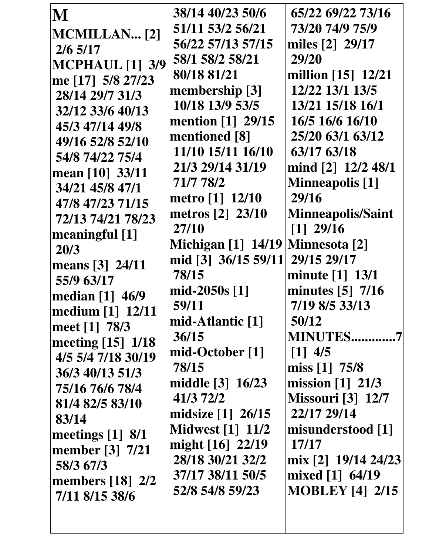| M                                 | 38/14 40/23 50/6          | 65/22 69/22 73/16        |
|-----------------------------------|---------------------------|--------------------------|
| <b>MCMILLAN</b> [2]               | 51/11 53/2 56/21          | 73/20 74/9 75/9          |
| $2/6$ 5/17                        | 56/22 57/13 57/15         | miles [2] 29/17          |
| <b>MCPHAUL</b> [1] 3/9            | 58/1 58/2 58/21           | 29/20                    |
| me [17] 5/8 27/23                 | 80/18 81/21               | million [15] 12/21       |
| 28/14 29/7 31/3                   | membership [3]            | 12/22 13/1 13/5          |
| 32/12 33/6 40/13                  | 10/18 13/9 53/5           | 13/21 15/18 16/1         |
| 45/3 47/14 49/8                   | mention $[1]$ 29/15       | 16/5 16/6 16/10          |
| 49/16 52/8 52/10                  | mentioned [8]             | 25/20 63/1 63/12         |
| 54/8 74/22 75/4                   | 11/10 15/11 16/10         | 63/17 63/18              |
| mean [10] 33/11                   | 21/3 29/14 31/19          | mind [2] 12/2 48/1       |
| 34/21 45/8 47/1                   | 71/7 78/2                 | <b>Minneapolis</b> [1]   |
| 47/8 47/23 71/15                  | metro [1] 12/10           | 29/16                    |
| 72/13 74/21 78/23                 | metros [2] 23/10          | <b>Minneapolis/Saint</b> |
| meaningful [1]                    | 27/10                     | $[1]$ 29/16              |
| 20/3                              | <b>Michigan</b> [1] 14/19 | <b>Minnesota</b> [2]     |
| means [3] 24/11                   | mid [3] 36/15 59/11       | 29/15 29/17              |
| 55/9 63/17                        | 78/15                     | minute [1] 13/1          |
| median [1] 46/9                   | mid-2050s $[1]$           | minutes [5] 7/16         |
| medium [1] 12/11                  | 59/11                     | 7/19 8/5 33/13           |
| meet [1] 78/3                     | mid-Atlantic [1]          | 50/12                    |
| meeting [15] 1/18                 | 36/15                     | <b>MINUTES7</b>          |
| 4/5 5/4 7/18 30/19                | mid-October [1]           | $[1]$ 4/5                |
| 36/3 40/13 51/3                   | 78/15                     | miss $[1]$ 75/8          |
| 75/16 76/6 78/4                   | middle [3] 16/23          | mission [1] 21/3         |
| 81/4 82/5 83/10                   | 41/3 72/2                 | <b>Missouri [3] 12/7</b> |
| 83/14                             | midsize $[1]$ 26/15       | 22/17 29/14              |
| meetings $[1]$ 8/1                | <b>Midwest</b> [1] 11/2   | misunderstood [1]        |
| member [3] 7/21                   | might [16] 22/19          | 17/17                    |
| 58/3 67/3                         | 28/18 30/21 32/2          | mix [2] 19/14 24/23      |
| members $\lceil 18 \rceil \; 2/2$ | 37/17 38/11 50/5          | mixed [1] 64/19          |
| 7/11 8/15 38/6                    | 52/8 54/8 59/23           | <b>MOBLEY</b> [4] 2/15   |
|                                   |                           |                          |
|                                   |                           |                          |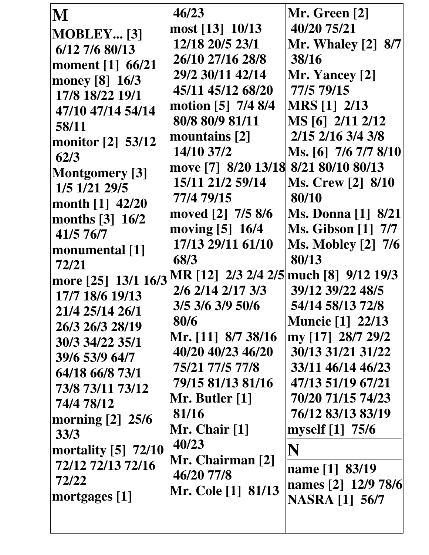| M<br>$MOBLEY$ [3]<br>$6/12$ 7/6 80/13<br>moment [1] 66/21<br>money [8] 16/3<br>17/8 18/22 19/1<br>47/10 47/14 54/14<br>58/11<br>monitor [2] 53/12<br>62/3<br><b>Montgomery</b> [3]<br>1/5 1/21 29/5<br>month $[1]$ 42/20<br>months $[3]$ 16/2<br>41/5 76/7<br>monumental [1]<br>72/21<br> more [25] 13/1 16/3 <br>17/7 18/6 19/13<br>21/4 25/14 26/1<br>26/3 26/3 28/19<br>30/3 34/22 35/1<br>39/6 53/9 64/7<br>64/18 66/8 73/1<br>73/8 73/11 73/12<br>74/4 78/12<br>morning $[2]$ 25/6<br>33/3<br>mortality $[5]$ 72/10<br>72/12 72/13 72/16<br>72/22 | 46/23<br>most [13] 10/13<br>12/18 20/5 23/1<br>26/10 27/16 28/8<br>29/2 30/11 42/14<br>45/11 45/12 68/20<br>motion [5] 7/4 8/4<br>80/8 80/9 81/11<br>mountains [2]<br>14/10 37/2<br>move [7] 8/20 13/18 8/21 80/10 80/13<br>15/11 21/2 59/14<br>77/4 79/15<br>moved [2] 7/5 8/6<br>moving [5] 16/4<br>17/13 29/11 61/10<br>68/3<br>MR [12] 2/3 2/4 2/5   much [8] 9/12 19/3<br>2/6 2/14 2/17 3/3<br>3/5 3/6 3/9 50/6<br>80/6<br>Mr. [11] 8/7 38/16<br>40/20 40/23 46/20<br>75/21 77/5 77/8<br>79/15 81/13 81/16<br>Mr. Butler [1]<br>81/16<br>Mr. Chair $[1]$<br>40/23<br>Mr. Chairman [2]<br>46/20 77/8 | Mr. Green [2]<br>40/20 75/21<br><b>Mr. Whaley [2] 8/7</b><br>38/16<br>Mr. Yancey [2]<br>77/5 79/15<br><b>MRS</b> [1] 2/13<br>MS [6] 2/11 2/12<br>2/15 2/16 3/4 3/8<br>Ms. [6] 7/6 7/7 8/10<br><b>Ms. Crew [2] 8/10</b><br>80/10<br><b>Ms. Donna</b> [1] 8/21<br><b>Ms. Gibson</b> [1] 7/7<br><b>Ms. Mobley [2] 7/6</b><br>80/13<br>39/12 39/22 48/5<br>54/14 58/13 72/8<br><b>Muncie</b> [1] 22/13<br>my [17] 28/7 29/2<br>30/13 31/21 31/22<br>33/11 46/14 46/23<br>47/13 51/19 67/21<br>70/20 71/15 74/23<br>76/12 83/13 83/19<br>myself [1] 75/6<br>N<br>name [1] 83/19<br>names [2] 12/9 78/6 |
|--------------------------------------------------------------------------------------------------------------------------------------------------------------------------------------------------------------------------------------------------------------------------------------------------------------------------------------------------------------------------------------------------------------------------------------------------------------------------------------------------------------------------------------------------------|----------------------------------------------------------------------------------------------------------------------------------------------------------------------------------------------------------------------------------------------------------------------------------------------------------------------------------------------------------------------------------------------------------------------------------------------------------------------------------------------------------------------------------------------------------------------------------------------------------|---------------------------------------------------------------------------------------------------------------------------------------------------------------------------------------------------------------------------------------------------------------------------------------------------------------------------------------------------------------------------------------------------------------------------------------------------------------------------------------------------------------------------------------------------------------------------------------------------|
| mortgages $[1]$                                                                                                                                                                                                                                                                                                                                                                                                                                                                                                                                        | <b>Mr. Cole [1] 81/13</b>                                                                                                                                                                                                                                                                                                                                                                                                                                                                                                                                                                                | <b>NASRA</b> [1] 56/7                                                                                                                                                                                                                                                                                                                                                                                                                                                                                                                                                                             |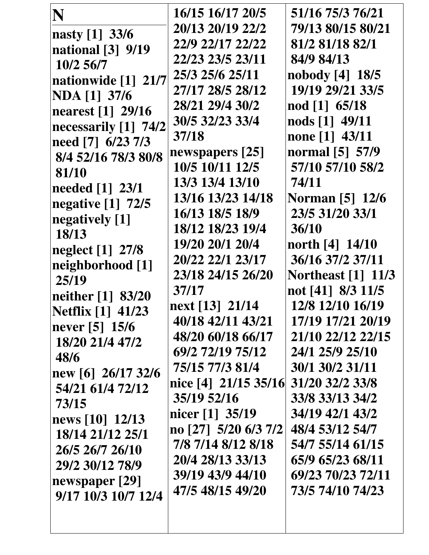| N                        | 16/15 16/17 20/5     | 51/16 75/3 76/21          |
|--------------------------|----------------------|---------------------------|
| nasty [1] 33/6           | 20/13 20/19 22/2     | 79/13 80/15 80/21         |
| national [3] 9/19        | 22/9 22/17 22/22     | 81/2 81/18 82/1           |
| 10/2 56/7                | 22/23 23/5 23/11     | 84/9 84/13                |
| nationwide [1] 21/7      | 25/3 25/6 25/11      | nobody $[4]$ 18/5         |
| <b>NDA</b> [1] 37/6      | 27/17 28/5 28/12     | 19/19 29/21 33/5          |
| nearest [1] 29/16        | 28/21 29/4 30/2      | nod [1] 65/18             |
| necessarily [1] 74/2     | 30/5 32/23 33/4      | nods [1] 49/11            |
| need [7] 6/23 7/3        | 37/18                | none [1] 43/11            |
| 8/4 52/16 78/3 80/8      | newspapers [25]      | normal [5] 57/9           |
| 81/10                    | 10/5 10/11 12/5      | 57/10 57/10 58/2          |
| needed [1] 23/1          | 13/3 13/4 13/10      | 74/11                     |
| negative [1] 72/5        | 13/16 13/23 14/18    | <b>Norman</b> [5] 12/6    |
| negatively [1]           | 16/13 18/5 18/9      | 23/5 31/20 33/1           |
| 18/13                    | 18/12 18/23 19/4     | 36/10                     |
| neglect [1] 27/8         | 19/20 20/1 20/4      | north [4] 14/10           |
| neighborhood [1]         | 20/22 22/1 23/17     | 36/16 37/2 37/11          |
| 25/19                    | 23/18 24/15 26/20    | <b>Northeast</b> [1] 11/3 |
| neither [1] 83/20        | 37/17                | not [41] 8/3 11/5         |
| <b>Netflix</b> [1] 41/23 | next [13] 21/14      | 12/8 12/10 16/19          |
| never [5] 15/6           | 40/18 42/11 43/21    | 17/19 17/21 20/19         |
| 18/20 21/4 47/2          | 48/20 60/18 66/17    | 21/10 22/12 22/15         |
| 48/6                     | 69/2 72/19 75/12     | 24/1 25/9 25/10           |
| new [6] $26/17$ 32/6     | 75/15 77/3 81/4      | 30/1 30/2 31/11           |
| 54/21 61/4 72/12         | nice [4] 21/15 35/16 | 31/20 32/2 33/8           |
| 73/15                    | 35/19 52/16          | 33/8 33/13 34/2           |
| news [10] 12/13          | nicer [1] 35/19      | 34/19 42/1 43/2           |
| 18/14 21/12 25/1         | no [27] 5/20 6/3 7/2 | 48/4 53/12 54/7           |
| 26/5 26/7 26/10          | 7/8 7/14 8/12 8/18   | 54/7 55/14 61/15          |
| 29/2 30/12 78/9          | 20/4 28/13 33/13     | 65/9 65/23 68/11          |
| newspaper [29]           | 39/19 43/9 44/10     | 69/23 70/23 72/11         |
| 9/17 10/3 10/7 12/4      | 47/5 48/15 49/20     | 73/5 74/10 74/23          |
|                          |                      |                           |
|                          |                      |                           |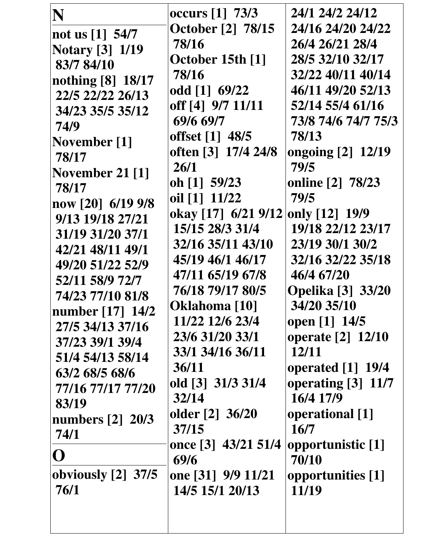| N                      | occurs [1] 73/3          | 24/1 24/2 24/12          |
|------------------------|--------------------------|--------------------------|
| not us $[1]$ 54/7      | <b>October</b> [2] 78/15 | 24/16 24/20 24/22        |
| <b>Notary</b> [3] 1/19 | 78/16                    | 26/4 26/21 28/4          |
| 83/7 84/10             | October 15th [1]         | 28/5 32/10 32/17         |
| nothing [8] 18/17      | 78/16                    | 32/22 40/11 40/14        |
| 22/5 22/22 26/13       | odd [1] 69/22            | 46/11 49/20 52/13        |
| 34/23 35/5 35/12       | off [4] 9/7 11/11        | 52/14 55/4 61/16         |
| 74/9                   | 69/6 69/7                | 73/8 74/6 74/7 75/3      |
| November [1]           | offset [1] 48/5          | 78/13                    |
| 78/17                  | often [3] 17/4 24/8      | ongoing [2] 12/19        |
| November 21 $[1]$      | 26/1                     | 79/5                     |
| 78/17                  | oh [1] 59/23             | online [2] 78/23         |
| now [20] 6/19 9/8      | oil [1] 11/22            | 79/5                     |
| 9/13 19/18 27/21       | okay [17] 6/21 9/12      | only [12] 19/9           |
| 31/19 31/20 37/1       | 15/15 28/3 31/4          | 19/18 22/12 23/17        |
| 42/21 48/11 49/1       | 32/16 35/11 43/10        | 23/19 30/1 30/2          |
| 49/20 51/22 52/9       | 45/19 46/1 46/17         | 32/16 32/22 35/18        |
| 52/11 58/9 72/7        | 47/11 65/19 67/8         | 46/4 67/20               |
| 74/23 77/10 81/8       | 76/18 79/17 80/5         | <b>Opelika</b> [3] 33/20 |
| number [17] 14/2       | Oklahoma [10]            | 34/20 35/10              |
| 27/5 34/13 37/16       | 11/22 12/6 23/4          | open [1] 14/5            |
| 37/23 39/1 39/4        | 23/6 31/20 33/1          | operate [2] 12/10        |
| 51/4 54/13 58/14       | 33/1 34/16 36/11         | 12/11                    |
| 63/2 68/5 68/6         | 36/11                    | operated [1] 19/4        |
| 77/16 77/17 77/20      | old [3] 31/3 31/4        | operating [3] 11/7       |
| 83/19                  | 32/14                    | 16/4 17/9                |
| numbers [2] 20/3       | older $[2]$ 36/20        | operational [1]          |
| 74/1                   | 37/15                    | 16/7                     |
| $\mathbf{O}$           | once [3] 43/21 51/4      | opportunistic [1]        |
|                        | 69/6                     | 70/10                    |
| obviously $[2]$ 37/5   | one [31] 9/9 11/21       | opportunities [1]        |
| 76/1                   | 14/5 15/1 20/13          | 11/19                    |
|                        |                          |                          |
|                        |                          |                          |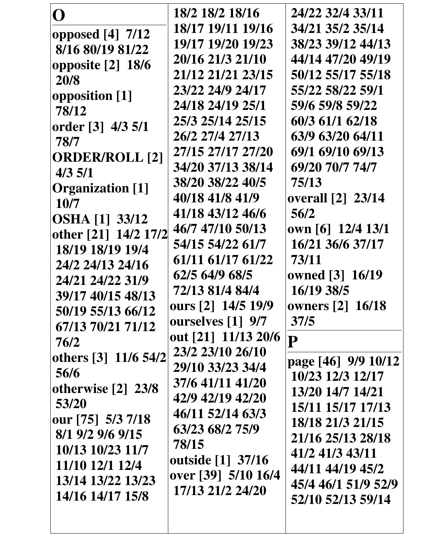| ( )                     | 18/2 18/2 18/16     | 24/22 32/4 33/11                     |
|-------------------------|---------------------|--------------------------------------|
| opposed $[4]$ 7/12      | 18/17 19/11 19/16   | 34/21 35/2 35/14                     |
| 8/16 80/19 81/22        | 19/17 19/20 19/23   | 38/23 39/12 44/13                    |
| opposite $[2]$ 18/6     | 20/16 21/3 21/10    | 44/14 47/20 49/19                    |
| 20/8                    | 21/12 21/21 23/15   | 50/12 55/17 55/18                    |
| opposition [1]          | 23/22 24/9 24/17    | 55/22 58/22 59/1                     |
| 78/12                   | 24/18 24/19 25/1    | 59/6 59/8 59/22                      |
| order [3] 4/3 5/1       | 25/3 25/14 25/15    | 60/3 61/1 62/18                      |
| 78/7                    | 26/2 27/4 27/13     | 63/9 63/20 64/11                     |
| <b>ORDER/ROLL [2]</b>   | 27/15 27/17 27/20   | 69/1 69/10 69/13                     |
| 4/3 5/1                 | 34/20 37/13 38/14   | 69/20 70/7 74/7                      |
| <b>Organization</b> [1] | 38/20 38/22 40/5    | 75/13                                |
| 10/7                    | 40/18 41/8 41/9     | <b>overall</b> [2] 23/14             |
| <b>OSHA</b> [1] 33/12   | 41/18 43/12 46/6    | 56/2                                 |
| other [21] 14/2 17/2    | 46/7 47/10 50/13    | own [6] 12/4 13/1                    |
| 18/19 18/19 19/4        | 54/15 54/22 61/7    | 16/21 36/6 37/17                     |
| 24/2 24/13 24/16        | 61/11 61/17 61/22   | 73/11                                |
| 24/21 24/22 31/9        | 62/5 64/9 68/5      | owned [3] 16/19                      |
| 39/17 40/15 48/13       | 72/13 81/4 84/4     | 16/19 38/5                           |
| 50/19 55/13 66/12       | ours [2] 14/5 19/9  | owners [2] 16/18                     |
| 67/13 70/21 71/12       | ourselves [1] 9/7   | 37/5                                 |
| 76/2                    | out [21] 11/13 20/6 | P                                    |
| others [3] 11/6 54/2    | 23/2 23/10 26/10    |                                      |
| 56/6                    | 29/10 33/23 34/4    | page [46] 9/9 10/12                  |
| otherwise $[2]$ 23/8    | 37/6 41/11 41/20    | 10/23 12/3 12/17                     |
| 53/20                   | 42/9 42/19 42/20    | 13/20 14/7 14/21                     |
| our [75] 5/3 7/18       | 46/11 52/14 63/3    | 15/11 15/17 17/13                    |
| 8/1 9/2 9/6 9/15        | 63/23 68/2 75/9     | 18/18 21/3 21/15                     |
| 10/13 10/23 11/7        | 78/15               | 21/16 25/13 28/18<br>41/2 41/3 43/11 |
| 11/10 12/1 12/4         | outside [1] 37/16   | 44/11 44/19 45/2                     |
| 13/14 13/22 13/23       | over [39] 5/10 16/4 | 45/4 46/1 51/9 52/9                  |
| 14/16 14/17 15/8        | 17/13 21/2 24/20    | 52/10 52/13 59/14                    |
|                         |                     |                                      |
|                         |                     |                                      |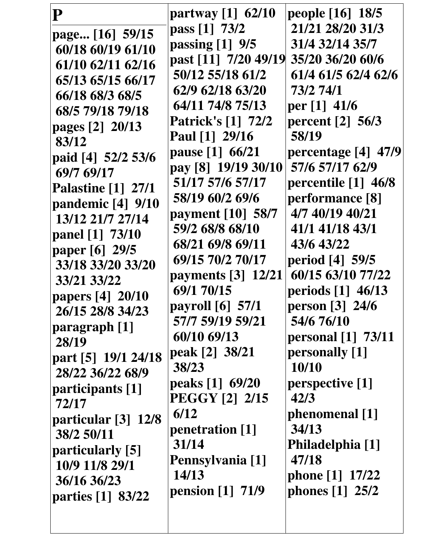| P                         | partway $[1]$ 62/10       | people [16] 18/5          |
|---------------------------|---------------------------|---------------------------|
| page [16] 59/15           | pass [1] 73/2             | 21/21 28/20 31/3          |
| 60/18 60/19 61/10         | passing $[1]$ 9/5         | 31/4 32/14 35/7           |
| 61/10 62/11 62/16         | past [11] 7/20 49/19      | 35/20 36/20 60/6          |
| 65/13 65/15 66/17         | 50/12 55/18 61/2          | 61/4 61/5 62/4 62/6       |
| 66/18 68/3 68/5           | 62/9 62/18 63/20          | 73/2 74/1                 |
| 68/5 79/18 79/18          | 64/11 74/8 75/13          | per [1] 41/6              |
| pages [2] 20/13           | <b>Patrick's [1] 72/2</b> | percent $[2]$ 56/3        |
| 83/12                     | Paul [1] 29/16            | 58/19                     |
| paid [4] 52/2 53/6        | pause [1] 66/21           | percentage [4] 47/9       |
| 69/7 69/17                | pay [8] 19/19 30/10       | 57/6 57/17 62/9           |
| <b>Palastine</b> [1] 27/1 | 51/17 57/6 57/17          | percentile [1] 46/8       |
| pandemic [4] 9/10         | 58/19 60/2 69/6           | performance [8]           |
| 13/12 21/7 27/14          | payment [10] 58/7         | 4/7 40/19 40/21           |
| panel [1] 73/10           | 59/2 68/8 68/10           | 41/1 41/18 43/1           |
| paper [6] 29/5            | 68/21 69/8 69/11          | 43/6 43/22                |
| 33/18 33/20 33/20         | 69/15 70/2 70/17          | period [4] 59/5           |
| 33/21 33/22               | payments [3] 12/21        | 60/15 63/10 77/22         |
| papers [4] 20/10          | 69/1 70/15                | periods $[1]$ 46/13       |
| 26/15 28/8 34/23          | payroll [6] 57/1          | person [3] 24/6           |
| paragraph [1]             | 57/7 59/19 59/21          | 54/6 76/10                |
| 28/19                     | 60/10 69/13               | <b>personal</b> [1] 73/11 |
| part [5] 19/1 24/18       | peak [2] 38/21            | personally [1]            |
| 28/22 36/22 68/9          | 38/23                     | 10/10                     |
| participants [1]          | peaks [1] 69/20           | perspective [1]           |
| 72/17                     | <b>PEGGY [2] 2/15</b>     | 42/3                      |
| particular $[3]$ 12/8     | 6/12                      | phenomenal [1]            |
| 38/2 50/11                | penetration [1]           | 34/13                     |
| particularly [5]          | 31/14                     | Philadelphia [1]          |
| 10/9 11/8 29/1            | Pennsylvania [1]          | 47/18                     |
| 36/16 36/23               | 14/13                     | phone [1] 17/22           |
| parties [1] 83/22         | pension [1] 71/9          | phones $[1]$ 25/2         |
|                           |                           |                           |
|                           |                           |                           |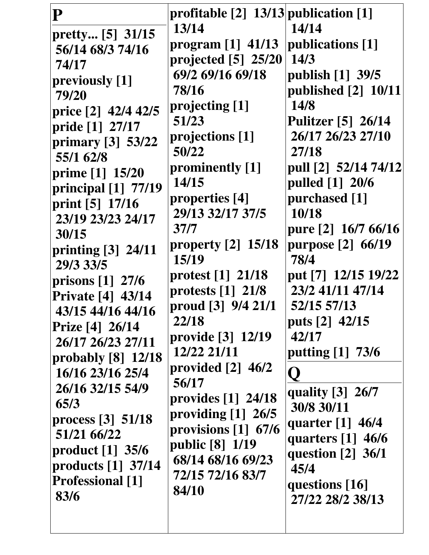| $\overline{\mathbf{P}}$<br>pretty [5] 31/15<br>56/14 68/3 74/16<br>74/17<br>previously [1]<br>79/20<br>price [2] 42/4 42/5<br>pride [1] 27/17<br>primary [3] 53/22<br>55/1 62/8<br>prime [1] 15/20<br>principal $[1]$ 77/19<br>print [5] 17/16<br>23/19 23/23 24/17<br>30/15<br>printing [3] 24/11<br>29/3 33/5<br>prisons $[1]$ 27/6<br><b>Private [4] 43/14</b><br>43/15 44/16 44/16<br>Prize [4] 26/14<br>26/17 26/23 27/11<br>probably [8] 12/18<br>16/16 23/16 25/4<br>26/16 32/15 54/9<br>65/3<br>process $\lceil 3 \rceil$ 51/18<br>51/21 66/22 | profitable $[2]$ 13/13 publication $[1]$<br>13/14<br>program [1] 41/13<br>projected $[5]$ 25/20<br>69/2 69/16 69/18<br>78/16<br>projecting [1]<br>51/23<br>projections [1]<br>50/22<br>prominently [1]<br>14/15<br>properties [4]<br>29/13 32/17 37/5<br>37/7<br>property $[2]$ 15/18<br>15/19<br>protest $[1]$ 21/18<br>protests $\lceil 1 \rceil \cdot 21/8$<br>proud [3] 9/4 21/1<br>22/18<br>provide [3] 12/19<br>12/22 21/11<br>provided $[2]$ 46/2<br>56/17<br>provides $\lceil 1 \rceil$ 24/18<br>providing $[1]$ 26/5<br>provisions $[1]$ 67/6 | 14/14<br>publications [1]<br>14/3<br>publish [1] 39/5<br>published [2] 10/11<br>14/8<br><b>Pulitzer</b> [5] 26/14<br>26/17 26/23 27/10<br>27/18<br>pull [2] 52/14 74/12<br>pulled [1] 20/6<br>purchased [1]<br>10/18<br>pure [2] 16/7 66/16<br>purpose [2] 66/19<br>78/4<br>put [7] 12/15 19/22<br>23/2 41/11 47/14<br>52/15 57/13<br>puts [2] 42/15<br>42/17<br>putting [1] 73/6<br>quality [3] 26/7<br>30/8 30/11<br>quarter $[1]$ 46/4 |
|--------------------------------------------------------------------------------------------------------------------------------------------------------------------------------------------------------------------------------------------------------------------------------------------------------------------------------------------------------------------------------------------------------------------------------------------------------------------------------------------------------------------------------------------------------|--------------------------------------------------------------------------------------------------------------------------------------------------------------------------------------------------------------------------------------------------------------------------------------------------------------------------------------------------------------------------------------------------------------------------------------------------------------------------------------------------------------------------------------------------------|-------------------------------------------------------------------------------------------------------------------------------------------------------------------------------------------------------------------------------------------------------------------------------------------------------------------------------------------------------------------------------------------------------------------------------------------|
| product $[1]$ 35/6<br>products [1] 37/14<br><b>Professional</b> [1]<br>83/6                                                                                                                                                                                                                                                                                                                                                                                                                                                                            | public [8] 1/19<br>68/14 68/16 69/23<br>72/15 72/16 83/7<br>84/10                                                                                                                                                                                                                                                                                                                                                                                                                                                                                      | quarters $[1]$ 46/6<br>question $\lceil 2 \rceil$ 36/1<br>45/4<br>questions [16]<br>27/22 28/2 38/13                                                                                                                                                                                                                                                                                                                                      |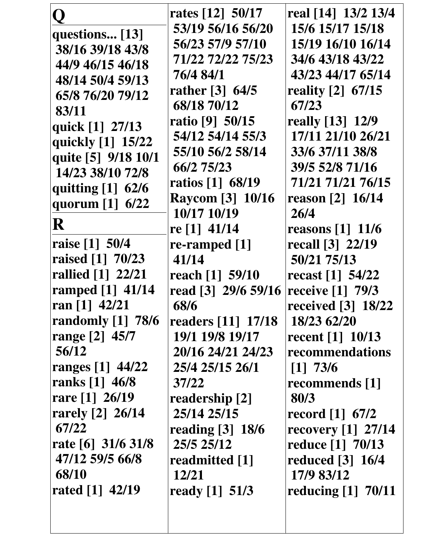|                      | rates [12] 50/17    | real [14] 13/2 13/4              |
|----------------------|---------------------|----------------------------------|
| questions [13]       | 53/19 56/16 56/20   | 15/6 15/17 15/18                 |
| 38/16 39/18 43/8     | 56/23 57/9 57/10    | 15/19 16/10 16/14                |
| 44/9 46/15 46/18     | 71/22 72/22 75/23   | 34/6 43/18 43/22                 |
| 48/14 50/4 59/13     | 76/4 84/1           | 43/23 44/17 65/14                |
| 65/8 76/20 79/12     | rather $[3] 64/5$   | reality [2] 67/15                |
| 83/11                | 68/18 70/12         | 67/23                            |
|                      | ratio [9] 50/15     | really [13] 12/9                 |
| quick [1] 27/13      | 54/12 54/14 55/3    | 17/11 21/10 26/21                |
| quickly [1] 15/22    | 55/10 56/2 58/14    | 33/6 37/11 38/8                  |
| quite [5] 9/18 10/1  | 66/2 75/23          | 39/5 52/8 71/16                  |
| 14/23 38/10 72/8     | ratios [1] 68/19    | 71/21 71/21 76/15                |
| quitting [1] 62/6    | Raycom [3] 10/16    | reason [2] 16/14                 |
| quorum [1] 6/22      | 10/17 10/19         | 26/4                             |
| R                    | re [1] 41/14        | reasons $[1]$ 11/6               |
| raise [1] 50/4       | re-ramped $[1]$     | recall [3] 22/19                 |
| raised [1] 70/23     | 41/14               | 50/21 75/13                      |
| rallied [1] 22/21    | reach [1] 59/10     | recast $[1]$ 54/22               |
| ramped $[1]$ 41/14   | read [3] 29/6 59/16 | receive [1] 79/3                 |
| ran $[1]$ 42/21      | 68/6                | received $\lceil 3 \rceil$ 18/22 |
| randomly [1] 78/6    | readers [11] 17/18  | 18/23 62/20                      |
| range [2] 45/7       | 19/1 19/8 19/17     | recent $[1]$ 10/13               |
| 56/12                | 20/16 24/21 24/23   | recommendations                  |
| ranges [1] 44/22     | 25/4 25/15 26/1     | $[1]$ 73/6                       |
| ranks [1] 46/8       | 37/22               | recommends [1]                   |
| rare $[1] 26/19$     | readership [2]      | 80/3                             |
| rarely [2] 26/14     | 25/14 25/15         | record $[1]$ 67/2                |
| 67/22                | reading $[3]$ 18/6  | recovery $[1]$ 27/14             |
| rate [6] $31/6$ 31/8 | 25/5 25/12          | reduce [1] 70/13                 |
| 47/12 59/5 66/8      | readmitted [1]      | reduced [3] 16/4                 |
| 68/10                | 12/21               | 17/9 83/12                       |
| rated [1] 42/19      | ready $[1]$ 51/3    | reducing $[1]$ 70/11             |
|                      |                     |                                  |
|                      |                     |                                  |
|                      |                     |                                  |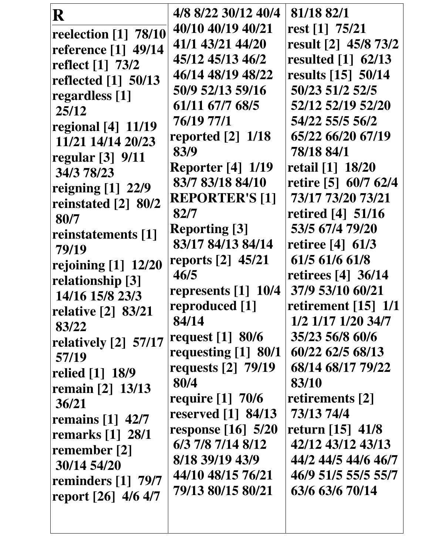| R                              | 4/8 8/22 30/12 40/4               | 81/18 82/1                       |
|--------------------------------|-----------------------------------|----------------------------------|
| reelection [1] 78/10           | 40/10 40/19 40/21                 | rest $[1]$ 75/21                 |
| reference [1] 49/14            | 41/1 43/21 44/20                  | result [2] 45/8 73/2             |
| reflect [1] 73/2               | 45/12 45/13 46/2                  | resulted $\lceil 1 \rceil$ 62/13 |
| reflected [1] 50/13            | 46/14 48/19 48/22                 | results $[15]$ 50/14             |
| regardless [1]                 | 50/9 52/13 59/16                  | 50/23 51/2 52/5                  |
| 25/12                          | 61/11 67/7 68/5                   | 52/12 52/19 52/20                |
| <b>regional</b> [4] 11/19      | 76/19 77/1                        | 54/22 55/5 56/2                  |
| 11/21 14/14 20/23              | reported $[2]$ 1/18               | 65/22 66/20 67/19                |
| regular $[3]$ 9/11             | 83/9                              | 78/18 84/1                       |
| 34/3 78/23                     | <b>Reporter</b> [4] 1/19          | retail [1] 18/20                 |
| reigning $[1]$ 22/9            | 83/7 83/18 84/10                  | retire [5] 60/7 62/4             |
| reinstated [2] 80/2            | <b>REPORTER'S [1]</b>             | 73/17 73/20 73/21                |
| 80/7                           | 82/7                              | retired $[4]$ 51/16              |
| reinstatements [1]             | <b>Reporting</b> [3]              | 53/5 67/4 79/20                  |
| 79/19                          | 83/17 84/13 84/14                 | retiree $[4]$ 61/3               |
| rejoining $[1]$ 12/20          | reports [2] 45/21                 | 61/5 61/6 61/8                   |
| relationship [3]               | 46/5                              | retirees [4] 36/14               |
| 14/16 15/8 23/3                | represents $\lceil 1 \rceil$ 10/4 | 37/9 53/10 60/21                 |
| relative [2] 83/21             | reproduced [1]                    | retirement $[15]$ 1/1            |
| 83/22                          | 84/14                             | 1/2 1/17 1/20 34/7               |
| relatively [2] 57/17           | request $[1]$ 80/6                | 35/23 56/8 60/6                  |
| 57/19                          | requesting [1] 80/1               | 60/22 62/5 68/13                 |
| relied [1] 18/9                | requests [2] 79/19                | 68/14 68/17 79/22                |
| remain [2] 13/13               | 80/4                              | 83/10                            |
| 36/21                          | require $[1]$ 70/6                | retirements [2]                  |
| remains $[1]$ 42/7             | reserved $\lceil 1 \rceil$ 84/13  | 73/13 74/4                       |
| remarks $\lceil 1 \rceil$ 28/1 | response $[16]$ 5/20              | return [15] 41/8                 |
| remember [2]                   | 6/3 7/8 7/14 8/12                 | 42/12 43/12 43/13                |
| 30/14 54/20                    | 8/18 39/19 43/9                   | 44/2 44/5 44/6 46/7              |
| reminders [1] 79/7             | 44/10 48/15 76/21                 | 46/9 51/5 55/5 55/7              |
| report [26] 4/6 4/7            | 79/13 80/15 80/21                 | 63/6 63/6 70/14                  |
|                                |                                   |                                  |
|                                |                                   |                                  |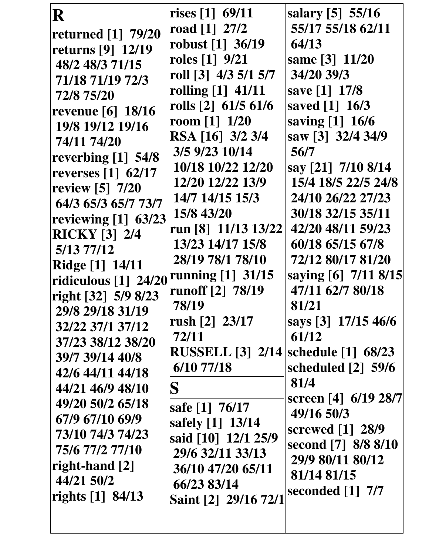| R                        | rises [1] 69/11         | salary [5] 55/16                 |
|--------------------------|-------------------------|----------------------------------|
| returned [1] 79/20       | road $[1]$ 27/2         | 55/17 55/18 62/11                |
| returns [9] 12/19        | robust [1] 36/19        | 64/13                            |
| 48/2 48/3 71/15          | roles $[1]$ 9/21        | same [3] 11/20                   |
| 71/18 71/19 72/3         | roll [3] 4/3 5/1 5/7    | 34/20 39/3                       |
| 72/8 75/20               | rolling [1] 41/11       | save [1] 17/8                    |
| <b>revenue</b> [6] 18/16 | rolls [2] 61/5 61/6     | saved [1] 16/3                   |
| 19/8 19/12 19/16         | room $[1]$ 1/20         | saving [1] 16/6                  |
| 74/11 74/20              | RSA [16] 3/2 3/4        | saw [3] 32/4 34/9                |
| reverbing $[1]$ 54/8     | 3/5 9/23 10/14          | 56/7                             |
| reverses [1] 62/17       | 10/18 10/22 12/20       | say [21] 7/10 8/14               |
| review [5] 7/20          | 12/20 12/22 13/9        | 15/4 18/5 22/5 24/8              |
| 64/3 65/3 65/7 73/7      | 14/7 14/15 15/3         | 24/10 26/22 27/23                |
| reviewing [1] 63/23      | 15/8 43/20              | 30/18 32/15 35/11                |
| <b>RICKY [3] 2/4</b>     | run [8] 11/13 13/22     | 42/20 48/11 59/23                |
| 5/13 77/12               | 13/23 14/17 15/8        | 60/18 65/15 67/8                 |
| <b>Ridge</b> [1] 14/11   | 28/19 78/1 78/10        | 72/12 80/17 81/20                |
| ridiculous [1] 24/20     | running [1] 31/15       | saying [6] 7/11 8/15             |
| right [32] 5/9 8/23      | runoff [2] 78/19        | 47/11 62/7 80/18                 |
| 29/8 29/18 31/19         | 78/19                   | 81/21                            |
| 32/22 37/1 37/12         | rush [2] 23/17          | says [3] 17/15 46/6              |
| 37/23 38/12 38/20        | 72/11                   | 61/12                            |
| 39/7 39/14 40/8          | <b>RUSSELL [3] 2/14</b> | schedule $\lceil 1 \rceil$ 68/23 |
| 42/6 44/11 44/18         | 6/10 77/18              | scheduled $[2]$ 59/6             |
| 44/21 46/9 48/10         | ${\bf S}$               | 81/4                             |
| 49/20 50/2 65/18         | safe [1] 76/17          | screen [4] 6/19 28/7             |
| 67/9 67/10 69/9          | safely [1] 13/14        | 49/16 50/3                       |
| 73/10 74/3 74/23         | said [10] 12/1 25/9     | screwed $\lceil 1 \rceil$ 28/9   |
| 75/6 77/2 77/10          | 29/6 32/11 33/13        | second [7] 8/8 8/10              |
| right-hand [2]           | 36/10 47/20 65/11       | 29/9 80/11 80/12                 |
| 44/21 50/2               | 66/23 83/14             | 81/14 81/15                      |
| rights [1] 84/13         | Saint [2] 29/16 72/1    | seconded $[1]$ 7/7               |
|                          |                         |                                  |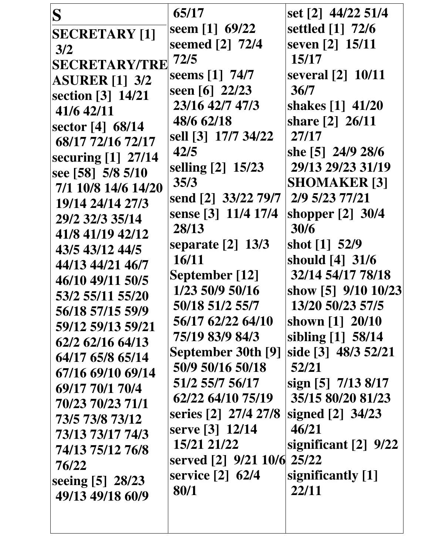| S                     | 65/17                    | set [2] 44/22 51/4         |
|-----------------------|--------------------------|----------------------------|
| <b>SECRETARY [1]</b>  | seem [1] $69/22$         | settled [1] 72/6           |
| 3/2                   | seemed [2] 72/4          | seven [2] 15/11            |
| <b>SECRETARY/TRE</b>  | 72/5                     | 15/17                      |
| <b>ASURER [1] 3/2</b> | seems [1] 74/7           | several [2] 10/11          |
| section [3] 14/21     | seen [6] $22/23$         | 36/7                       |
| 41/6 42/11            | 23/16 42/7 47/3          | shakes [1] 41/20           |
| sector [4] 68/14      | 48/6 62/18               | share [2] 26/11            |
| 68/17 72/16 72/17     | sell [3] 17/7 34/22      | 27/17                      |
| securing [1] 27/14    | 42/5                     | she [5] 24/9 28/6          |
| see [58] 5/8 5/10     | selling [2] 15/23        | 29/13 29/23 31/19          |
| 7/1 10/8 14/6 14/20   | 35/3                     | <b>SHOMAKER [3]</b>        |
| 19/14 24/14 27/3      | send [2] 33/22 79/7      | 2/9 5/23 77/21             |
| 29/2 32/3 35/14       | sense [3] 11/4 17/4      | shopper $[2]$ 30/4         |
| 41/8 41/19 42/12      | 28/13                    | 30/6                       |
| 43/5 43/12 44/5       | separate $[2]$ 13/3      | shot [1] 52/9              |
| 44/13 44/21 46/7      | 16/11                    | should [4] 31/6            |
| 46/10 49/11 50/5      | September [12]           | 32/14 54/17 78/18          |
| 53/2 55/11 55/20      | 1/23 50/9 50/16          | show [5] 9/10 10/23        |
| 56/18 57/15 59/9      | 50/18 51/2 55/7          | 13/20 50/23 57/5           |
| 59/12 59/13 59/21     | 56/17 62/22 64/10        | shown [1] 20/10            |
| 62/2 62/16 64/13      | 75/19 83/9 84/3          | sibling [1] 58/14          |
| 64/17 65/8 65/14      | September 30th [9]       | side [3] 48/3 52/21        |
| 67/16 69/10 69/14     | 50/9 50/16 50/18         | 52/21                      |
| 69/17 70/1 70/4       | 51/2 55/7 56/17          | sign [5] 7/13 8/17         |
| 70/23 70/23 71/1      | 62/22 64/10 75/19        | 35/15 80/20 81/23          |
| 73/5 73/8 73/12       | series [2] 27/4 27/8     | signed $[2]$ 34/23         |
| 73/13 73/17 74/3      | serve [3] 12/14          | 46/21                      |
| 74/13 75/12 76/8      | 15/21 21/22              | significant $[2]$ 9/22     |
| 76/22                 | served [2] 9/21 10/6     | 25/22                      |
| seeing [5] 28/23      | service [2] 62/4<br>80/1 | significantly [1]<br>22/11 |
| 49/13 49/18 60/9      |                          |                            |
|                       |                          |                            |
|                       |                          |                            |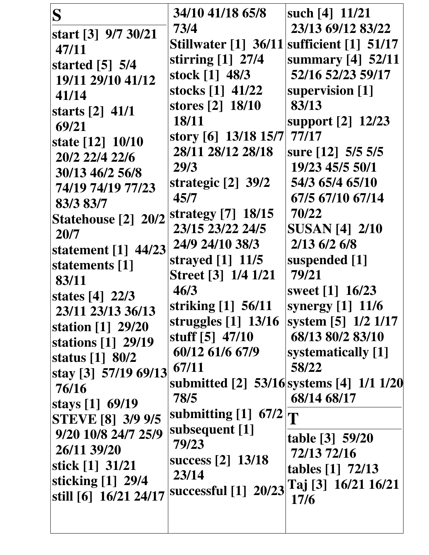| S<br>start [3] 9/7 30/21<br>47/11<br>started $[5]$ 5/4<br>19/11 29/10 41/12<br>41/14<br>starts $[2]$ 41/1<br>69/21<br>state [12] 10/10<br>20/2 22/4 22/6<br>30/13 46/2 56/8<br>74/19 74/19 77/23<br>83/3 83/7<br>Statehouse [2] 20/2<br>20/7<br>statement $[1]$ 44/23<br>statements [1]<br>83/11<br>states [4] 22/3<br>23/11 23/13 36/13<br>station [1] 29/20<br>stations [1] 29/19<br>status $\lceil 1 \rceil$ 80/2<br>stay [3] 57/19 69/13<br>76/16<br>stays [1] 69/19<br><b>STEVE [8] 3/9 9/5</b> | 34/10 41/18 65/8<br>73/4<br><b>Stillwater</b> [1] 36/11<br>stirring [1] 27/4<br>stock [1] 48/3<br>stocks [1] 41/22<br>stores [2] 18/10<br>18/11<br>story [6] $13/18$ 15/7<br>28/11 28/12 28/18<br>29/3<br>strategic $[2]$ 39/2<br>45/7<br>strategy [7] 18/15<br>23/15 23/22 24/5<br>24/9 24/10 38/3<br>strayed $[1]$ 11/5<br>Street [3] 1/4 1/21<br>46/3<br>striking [1] 56/11<br>struggles $[1]$ 13/16<br>stuff [5] 47/10<br>60/12 61/6 67/9<br>67/11<br>78/5<br>submitting $[1]$ 67/2 | such [4] 11/21<br>23/13 69/12 83/22<br>sufficient $\lceil 1 \rceil$ 51/17<br>summary [4] 52/11<br>52/16 52/23 59/17<br>supervision [1]<br>83/13<br>support [2] 12/23<br>77/17<br>sure [12] 5/5 5/5<br>19/23 45/5 50/1<br>54/3 65/4 65/10<br>67/5 67/10 67/14<br>70/22<br><b>SUSAN [4] 2/10</b><br>2/13 6/2 6/8<br>suspended [1]<br>79/21<br>sweet [1] 16/23<br>synergy $[1]$ 11/6<br>system [5] 1/2 1/17<br>68/13 80/2 83/10<br>systematically [1]<br>58/22<br>68/14 68/17<br>T |
|------------------------------------------------------------------------------------------------------------------------------------------------------------------------------------------------------------------------------------------------------------------------------------------------------------------------------------------------------------------------------------------------------------------------------------------------------------------------------------------------------|-----------------------------------------------------------------------------------------------------------------------------------------------------------------------------------------------------------------------------------------------------------------------------------------------------------------------------------------------------------------------------------------------------------------------------------------------------------------------------------------|---------------------------------------------------------------------------------------------------------------------------------------------------------------------------------------------------------------------------------------------------------------------------------------------------------------------------------------------------------------------------------------------------------------------------------------------------------------------------------|
| 9/20 10/8 24/7 25/9                                                                                                                                                                                                                                                                                                                                                                                                                                                                                  | subsequent [1]                                                                                                                                                                                                                                                                                                                                                                                                                                                                          | submitted [2] 53/16 systems [4] 1/1 1/20                                                                                                                                                                                                                                                                                                                                                                                                                                        |
| 26/11 39/20                                                                                                                                                                                                                                                                                                                                                                                                                                                                                          | 79/23                                                                                                                                                                                                                                                                                                                                                                                                                                                                                   | table [3] 59/20                                                                                                                                                                                                                                                                                                                                                                                                                                                                 |
| stick [1] 31/21                                                                                                                                                                                                                                                                                                                                                                                                                                                                                      | success [2] 13/18                                                                                                                                                                                                                                                                                                                                                                                                                                                                       | 72/13 72/16                                                                                                                                                                                                                                                                                                                                                                                                                                                                     |
| sticking $[1]$ 29/4                                                                                                                                                                                                                                                                                                                                                                                                                                                                                  | 23/14                                                                                                                                                                                                                                                                                                                                                                                                                                                                                   | tables [1] 72/13                                                                                                                                                                                                                                                                                                                                                                                                                                                                |
| still [6] 16/21 24/17                                                                                                                                                                                                                                                                                                                                                                                                                                                                                | successful [1] 20/23 Taj [3] 16/21 16/21                                                                                                                                                                                                                                                                                                                                                                                                                                                | 17/6                                                                                                                                                                                                                                                                                                                                                                                                                                                                            |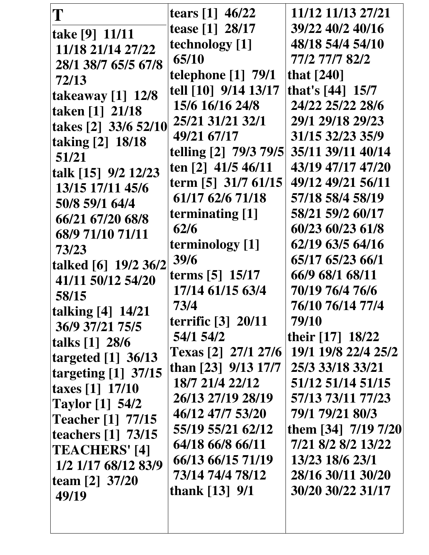| T                                | tears [1] 46/22           | 11/12 11/13 27/21   |
|----------------------------------|---------------------------|---------------------|
|                                  | tease [1] 28/17           | 39/22 40/2 40/16    |
| take [9] 11/11                   | technology [1]            | 48/18 54/4 54/10    |
| 11/18 21/14 27/22                | 65/10                     | 77/2 77/7 82/2      |
| 28/1 38/7 65/5 67/8              | <b>telephone</b> [1] 79/1 | that $[240]$        |
| 72/13                            | tell [10] 9/14 13/17      | that's $[44]$ 15/7  |
| takeaway $[1]$ 12/8              | 15/6 16/16 24/8           | 24/22 25/22 28/6    |
| taken [1] 21/18                  | 25/21 31/21 32/1          | 29/1 29/18 29/23    |
| takes [2] 33/6 52/10             | 49/21 67/17               | 31/15 32/23 35/9    |
| taking [2] 18/18                 | telling [2] 79/3 79/5     | 35/11 39/11 40/14   |
| 51/21                            | ten [2] 41/5 46/11        | 43/19 47/17 47/20   |
| talk [15] 9/2 12/23              |                           | 49/12 49/21 56/11   |
| 13/15 17/11 45/6                 | term [5] 31/7 61/15       |                     |
| 50/8 59/1 64/4                   | 61/17 62/6 71/18          | 57/18 58/4 58/19    |
| 66/21 67/20 68/8                 | terminating [1]           | 58/21 59/2 60/17    |
| 68/9 71/10 71/11                 | 62/6                      | 60/23 60/23 61/8    |
| 73/23                            | terminology [1]           | 62/19 63/5 64/16    |
| talked [6] 19/2 36/2             | 39/6                      | 65/17 65/23 66/1    |
| 41/11 50/12 54/20                | terms [5] 15/17           | 66/9 68/1 68/11     |
| 58/15                            | 17/14 61/15 63/4          | 70/19 76/4 76/6     |
| <b>talking</b> [4] 14/21         | 73/4                      | 76/10 76/14 77/4    |
| 36/9 37/21 75/5                  | terrific [3] 20/11        | 79/10               |
| talks [1] 28/6                   | <b>54/1 54/2</b>          | their [17] 18/22    |
| targeted $[1]$ 36/13             | Texas [2] 27/1 27/6       | 19/1 19/8 22/4 25/2 |
| targeting $[1]$ 37/15            | than [23] 9/13 17/7       | 25/3 33/18 33/21    |
| taxes $[1]$ 17/10                | 18/7 21/4 22/12           | 51/12 51/14 51/15   |
| <b>Taylor</b> [1] 54/2           | 26/13 27/19 28/19         | 57/13 73/11 77/23   |
| <b>Teacher</b> [1] 77/15         | 46/12 47/7 53/20          | 79/1 79/21 80/3     |
| teachers $\lceil 1 \rceil$ 73/15 | 55/19 55/21 62/12         | them [34] 7/19 7/20 |
| TEACHERS' [4]                    | 64/18 66/8 66/11          | 7/21 8/2 8/2 13/22  |
| 1/2 1/17 68/12 83/9              | 66/13 66/15 71/19         | 13/23 18/6 23/1     |
| team $[2]$ 37/20                 | 73/14 74/4 78/12          | 28/16 30/11 30/20   |
| 49/19                            | thank [13] 9/1            | 30/20 30/22 31/17   |
|                                  |                           |                     |
|                                  |                           |                     |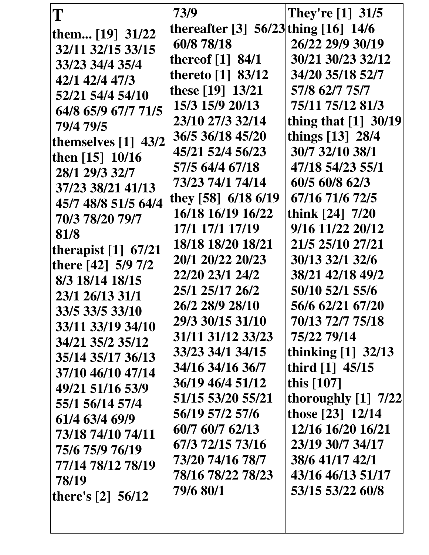| T                     | 73/9                                   | They're $[1]$ 31/5     |
|-----------------------|----------------------------------------|------------------------|
| them [19] 31/22       | thereafter [3] $56/23$ thing [16] 14/6 |                        |
| 32/11 32/15 33/15     | 60/8 78/18                             | 26/22 29/9 30/19       |
| 33/23 34/4 35/4       | thereof $[1]$ 84/1                     | 30/21 30/23 32/12      |
| 42/1 42/4 47/3        | thereto $[1]$ 83/12                    | 34/20 35/18 52/7       |
| 52/21 54/4 54/10      | these [19] 13/21                       | 57/8 62/7 75/7         |
| 64/8 65/9 67/7 71/5   | 15/3 15/9 20/13                        | 75/11 75/12 81/3       |
| 79/4 79/5             | 23/10 27/3 32/14                       | thing that $[1]$ 30/19 |
| themselves $[1]$ 43/2 | 36/5 36/18 45/20                       | things [13] 28/4       |
| then [15] 10/16       | 45/21 52/4 56/23                       | 30/7 32/10 38/1        |
| 28/1 29/3 32/7        | 57/5 64/4 67/18                        | 47/18 54/23 55/1       |
| 37/23 38/21 41/13     | 73/23 74/1 74/14                       | 60/5 60/8 62/3         |
| 45/7 48/8 51/5 64/4   | they [58] $6/18$ 6/19                  | 67/16 71/6 72/5        |
| 70/3 78/20 79/7       | 16/18 16/19 16/22                      | think $[24]$ 7/20      |
| 81/8                  | 17/1 17/1 17/19                        | 9/16 11/22 20/12       |
| therapist $[1]$ 67/21 | 18/18 18/20 18/21                      | 21/5 25/10 27/21       |
| there [42] 5/9 7/2    | 20/1 20/22 20/23                       | 30/13 32/1 32/6        |
| 8/3 18/14 18/15       | 22/20 23/1 24/2                        | 38/21 42/18 49/2       |
| 23/1 26/13 31/1       | 25/1 25/17 26/2                        | 50/10 52/1 55/6        |
| 33/5 33/5 33/10       | 26/2 28/9 28/10                        | 56/6 62/21 67/20       |
| 33/11 33/19 34/10     | 29/3 30/15 31/10                       | 70/13 72/7 75/18       |
| 34/21 35/2 35/12      | 31/11 31/12 33/23                      | 75/22 79/14            |
| 35/14 35/17 36/13     | 33/23 34/1 34/15                       | thinking $[1]$ 32/13   |
| 37/10 46/10 47/14     | 34/16 34/16 36/7                       | third $[1]$ 45/15      |
| 49/21 51/16 53/9      | 36/19 46/4 51/12                       | this $[107]$           |
| 55/1 56/14 57/4       | 51/15 53/20 55/21                      | thoroughly $[1]$ 7/22  |
| 61/4 63/4 69/9        | 56/19 57/2 57/6                        | those [23] 12/14       |
| 73/18 74/10 74/11     | 60/7 60/7 62/13                        | 12/16 16/20 16/21      |
| 75/6 75/9 76/19       | 67/3 72/15 73/16                       | 23/19 30/7 34/17       |
| 77/14 78/12 78/19     | 73/20 74/16 78/7                       | 38/6 41/17 42/1        |
| 78/19                 | 78/16 78/22 78/23                      | 43/16 46/13 51/17      |
|                       | 79/6 80/1                              | 53/15 53/22 60/8       |
| there's $[2]$ 56/12   |                                        |                        |
|                       |                                        |                        |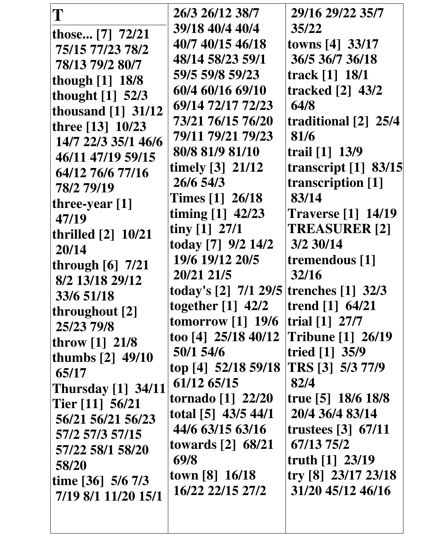| T                         | 26/3 26/12 38/7                    | 29/16 29/22 35/7                         |
|---------------------------|------------------------------------|------------------------------------------|
| those [7] 72/21           | 39/18 40/4 40/4                    | 35/22                                    |
| 75/15 77/23 78/2          | 40/7 40/15 46/18                   | towns [4] 33/17                          |
| 78/13 79/2 80/7           | 48/14 58/23 59/1                   | 36/5 36/7 36/18                          |
| though [1] 18/8           | 59/5 59/8 59/23                    | track [1] 18/1                           |
| thought [1] 52/3          | 60/4 60/16 69/10                   | tracked $\lceil 2 \rceil$ 43/2           |
| thousand $[1]$ 31/12      | 69/14 72/17 72/23                  | 64/8                                     |
| three [13] 10/23          | 73/21 76/15 76/20                  | traditional [2] 25/4                     |
| 14/7 22/3 35/1 46/6       | 79/11 79/21 79/23                  | 81/6                                     |
| 46/11 47/19 59/15         | 80/8 81/9 81/10                    | trail [1] 13/9                           |
| 64/12 76/6 77/16          | timely $[3]$ 21/12                 | transcript $[1]$ 83/15                   |
| 78/2 79/19                | 26/6 54/3                          | transcription [1]                        |
| three-year $[1]$          | <b>Times</b> [1] 26/18             | 83/14                                    |
| 47/19                     | timing $[1]$ 42/23                 | <b>Traverse</b> [1] 14/19                |
| thrilled $[2]$ 10/21      | tiny $[1]$ 27/1                    | <b>TREASURER [2]</b>                     |
| 20/14                     | today [7] 9/2 14/2                 | 3/2 30/14                                |
| through $[6]$ 7/21        | 19/6 19/12 20/5                    | tremendous [1]                           |
| 8/2 13/18 29/12           | 20/21 21/5                         | 32/16                                    |
| 33/6 51/18                | today's $[2]$ 7/1 29/5             | trenches $[1]$ 32/3                      |
| throughout [2]            | together $[1]$ 42/2                | trend $[1]$ 64/21                        |
| 25/23 79/8                | tomorrow $[1]$ 19/6                | trial $[1]$ 27/7                         |
| throw $[1] 21/8$          | too [4] $25/18$ 40/12              | <b>Tribune [1] 26/19</b>                 |
| thumbs [2] 49/10          | 50/1 54/6                          | tried $[1]$ 35/9                         |
| 65/17                     | top [4] 52/18 59/18                | TRS [3] 5/3 77/9                         |
| <b>Thursday</b> [1] 34/11 | 61/12 65/15                        | 82/4                                     |
| Tier $[11]$ 56/21         | tornado [1] 22/20                  | true [5] $18/6$ 18/8                     |
| 56/21 56/21 56/23         | total [5] 43/5 44/1                | 20/4 36/4 83/14                          |
| 57/2 57/3 57/15           | 44/6 63/15 63/16                   | trustees $\lceil 3 \rceil$ 67/11         |
| 57/22 58/1 58/20          | towards $\lceil 2 \rceil$ 68/21    | 67/13 75/2                               |
| 58/20                     | 69/8                               | truth $[1]$ 23/19                        |
| time $[36]$ 5/6 7/3       | town [8] 16/18<br>16/22 22/15 27/2 | try [8] 23/17 23/18<br>31/20 45/12 46/16 |
| 7/19 8/1 11/20 15/1       |                                    |                                          |
|                           |                                    |                                          |
|                           |                                    |                                          |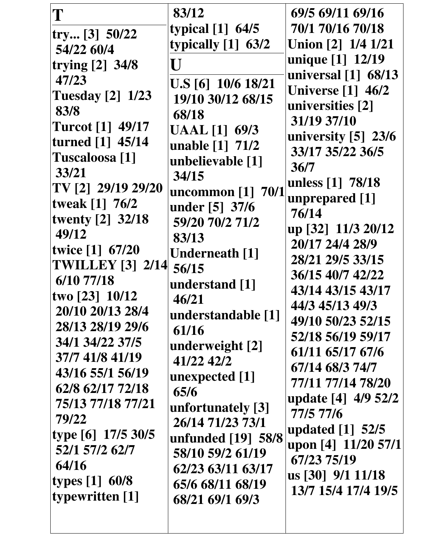| T                       | 83/12                | 69/5 69/11 69/16                  |
|-------------------------|----------------------|-----------------------------------|
|                         | typical $[1]$ 64/5   | 70/1 70/16 70/18                  |
| try [3] 50/22           | typically [1] 63/2   | Union [2] 1/4 1/21                |
| 54/22 60/4              |                      | unique [1] 12/19                  |
| trying [2] 34/8         | U                    | universal $\lceil 1 \rceil$ 68/13 |
| 47/23                   | U.S [6] 10/6 18/21   | <b>Universe</b> [1] 46/2          |
| <b>Tuesday</b> [2] 1/23 | 19/10 30/12 68/15    | universities [2]                  |
| 83/8                    | 68/18                | 31/19 37/10                       |
| <b>Turcot</b> [1] 49/17 | <b>UAAL</b> [1] 69/3 | university [5] 23/6               |
| turned [1] 45/14        | unable [1] 71/2      | 33/17 35/22 36/5                  |
| Tuscaloosa [1]          | unbelievable [1]     | 36/7                              |
| 33/21                   | 34/15                | unless [1] 78/18                  |
| TV [2] 29/19 29/20      | uncommon [1] 70/1    | unprepared [1]                    |
| tweak [1] 76/2          | under [5] 37/6       | 76/14                             |
| twenty [2] 32/18        | 59/20 70/2 71/2      | up [32] 11/3 20/12                |
| 49/12                   | 83/13                | 20/17 24/4 28/9                   |
| twice [1] 67/20         | Underneath [1]       | 28/21 29/5 33/15                  |
| <b>TWILLEY [3] 2/14</b> | 56/15                |                                   |
| 6/10 77/18              | understand [1]       | 36/15 40/7 42/22                  |
| two $[23] 10/12$        | 46/21                | 43/14 43/15 43/17                 |
| 20/10 20/13 28/4        | understandable [1]   | 44/3 45/13 49/3                   |
| 28/13 28/19 29/6        | 61/16                | 49/10 50/23 52/15                 |
| 34/1 34/22 37/5         | underweight [2]      | 52/18 56/19 59/17                 |
| 37/7 41/8 41/19         | 41/22 42/2           | 61/11 65/17 67/6                  |
| 43/16 55/1 56/19        | unexpected [1]       | 67/14 68/3 74/7                   |
| 62/8 62/17 72/18        | 65/6                 | 77/11 77/14 78/20                 |
| 75/13 77/18 77/21       | unfortunately [3]    | update [4] 4/9 52/2               |
| 79/22                   | 26/14 71/23 73/1     | 77/5 77/6                         |
| type [6] 17/5 30/5      | unfunded [19] 58/8   | updated [1] 52/5                  |
| 52/1 57/2 62/7          | 58/10 59/2 61/19     | upon [4] 11/20 57/1               |
| 64/16                   | 62/23 63/11 63/17    | 67/23 75/19                       |
| types [1] 60/8          | 65/6 68/11 68/19     | us [30] 9/1 11/18                 |
| typewritten [1]         | 68/21 69/1 69/3      | 13/7 15/4 17/4 19/5               |
|                         |                      |                                   |
|                         |                      |                                   |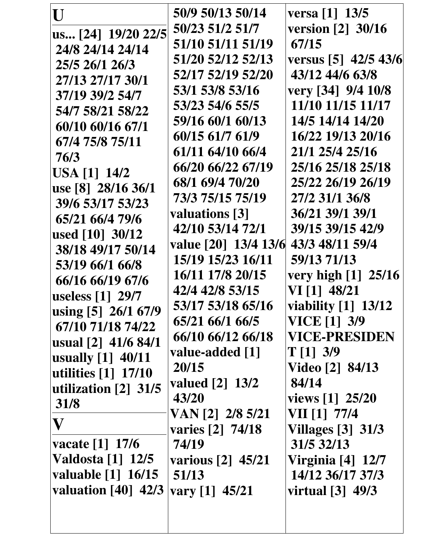| U                                                 | 50/9 50/13 50/14                     | versa [1] 13/5           |
|---------------------------------------------------|--------------------------------------|--------------------------|
| us [24] 19/20 22/5                                | 50/23 51/2 51/7                      | version [2] 30/16        |
| 24/8 24/14 24/14                                  | 51/10 51/11 51/19                    | 67/15                    |
| 25/5 26/1 26/3                                    | 51/20 52/12 52/13                    | versus [5] 42/5 43/6     |
| 27/13 27/17 30/1                                  | 52/17 52/19 52/20                    | 43/12 44/6 63/8          |
| 37/19 39/2 54/7                                   | 53/1 53/8 53/16                      | very [34] 9/4 10/8       |
| 54/7 58/21 58/22                                  | 53/23 54/6 55/5                      | 11/10 11/15 11/17        |
| 60/10 60/16 67/1                                  | 59/16 60/1 60/13                     | 14/5 14/14 14/20         |
| 67/4 75/8 75/11                                   | 60/15 61/7 61/9                      | 16/22 19/13 20/16        |
| 76/3                                              | 61/11 64/10 66/4                     | 21/1 25/4 25/16          |
| <b>USA</b> [1] 14/2                               | 66/20 66/22 67/19                    | 25/16 25/18 25/18        |
| use [8] 28/16 36/1                                | 68/1 69/4 70/20                      | 25/22 26/19 26/19        |
| 39/6 53/17 53/23                                  | 73/3 75/15 75/19                     | 27/2 31/1 36/8           |
| 65/21 66/4 79/6                                   | valuations [3]                       | 36/21 39/1 39/1          |
| used [10] 30/12                                   | 42/10 53/14 72/1                     | 39/15 39/15 42/9         |
| 38/18 49/17 50/14                                 | value [20] 13/4 13/6 43/3 48/11 59/4 |                          |
| 53/19 66/1 66/8                                   | 15/19 15/23 16/11                    | 59/13 71/13              |
| 66/16 66/19 67/6                                  | 16/11 17/8 20/15                     | very high [1] 25/16      |
| useless [1] 29/7                                  | 42/4 42/8 53/15                      | VI [1] 48/21             |
| using [5] 26/1 67/9                               | 53/17 53/18 65/16                    | viability [1] 13/12      |
| 67/10 71/18 74/22                                 | 65/21 66/1 66/5                      | <b>VICE</b> [1] 3/9      |
| usual [2] 41/6 84/1                               | 66/10 66/12 66/18                    | <b>VICE-PRESIDEN</b>     |
| usually $[1]$ 40/11                               | value-added [1]                      | $T[1]$ 3/9               |
| utilities $\begin{bmatrix} 1 \end{bmatrix}$ 17/10 | 20/15                                | Video [2] 84/13          |
| utilization $\lceil 2 \rceil$ 31/5                | valued [2] 13/2                      | 84/14                    |
| 31/8                                              | 43/20                                | views [1] 25/20          |
| $\mathbf{V}$                                      | VAN [2] 2/8 5/21                     | VII [1] 77/4             |
|                                                   | varies [2] 74/18                     | <b>Villages</b> [3] 31/3 |
| vacate $[1]$ 17/6                                 | 74/19                                | 31/5 32/13               |
| <b>Valdosta</b> [1] 12/5                          | various [2] 45/21                    | Virginia [4] 12/7        |
| valuable [1] 16/15                                | 51/13                                | 14/12 36/17 37/3         |
| valuation $[40]$ 42/3                             | vary [1] $45/21$                     | virtual [3] 49/3         |
|                                                   |                                      |                          |
|                                                   |                                      |                          |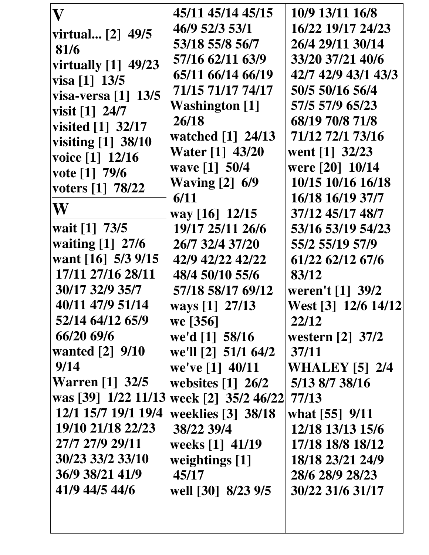| $\mathbf V$                       | 45/11 45/14 45/15               | 10/9 13/11 16/8       |
|-----------------------------------|---------------------------------|-----------------------|
| virtual [2] 49/5                  | 46/9 52/3 53/1                  | 16/22 19/17 24/23     |
| 81/6                              | 53/18 55/8 56/7                 | 26/4 29/11 30/14      |
| virtually $[1]$ 49/23             | 57/16 62/11 63/9                | 33/20 37/21 40/6      |
| visa [1] 13/5                     | 65/11 66/14 66/19               | 42/7 42/9 43/1 43/3   |
| visa-versa $\lceil 1 \rceil$ 13/5 | 71/15 71/17 74/17               | 50/5 50/16 56/4       |
| visit $[1]$ 24/7                  | <b>Washington</b> [1]           | 57/5 57/9 65/23       |
| visited $[1]$ 32/17               | 26/18                           | 68/19 70/8 71/8       |
| visiting [1] 38/10                | watched [1] 24/13               | 71/12 72/1 73/16      |
| voice [1] 12/16                   | <b>Water</b> [1] 43/20          | went [1] 32/23        |
| vote $[1]$ 79/6                   | wave [1] 50/4                   | were [20] 10/14       |
| voters [1] 78/22                  | <b>Waving [2] 6/9</b>           | 10/15 10/16 16/18     |
|                                   | 6/11                            | 16/18 16/19 37/7      |
| W                                 | way [16] 12/15                  | 37/12 45/17 48/7      |
| wait [1] 73/5                     | 19/17 25/11 26/6                | 53/16 53/19 54/23     |
| waiting [1] 27/6                  | 26/7 32/4 37/20                 | 55/2 55/19 57/9       |
| want $[16]$ 5/3 9/15              | 42/9 42/22 42/22                | 61/22 62/12 67/6      |
| 17/11 27/16 28/11                 | 48/4 50/10 55/6                 | 83/12                 |
| 30/17 32/9 35/7                   | 57/18 58/17 69/12               | weren't [1] 39/2      |
| 40/11 47/9 51/14                  | ways [1] 27/13                  | West [3] 12/6 14/12   |
| 52/14 64/12 65/9                  | we [356]                        | 22/12                 |
| 66/20 69/6                        | we'd [1] 58/16                  | western [2] 37/2      |
| wanted $[2]$ 9/10                 | we'll [2] 51/1 64/2             | 37/11                 |
| 9/14                              | we've [1] 40/11                 | <b>WHALEY</b> [5] 2/4 |
| <b>Warren</b> [1] 32/5            | websites $\lceil 1 \rceil$ 26/2 | 5/13 8/7 38/16        |
| was [39] 1/22 11/13               | week [2] 35/2 46/22 77/13       |                       |
| 12/1 15/7 19/1 19/4               | weeklies [3] 38/18              | what [55] 9/11        |
| 19/10 21/18 22/23                 | 38/22 39/4                      | 12/18 13/13 15/6      |
| 27/7 27/9 29/11                   | weeks [1] 41/19                 | 17/18 18/8 18/12      |
| 30/23 33/2 33/10                  | weightings [1]                  | 18/18 23/21 24/9      |
| 36/9 38/21 41/9                   | 45/17                           | 28/6 28/9 28/23       |
| 41/9 44/5 44/6                    | well [30] 8/23 9/5              | 30/22 31/6 31/17      |
|                                   |                                 |                       |
|                                   |                                 |                       |
|                                   |                                 |                       |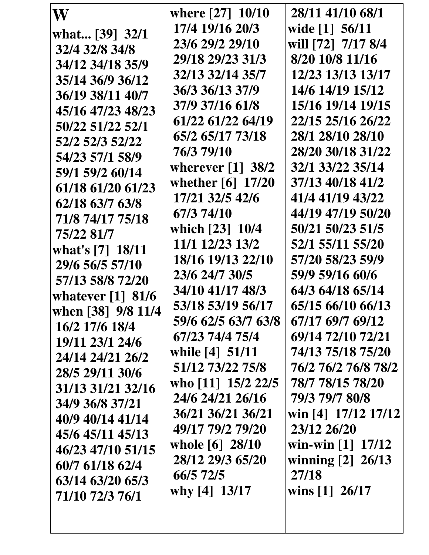| W                               | where [27] 10/10                | 28/11 41/10 68/1    |
|---------------------------------|---------------------------------|---------------------|
| what [39] 32/1                  | 17/4 19/16 20/3                 | wide [1] 56/11      |
| 32/4 32/8 34/8                  | 23/6 29/2 29/10                 | will [72] 7/17 8/4  |
| 34/12 34/18 35/9                | 29/18 29/23 31/3                | 8/20 10/8 11/16     |
| 35/14 36/9 36/12                | 32/13 32/14 35/7                | 12/23 13/13 13/17   |
| 36/19 38/11 40/7                | 36/3 36/13 37/9                 | 14/6 14/19 15/12    |
| 45/16 47/23 48/23               | 37/9 37/16 61/8                 | 15/16 19/14 19/15   |
| 50/22 51/22 52/1                | 61/22 61/22 64/19               | 22/15 25/16 26/22   |
| 52/2 52/3 52/22                 | 65/2 65/17 73/18                | 28/1 28/10 28/10    |
| 54/23 57/1 58/9                 | 76/3 79/10                      | 28/20 30/18 31/22   |
| 59/1 59/2 60/14                 | wherever $\lceil 1 \rceil$ 38/2 | 32/1 33/22 35/14    |
| 61/18 61/20 61/23               | whether [6] 17/20               | 37/13 40/18 41/2    |
| 62/18 63/7 63/8                 | 17/21 32/5 42/6                 | 41/4 41/19 43/22    |
| 71/8 74/17 75/18                | 67/3 74/10                      | 44/19 47/19 50/20   |
| 75/22 81/7                      | which [23] 10/4                 | 50/21 50/23 51/5    |
| what's [7] 18/11                | 11/1 12/23 13/2                 | 52/1 55/11 55/20    |
| 29/6 56/5 57/10                 | 18/16 19/13 22/10               | 57/20 58/23 59/9    |
| 57/13 58/8 72/20                | 23/6 24/7 30/5                  | 59/9 59/16 60/6     |
| whatever $\lceil 1 \rceil$ 81/6 | 34/10 41/17 48/3                | 64/3 64/18 65/14    |
| when [38] 9/8 11/4              | 53/18 53/19 56/17               | 65/15 66/10 66/13   |
| 16/2 17/6 18/4                  | 59/6 62/5 63/7 63/8             | 67/17 69/7 69/12    |
| 19/11 23/1 24/6                 | 67/23 74/4 75/4                 | 69/14 72/10 72/21   |
| 24/14 24/21 26/2                | while $[4]$ 51/11               | 74/13 75/18 75/20   |
| 28/5 29/11 30/6                 | 51/12 73/22 75/8                | 76/2 76/2 76/8 78/2 |
| 31/13 31/21 32/16               | who [11] 15/2 22/5              | 78/7 78/15 78/20    |
| 34/9 36/8 37/21                 | 24/6 24/21 26/16                | 79/3 79/7 80/8      |
| 40/9 40/14 41/14                | 36/21 36/21 36/21               | win [4] 17/12 17/12 |
| 45/6 45/11 45/13                | 49/17 79/2 79/20                | 23/12 26/20         |
| 46/23 47/10 51/15               | whole [6] 28/10                 | win-win $[1]$ 17/12 |
| 60/7 61/18 62/4                 | 28/12 29/3 65/20                | winning [2] 26/13   |
| 63/14 63/20 65/3                | 66/5 72/5                       | 27/18               |
| 71/10 72/3 76/1                 | why [4] 13/17                   | wins $[1]$ 26/17    |
|                                 |                                 |                     |
|                                 |                                 |                     |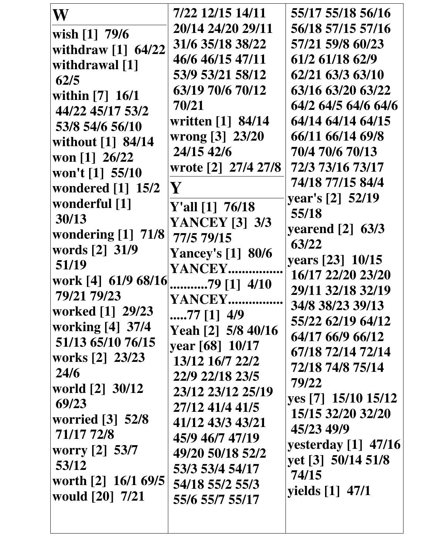| W                                               | 7/22 12/15 14/11                    | 55/17 55/18 56/16     |
|-------------------------------------------------|-------------------------------------|-----------------------|
| wish $[1]$ 79/6                                 | 20/14 24/20 29/11                   | 56/18 57/15 57/16     |
| withdraw [1] 64/22                              | 31/6 35/18 38/22                    | 57/21 59/8 60/23      |
| withdrawal [1]                                  | 46/6 46/15 47/11                    | 61/2 61/18 62/9       |
| 62/5                                            | 53/9 53/21 58/12                    | 62/21 63/3 63/10      |
| within [7] 16/1                                 | 63/19 70/6 70/12                    | 63/16 63/20 63/22     |
| 44/22 45/17 53/2                                | 70/21                               | 64/2 64/5 64/6 64/6   |
| 53/8 54/6 56/10                                 | written [1] 84/14                   | 64/14 64/14 64/15     |
| without $\begin{bmatrix} 1 \end{bmatrix}$ 84/14 | wrong [3] 23/20                     | 66/11 66/14 69/8      |
| won [1] $26/22$                                 | 24/15 42/6                          | 70/4 70/6 70/13       |
| won't [1] 55/10                                 | wrote [2] 27/4 27/8                 | 72/3 73/16 73/17      |
| wondered $[1]$ 15/2                             | $\mathbf {Y}$                       | 74/18 77/15 84/4      |
| wonderful [1]                                   |                                     | year's [2] 52/19      |
| 30/13                                           | Y'all $[1]$ 76/18                   | 55/18                 |
| wondering $[1]$ 71/8                            | <b>YANCEY [3] 3/3</b><br>77/5 79/15 | yearend $[2]$ 63/3    |
| words [2] 31/9                                  |                                     | 63/22                 |
| 51/19                                           | <b>Yancey's [1] 80/6</b><br>YANCEY  | years [23] 10/15      |
| work [4] 61/9 68/16                             | $\ldots$ 79 [1] 4/10                | 16/17 22/20 23/20     |
| 79/21 79/23                                     | YANCEY                              | 29/11 32/18 32/19     |
| worked [1] 29/23                                | $\dots$ .77 [1] 4/9                 | 34/8 38/23 39/13      |
| working [4] 37/4                                | Yeah [2] 5/8 40/16                  | 55/22 62/19 64/12     |
| 51/13 65/10 76/15                               | year [68] 10/17                     | 64/17 66/9 66/12      |
| works [2] 23/23                                 | 13/12 16/7 22/2                     | 67/18 72/14 72/14     |
| 24/6                                            | 22/9 22/18 23/5                     | 72/18 74/8 75/14      |
| world [2] 30/12                                 | 23/12 23/12 25/19                   | 79/22                 |
| 69/23                                           | 27/12 41/4 41/5                     | yes [7] 15/10 15/12   |
| worried [3] 52/8                                | 41/12 43/3 43/21                    | 15/15 32/20 32/20     |
| 71/17 72/8                                      | 45/9 46/7 47/19                     | 45/23 49/9            |
| worry [2] 53/7                                  | 49/20 50/18 52/2                    | yesterday $[1]$ 47/16 |
| 53/12                                           | 53/3 53/4 54/17                     | yet [3] 50/14 51/8    |
| worth [2] 16/1 69/5                             | 54/18 55/2 55/3                     | 74/15                 |
| would [20] 7/21                                 | 55/6 55/7 55/17                     | yields $[1]$ 47/1     |
|                                                 |                                     |                       |
|                                                 |                                     |                       |